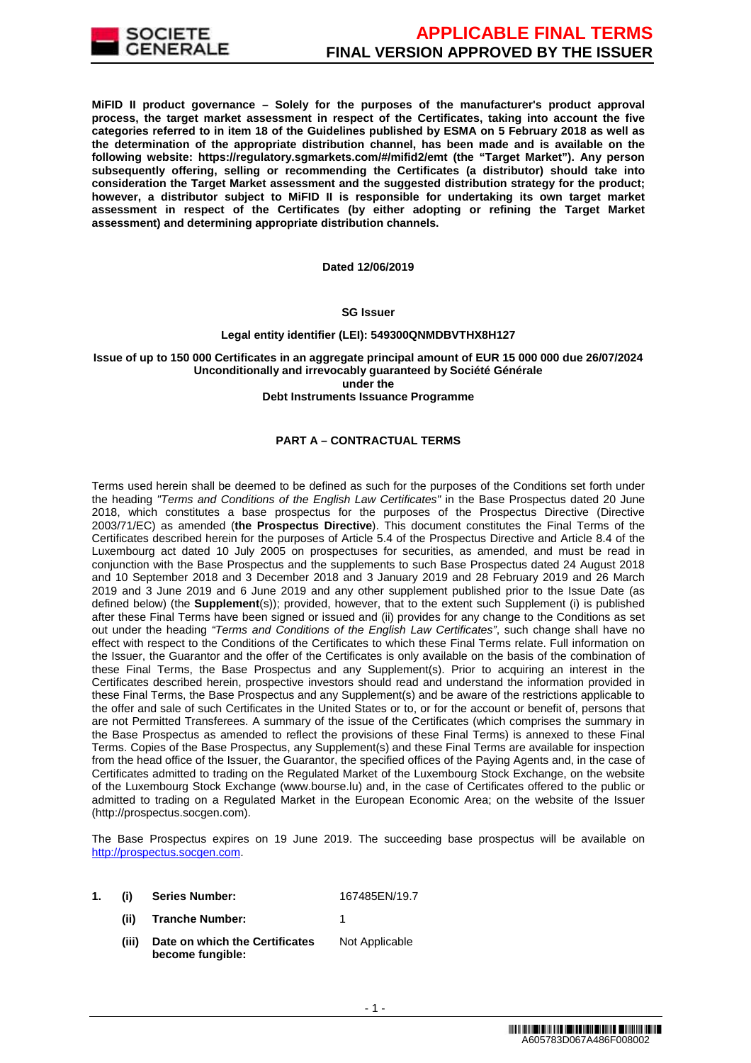

**MiFID II product governance – Solely for the purposes of the manufacturer's product approval process, the target market assessment in respect of the Certificates, taking into account the five categories referred to in item 18 of the Guidelines published by ESMA on 5 February 2018 as well as the determination of the appropriate distribution channel, has been made and is available on the following website: https://regulatory.sgmarkets.com/#/mifid2/emt (the "Target Market"). Any person subsequently offering, selling or recommending the Certificates (a distributor) should take into consideration the Target Market assessment and the suggested distribution strategy for the product; however, a distributor subject to MiFID II is responsible for undertaking its own target market assessment in respect of the Certificates (by either adopting or refining the Target Market assessment) and determining appropriate distribution channels.**

#### **Dated 12/06/2019**

#### **SG Issuer**

#### **Legal entity identifier (LEI): 549300QNMDBVTHX8H127**

## **Issue of up to 150 000 Certificates in an aggregate principal amount of EUR 15 000 000 due 26/07/2024 Unconditionally and irrevocably guaranteed by Société Générale under the**

### **Debt Instruments Issuance Programme**

## **PART A – CONTRACTUAL TERMS**

Terms used herein shall be deemed to be defined as such for the purposes of the Conditions set forth under the heading "Terms and Conditions of the English Law Certificates" in the Base Prospectus dated 20 June 2018, which constitutes a base prospectus for the purposes of the Prospectus Directive (Directive 2003/71/EC) as amended (**the Prospectus Directive**). This document constitutes the Final Terms of the Certificates described herein for the purposes of Article 5.4 of the Prospectus Directive and Article 8.4 of the Luxembourg act dated 10 July 2005 on prospectuses for securities, as amended, and must be read in conjunction with the Base Prospectus and the supplements to such Base Prospectus dated 24 August 2018 and 10 September 2018 and 3 December 2018 and 3 January 2019 and 28 February 2019 and 26 March 2019 and 3 June 2019 and 6 June 2019 and any other supplement published prior to the Issue Date (as defined below) (the **Supplement**(s)); provided, however, that to the extent such Supplement (i) is published after these Final Terms have been signed or issued and (ii) provides for any change to the Conditions as set out under the heading "Terms and Conditions of the English Law Certificates", such change shall have no effect with respect to the Conditions of the Certificates to which these Final Terms relate. Full information on the Issuer, the Guarantor and the offer of the Certificates is only available on the basis of the combination of these Final Terms, the Base Prospectus and any Supplement(s). Prior to acquiring an interest in the Certificates described herein, prospective investors should read and understand the information provided in these Final Terms, the Base Prospectus and any Supplement(s) and be aware of the restrictions applicable to the offer and sale of such Certificates in the United States or to, or for the account or benefit of, persons that are not Permitted Transferees. A summary of the issue of the Certificates (which comprises the summary in the Base Prospectus as amended to reflect the provisions of these Final Terms) is annexed to these Final Terms. Copies of the Base Prospectus, any Supplement(s) and these Final Terms are available for inspection from the head office of the Issuer, the Guarantor, the specified offices of the Paying Agents and, in the case of Certificates admitted to trading on the Regulated Market of the Luxembourg Stock Exchange, on the website of the Luxembourg Stock Exchange (www.bourse.lu) and, in the case of Certificates offered to the public or admitted to trading on a Regulated Market in the European Economic Area; on the website of the Issuer (http://prospectus.socgen.com).

The Base Prospectus expires on 19 June 2019. The succeeding base prospectus will be available on http://prospectus.socgen.com.

| (i) | Series Number:       | 167485EN/19.7 |
|-----|----------------------|---------------|
|     | (ii) Tranche Number: |               |

**(iii) Date on which the Certificates become fungible:** Not Applicable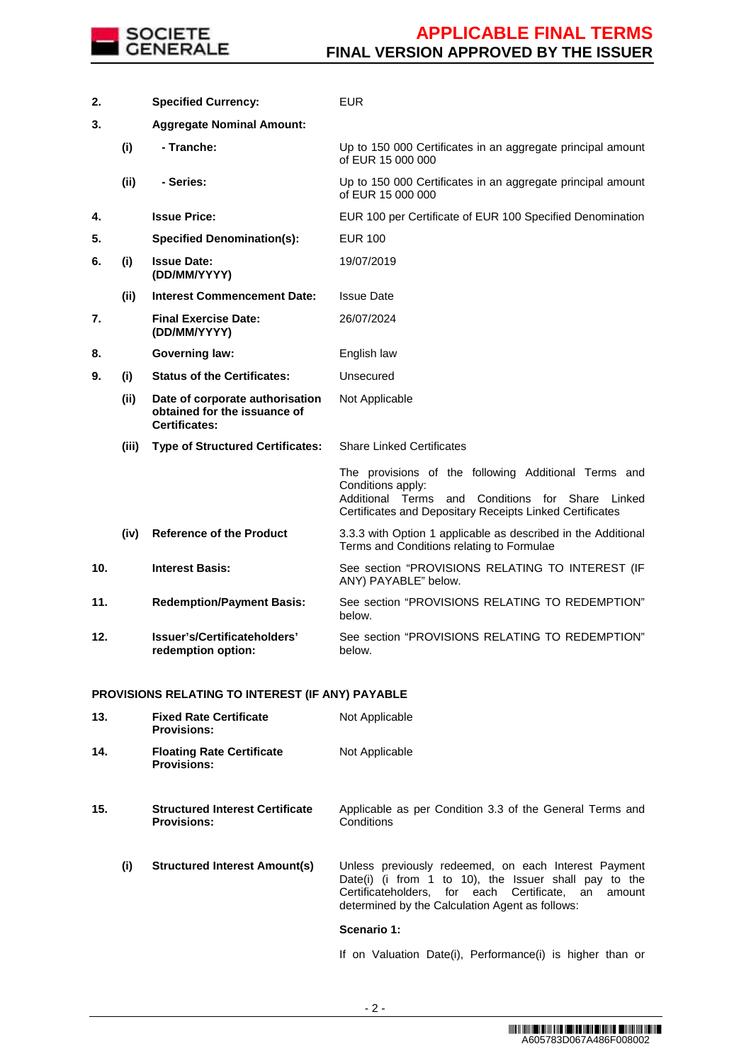

| 2.  |       | <b>Specified Currency:</b>                                                              | EUR                                                                                                                                                                                                |
|-----|-------|-----------------------------------------------------------------------------------------|----------------------------------------------------------------------------------------------------------------------------------------------------------------------------------------------------|
| 3.  |       | <b>Aggregate Nominal Amount:</b>                                                        |                                                                                                                                                                                                    |
|     | (i)   | - Tranche:                                                                              | Up to 150 000 Certificates in an aggregate principal amount<br>of EUR 15 000 000                                                                                                                   |
|     | (ii)  | - Series:                                                                               | Up to 150 000 Certificates in an aggregate principal amount<br>of EUR 15 000 000                                                                                                                   |
| 4.  |       | <b>Issue Price:</b>                                                                     | EUR 100 per Certificate of EUR 100 Specified Denomination                                                                                                                                          |
| 5.  |       | <b>Specified Denomination(s):</b>                                                       | <b>EUR 100</b>                                                                                                                                                                                     |
| 6.  | (i)   | <b>Issue Date:</b><br>(DD/MM/YYYY)                                                      | 19/07/2019                                                                                                                                                                                         |
|     | (ii)  | <b>Interest Commencement Date:</b>                                                      | <b>Issue Date</b>                                                                                                                                                                                  |
| 7.  |       | <b>Final Exercise Date:</b><br>(DD/MM/YYYY)                                             | 26/07/2024                                                                                                                                                                                         |
| 8.  |       | <b>Governing law:</b>                                                                   | English law                                                                                                                                                                                        |
| 9.  | (i)   | <b>Status of the Certificates:</b>                                                      | Unsecured                                                                                                                                                                                          |
|     | (ii)  | Date of corporate authorisation<br>obtained for the issuance of<br><b>Certificates:</b> | Not Applicable                                                                                                                                                                                     |
|     | (iii) | <b>Type of Structured Certificates:</b>                                                 | <b>Share Linked Certificates</b>                                                                                                                                                                   |
|     |       |                                                                                         |                                                                                                                                                                                                    |
|     |       |                                                                                         | The provisions of the following Additional Terms and<br>Conditions apply:<br>Additional Terms<br>and<br>Conditions for Share<br>Linked<br>Certificates and Depositary Receipts Linked Certificates |
|     | (iv)  | <b>Reference of the Product</b>                                                         | 3.3.3 with Option 1 applicable as described in the Additional<br>Terms and Conditions relating to Formulae                                                                                         |
| 10. |       | <b>Interest Basis:</b>                                                                  | See section "PROVISIONS RELATING TO INTEREST (IF<br>ANY) PAYABLE" below.                                                                                                                           |
| 11. |       | <b>Redemption/Payment Basis:</b>                                                        | See section "PROVISIONS RELATING TO REDEMPTION"<br>below.                                                                                                                                          |
| 12. |       | Issuer's/Certificateholders'<br>redemption option:                                      | See section "PROVISIONS RELATING TO REDEMPTION"<br>below.                                                                                                                                          |

## **PROVISIONS RELATING TO INTEREST (IF ANY) PAYABLE**

| 13.                                                                             |     | <b>Fixed Rate Certificate</b><br><b>Provisions:</b>          | Not Applicable                                                                                                                                                                                                             |
|---------------------------------------------------------------------------------|-----|--------------------------------------------------------------|----------------------------------------------------------------------------------------------------------------------------------------------------------------------------------------------------------------------------|
| 14.<br><b>Floating Rate Certificate</b><br>Not Applicable<br><b>Provisions:</b> |     |                                                              |                                                                                                                                                                                                                            |
| 15.                                                                             |     | <b>Structured Interest Certificate</b><br><b>Provisions:</b> | Applicable as per Condition 3.3 of the General Terms and<br>Conditions                                                                                                                                                     |
|                                                                                 | (i) | <b>Structured Interest Amount(s)</b>                         | Unless previously redeemed, on each Interest Payment<br>Date(i) (i from 1 to 10), the Issuer shall pay to the<br>Certificateholders. for each Certificate. an<br>amount<br>determined by the Calculation Agent as follows: |
|                                                                                 |     |                                                              | Scenario 1:                                                                                                                                                                                                                |
|                                                                                 |     |                                                              | If on Valuation Date(i), Performance(i) is higher than or                                                                                                                                                                  |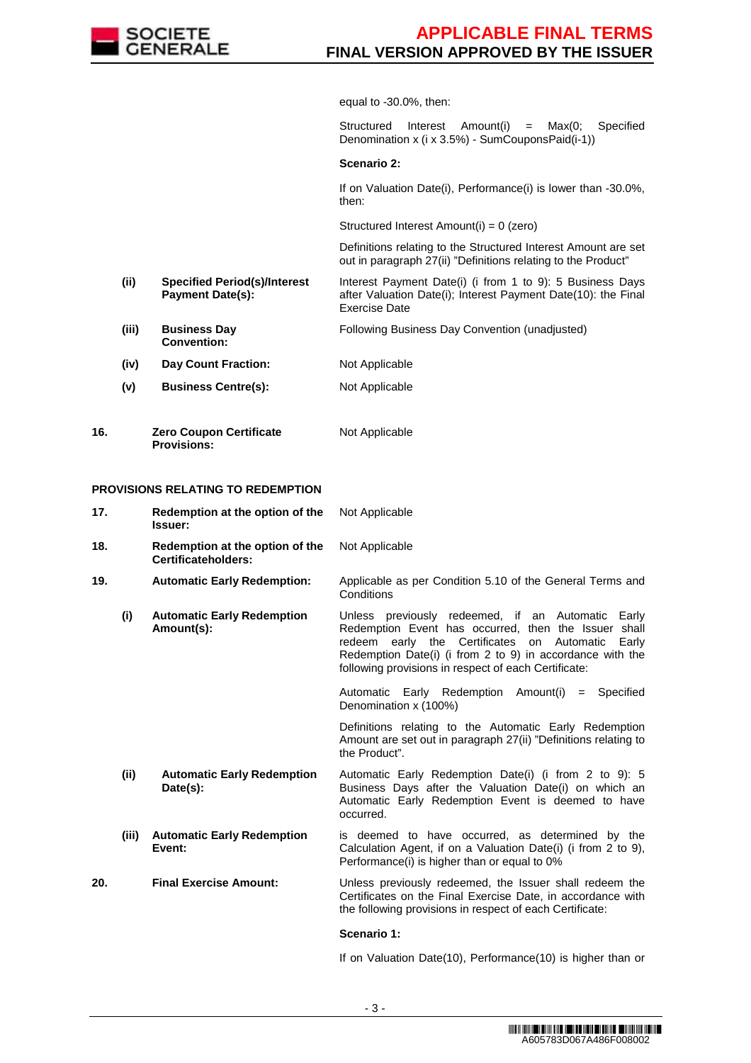

equal to -30.0%, then:

Structured Interest Amount(i) = Max(0; Specified Denomination x (i x 3.5%) - SumCouponsPaid(i-1))

### **Scenario 2:**

If on Valuation Date(i), Performance(i) is lower than -30.0%, then:

Structured Interest Amount(i) = 0 (zero)

 Definitions relating to the Structured Interest Amount are set out in paragraph 27(ii) "Definitions relating to the Product"

- **(ii) Specified Period(s)/Interest Payment Date(s):**  Interest Payment Date(i) (i from 1 to 9): 5 Business Days after Valuation Date(i); Interest Payment Date(10): the Final Exercise Date
- **(iii) Business Day Convention:** Following Business Day Convention (unadjusted)
- **(iv) Day Count Fraction:** Not Applicable
- **(v) Business Centre(s):** Not Applicable
- **16. Zero Coupon Certificate Provisions:** Not Applicable

#### **PROVISIONS RELATING TO REDEMPTION**

| 17.   | Redemption at the option of the<br>Issuer:                                                                                                                                                                                         | Not Applicable                                                                                                                                                                                                                                                                                 |  |
|-------|------------------------------------------------------------------------------------------------------------------------------------------------------------------------------------------------------------------------------------|------------------------------------------------------------------------------------------------------------------------------------------------------------------------------------------------------------------------------------------------------------------------------------------------|--|
| 18.   | Redemption at the option of the<br><b>Certificateholders:</b>                                                                                                                                                                      | Not Applicable                                                                                                                                                                                                                                                                                 |  |
| 19.   | <b>Automatic Early Redemption:</b>                                                                                                                                                                                                 | Applicable as per Condition 5.10 of the General Terms and<br>Conditions                                                                                                                                                                                                                        |  |
| (i)   | <b>Automatic Early Redemption</b><br>Amount(s):                                                                                                                                                                                    | Unless previously redeemed, if an Automatic<br>Early<br>Redemption Event has occurred, then the Issuer shall<br>redeem early the Certificates<br>Automatic<br>on<br>Early<br>Redemption Date(i) (i from 2 to 9) in accordance with the<br>following provisions in respect of each Certificate: |  |
|       |                                                                                                                                                                                                                                    | Automatic Early Redemption Amount(i) = Specified<br>Denomination x (100%)                                                                                                                                                                                                                      |  |
|       |                                                                                                                                                                                                                                    | Definitions relating to the Automatic Early Redemption<br>Amount are set out in paragraph 27(ii) "Definitions relating to<br>the Product".                                                                                                                                                     |  |
| (ii)  | <b>Automatic Early Redemption</b><br>Automatic Early Redemption Date(i) (i from 2 to 9): 5<br>Business Days after the Valuation Date(i) on which an<br>Date(s):<br>Automatic Early Redemption Event is deemed to have<br>occurred. |                                                                                                                                                                                                                                                                                                |  |
| (iii) | <b>Automatic Early Redemption</b><br>Event:                                                                                                                                                                                        | is deemed to have occurred, as determined by the<br>Calculation Agent, if on a Valuation Date(i) (i from 2 to 9),<br>Performance(i) is higher than or equal to 0%                                                                                                                              |  |
| 20.   | <b>Final Exercise Amount:</b>                                                                                                                                                                                                      | Unless previously redeemed, the Issuer shall redeem the<br>Certificates on the Final Exercise Date, in accordance with<br>the following provisions in respect of each Certificate:                                                                                                             |  |
|       |                                                                                                                                                                                                                                    | Scenario 1:                                                                                                                                                                                                                                                                                    |  |

- 3 -

If on Valuation Date(10), Performance(10) is higher than or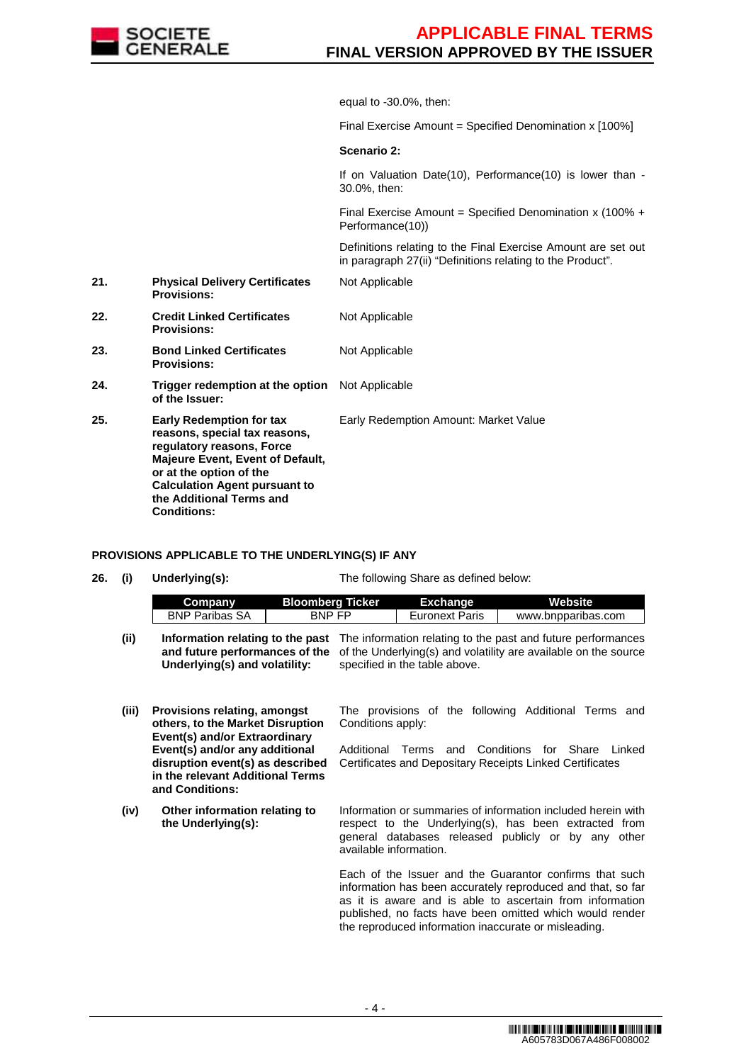

equal to -30.0%, then:

Final Exercise Amount = Specified Denomination x [100%]

### **Scenario 2:**

Not Applicable

Not Applicable

If on Valuation Date(10), Performance(10) is lower than - 30.0%, then:

Final Exercise Amount = Specified Denomination x (100% + Performance(10))

 Definitions relating to the Final Exercise Amount are set out in paragraph 27(ii) "Definitions relating to the Product".

- **21. Physical Delivery Certificates Provisions:**
- **22. Credit Linked Certificates Provisions:**
- **23. Bond Linked Certificates Provisions:** Not Applicable
- **24. Trigger redemption at the option of the Issuer:** Not Applicable
- **25. Early Redemption for tax reasons, special tax reasons, regulatory reasons, Force Majeure Event, Event of Default, or at the option of the Calculation Agent pursuant to the Additional Terms and Conditions:** Early Redemption Amount: Market Value

#### **PROVISIONS APPLICABLE TO THE UNDERLYING(S) IF ANY**

**26. (i) Underlying(s):** The following Share as defined below:

|       | Company                       | <b>Bloomberg Ticker</b> | <b>Exchange</b>               | Website                                                                                                                                                                                         |
|-------|-------------------------------|-------------------------|-------------------------------|-------------------------------------------------------------------------------------------------------------------------------------------------------------------------------------------------|
|       | <b>BNP Paribas SA</b>         | BNP FP                  | <b>Euronext Paris</b>         | www.bnpparibas.com                                                                                                                                                                              |
| (iii) | Underlying(s) and volatility: |                         | specified in the table above. | Information relating to the past The information relating to the past and future performances<br>and future performances of the of the Underlying(s) and volatility are available on the source |

- **(iii) Provisions relating, amongst others, to the Market Disruption Event(s) and/or Extraordinary Event(s) and/or any additional disruption event(s) as described in the relevant Additional Terms and Conditions:** The provisions of the following Additional Terms and Conditions apply: Additional Terms and Conditions for Share Linked Certificates and Depositary Receipts Linked Certificates
- **(iv) Other information relating to the Underlying(s):**

Information or summaries of information included herein with respect to the Underlying(s), has been extracted from general databases released publicly or by any other available information.

Each of the Issuer and the Guarantor confirms that such information has been accurately reproduced and that, so far as it is aware and is able to ascertain from information published, no facts have been omitted which would render the reproduced information inaccurate or misleading.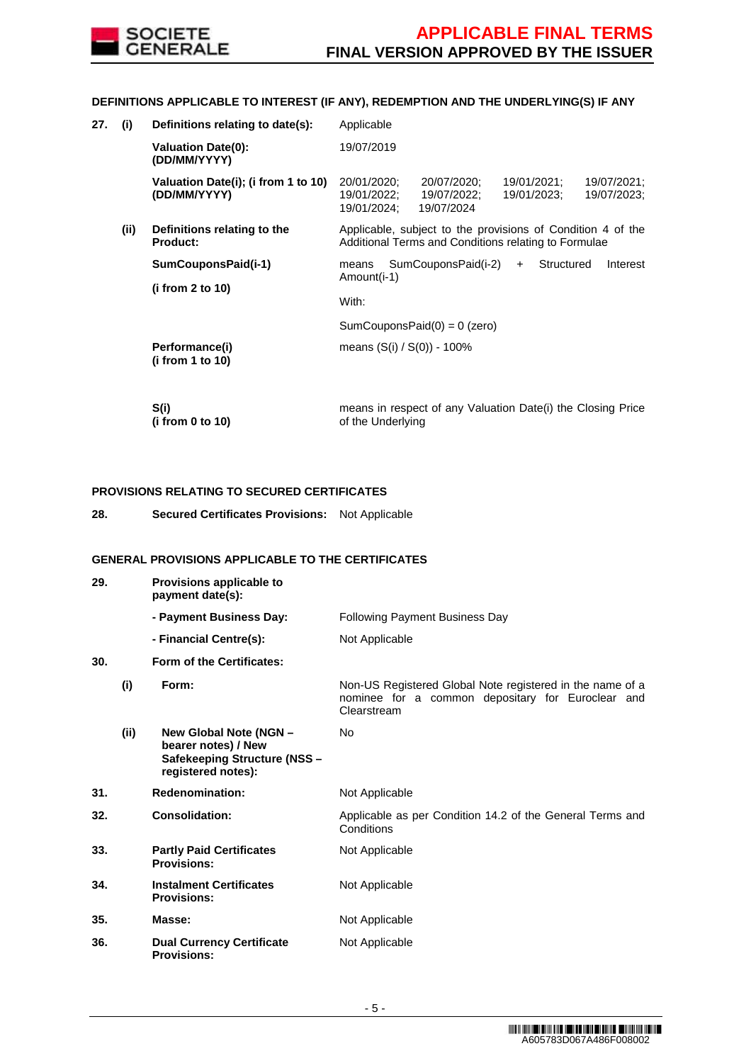

## **DEFINITIONS APPLICABLE TO INTEREST (IF ANY), REDEMPTION AND THE UNDERLYING(S) IF ANY**

| 27. | (i)  | Definitions relating to date(s):                    | Applicable                                                                                                                                        |  |
|-----|------|-----------------------------------------------------|---------------------------------------------------------------------------------------------------------------------------------------------------|--|
|     |      | <b>Valuation Date(0):</b><br>(DD/MM/YYYY)           | 19/07/2019                                                                                                                                        |  |
|     |      | Valuation Date(i); (i from 1 to 10)<br>(DD/MM/YYYY) | 20/01/2020;<br>20/07/2020;<br>19/01/2021;<br>19/07/2021;<br>19/01/2022;<br>19/07/2022;<br>19/01/2023;<br>19/07/2023;<br>19/01/2024;<br>19/07/2024 |  |
|     | (ii) | Definitions relating to the<br>Product:             | Applicable, subject to the provisions of Condition 4 of the<br>Additional Terms and Conditions relating to Formulae                               |  |
|     |      | SumCouponsPaid(i-1)<br>(i from $2$ to $10$ )        | SumCouponsPaid(i-2)<br>Structured<br>Interest<br>means<br>$+$<br>Amount(i-1)                                                                      |  |
|     |      |                                                     | With:                                                                                                                                             |  |
|     |      |                                                     | $SumCouponsPaid(0) = 0$ (zero)                                                                                                                    |  |
|     |      | Performance(i)<br>(i from 1 to 10)                  | means (S(i) / S(0)) - 100%                                                                                                                        |  |
|     |      | S(i)<br>(i from 0 to 10)                            | means in respect of any Valuation Date(i) the Closing Price<br>of the Underlying                                                                  |  |

## **PROVISIONS RELATING TO SECURED CERTIFICATES**

**28. Secured Certificates Provisions:** Not Applicable

## **GENERAL PROVISIONS APPLICABLE TO THE CERTIFICATES**

| 29. |      | Provisions applicable to<br>payment date(s):                                                        |                                                                                                                               |
|-----|------|-----------------------------------------------------------------------------------------------------|-------------------------------------------------------------------------------------------------------------------------------|
|     |      | - Payment Business Day:                                                                             | <b>Following Payment Business Day</b>                                                                                         |
|     |      | - Financial Centre(s):                                                                              | Not Applicable                                                                                                                |
| 30. |      | Form of the Certificates:                                                                           |                                                                                                                               |
|     | (i)  | Form:                                                                                               | Non-US Registered Global Note registered in the name of a<br>nominee for a common depositary for Euroclear and<br>Clearstream |
|     | (ii) | New Global Note (NGN -<br>bearer notes) / New<br>Safekeeping Structure (NSS -<br>registered notes): | <b>No</b>                                                                                                                     |
| 31. |      | <b>Redenomination:</b>                                                                              | Not Applicable                                                                                                                |
| 32. |      | <b>Consolidation:</b>                                                                               | Applicable as per Condition 14.2 of the General Terms and<br>Conditions                                                       |
| 33. |      | <b>Partly Paid Certificates</b><br><b>Provisions:</b>                                               | Not Applicable                                                                                                                |
| 34. |      | <b>Instalment Certificates</b><br><b>Provisions:</b>                                                | Not Applicable                                                                                                                |
| 35. |      | Masse:                                                                                              | Not Applicable                                                                                                                |
| 36. |      | <b>Dual Currency Certificate</b><br><b>Provisions:</b>                                              | Not Applicable                                                                                                                |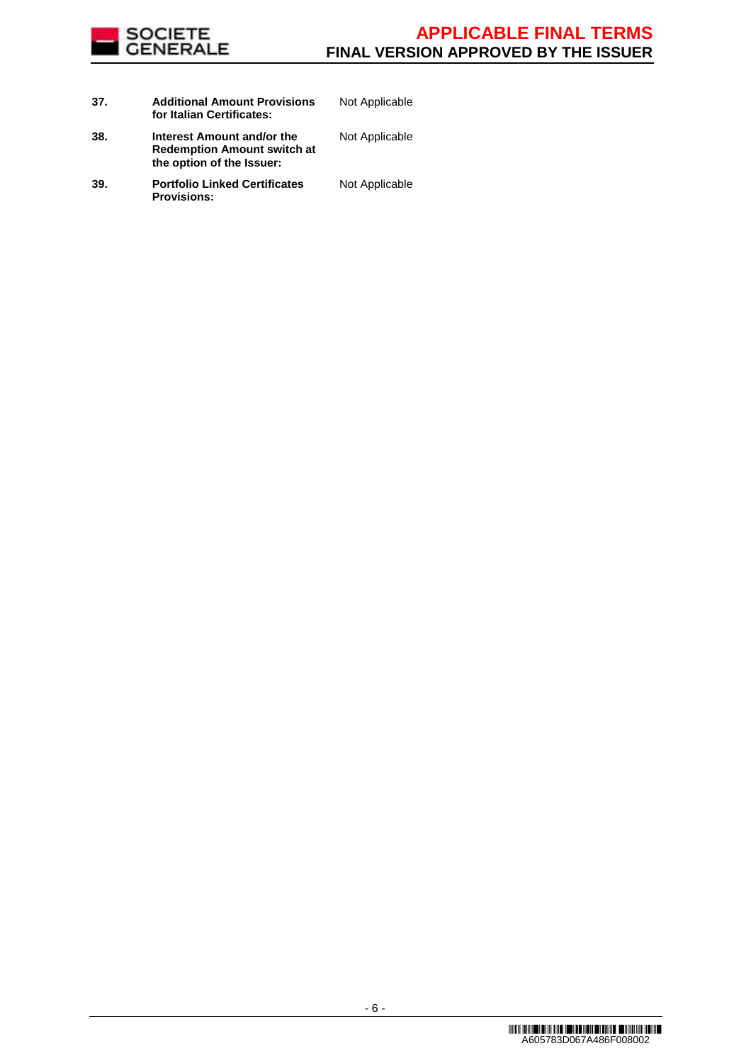

| 37. | <b>Additional Amount Provisions</b><br>for Italian Certificates:                              | Not Applicable |
|-----|-----------------------------------------------------------------------------------------------|----------------|
| 38. | Interest Amount and/or the<br><b>Redemption Amount switch at</b><br>the option of the Issuer: | Not Applicable |
| 39. | <b>Portfolio Linked Certificates</b><br><b>Provisions:</b>                                    | Not Applicable |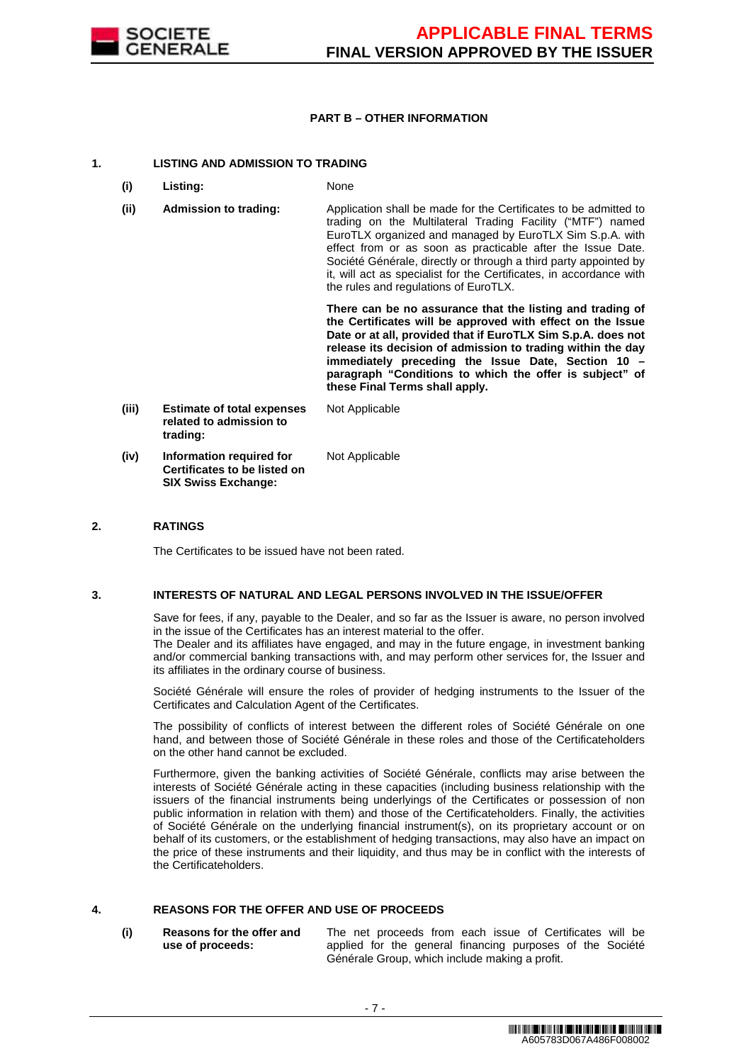

### **PART B – OTHER INFORMATION**

### **1. LISTING AND ADMISSION TO TRADING**

- **(i) Listing:** None
- **(ii) Admission to trading:** Application shall be made for the Certificates to be admitted to trading on the Multilateral Trading Facility ("MTF") named EuroTLX organized and managed by EuroTLX Sim S.p.A. with effect from or as soon as practicable after the Issue Date. Société Générale, directly or through a third party appointed by it, will act as specialist for the Certificates, in accordance with the rules and regulations of EuroTLX.

 **There can be no assurance that the listing and trading of the Certificates will be approved with effect on the Issue Date or at all, provided that if EuroTLX Sim S.p.A. does not release its decision of admission to trading within the day immediately preceding the Issue Date, Section 10 – paragraph "Conditions to which the offer is subject" of these Final Terms shall apply.**

**(iii) Estimate of total expenses related to admission to trading:** Not Applicable **(iv) Information required for Certificates to be listed on SIX Swiss Exchange:** Not Applicable

### **2. RATINGS**

The Certificates to be issued have not been rated.

#### **3. INTERESTS OF NATURAL AND LEGAL PERSONS INVOLVED IN THE ISSUE/OFFER**

 Save for fees, if any, payable to the Dealer, and so far as the Issuer is aware, no person involved in the issue of the Certificates has an interest material to the offer.

The Dealer and its affiliates have engaged, and may in the future engage, in investment banking and/or commercial banking transactions with, and may perform other services for, the Issuer and its affiliates in the ordinary course of business.

 Société Générale will ensure the roles of provider of hedging instruments to the Issuer of the Certificates and Calculation Agent of the Certificates.

 The possibility of conflicts of interest between the different roles of Société Générale on one hand, and between those of Société Générale in these roles and those of the Certificateholders on the other hand cannot be excluded.

 Furthermore, given the banking activities of Société Générale, conflicts may arise between the interests of Société Générale acting in these capacities (including business relationship with the issuers of the financial instruments being underlyings of the Certificates or possession of non public information in relation with them) and those of the Certificateholders. Finally, the activities of Société Générale on the underlying financial instrument(s), on its proprietary account or on behalf of its customers, or the establishment of hedging transactions, may also have an impact on the price of these instruments and their liquidity, and thus may be in conflict with the interests of the Certificateholders.

## **4. REASONS FOR THE OFFER AND USE OF PROCEEDS**

**(i) Reasons for the offer and use of proceeds:**

The net proceeds from each issue of Certificates will be applied for the general financing purposes of the Société Générale Group, which include making a profit.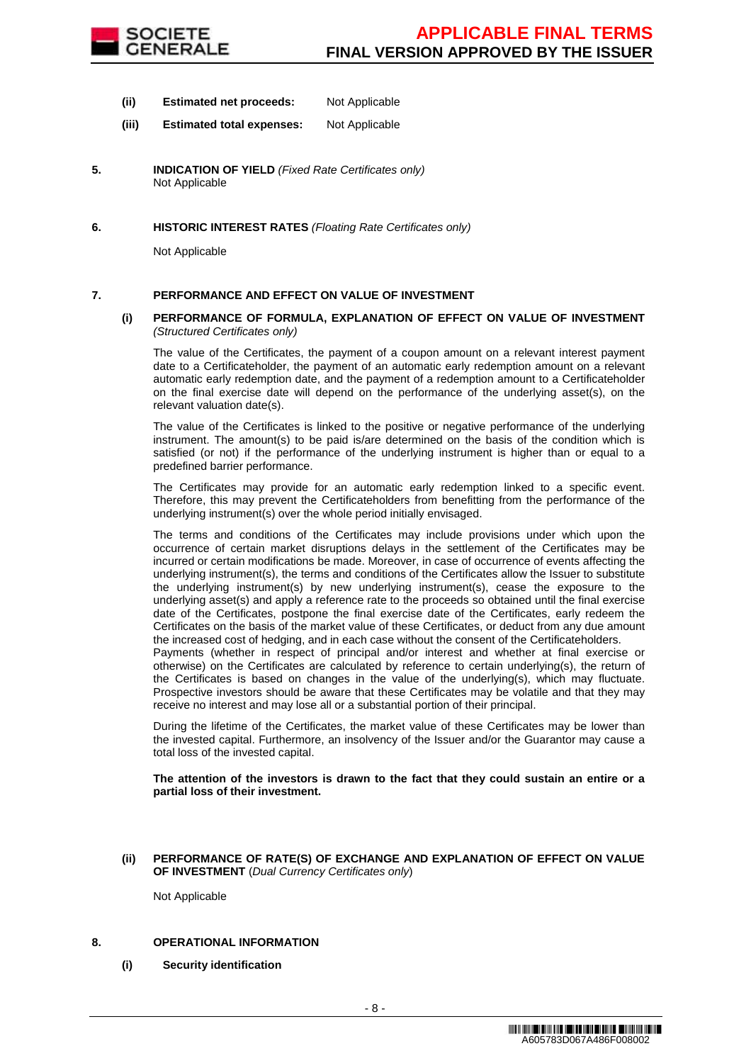

- **(ii) Estimated net proceeds:** Not Applicable
- **(iii) Estimated total expenses:** Not Applicable
- **5. INDICATION OF YIELD** (Fixed Rate Certificates only) Not Applicable
- **6. HISTORIC INTEREST RATES** (Floating Rate Certificates only)

Not Applicable

## **7. PERFORMANCE AND EFFECT ON VALUE OF INVESTMENT**

#### **(i) PERFORMANCE OF FORMULA, EXPLANATION OF EFFECT ON VALUE OF INVESTMENT**  (Structured Certificates only)

 The value of the Certificates, the payment of a coupon amount on a relevant interest payment date to a Certificateholder, the payment of an automatic early redemption amount on a relevant automatic early redemption date, and the payment of a redemption amount to a Certificateholder on the final exercise date will depend on the performance of the underlying asset(s), on the relevant valuation date(s).

 The value of the Certificates is linked to the positive or negative performance of the underlying instrument. The amount(s) to be paid is/are determined on the basis of the condition which is satisfied (or not) if the performance of the underlying instrument is higher than or equal to a predefined barrier performance.

 The Certificates may provide for an automatic early redemption linked to a specific event. Therefore, this may prevent the Certificateholders from benefitting from the performance of the underlying instrument(s) over the whole period initially envisaged.

 The terms and conditions of the Certificates may include provisions under which upon the occurrence of certain market disruptions delays in the settlement of the Certificates may be incurred or certain modifications be made. Moreover, in case of occurrence of events affecting the underlying instrument(s), the terms and conditions of the Certificates allow the Issuer to substitute the underlying instrument(s) by new underlying instrument(s), cease the exposure to the underlying asset(s) and apply a reference rate to the proceeds so obtained until the final exercise date of the Certificates, postpone the final exercise date of the Certificates, early redeem the Certificates on the basis of the market value of these Certificates, or deduct from any due amount the increased cost of hedging, and in each case without the consent of the Certificateholders.

Payments (whether in respect of principal and/or interest and whether at final exercise or otherwise) on the Certificates are calculated by reference to certain underlying(s), the return of the Certificates is based on changes in the value of the underlying(s), which may fluctuate. Prospective investors should be aware that these Certificates may be volatile and that they may receive no interest and may lose all or a substantial portion of their principal.

 During the lifetime of the Certificates, the market value of these Certificates may be lower than the invested capital. Furthermore, an insolvency of the Issuer and/or the Guarantor may cause a total loss of the invested capital.

**The attention of the investors is drawn to the fact that they could sustain an entire or a partial loss of their investment.**

**(ii) PERFORMANCE OF RATE(S) OF EXCHANGE AND EXPLANATION OF EFFECT ON VALUE OF INVESTMENT** (Dual Currency Certificates only)

Not Applicable

### **8. OPERATIONAL INFORMATION**

**(i) Security identification**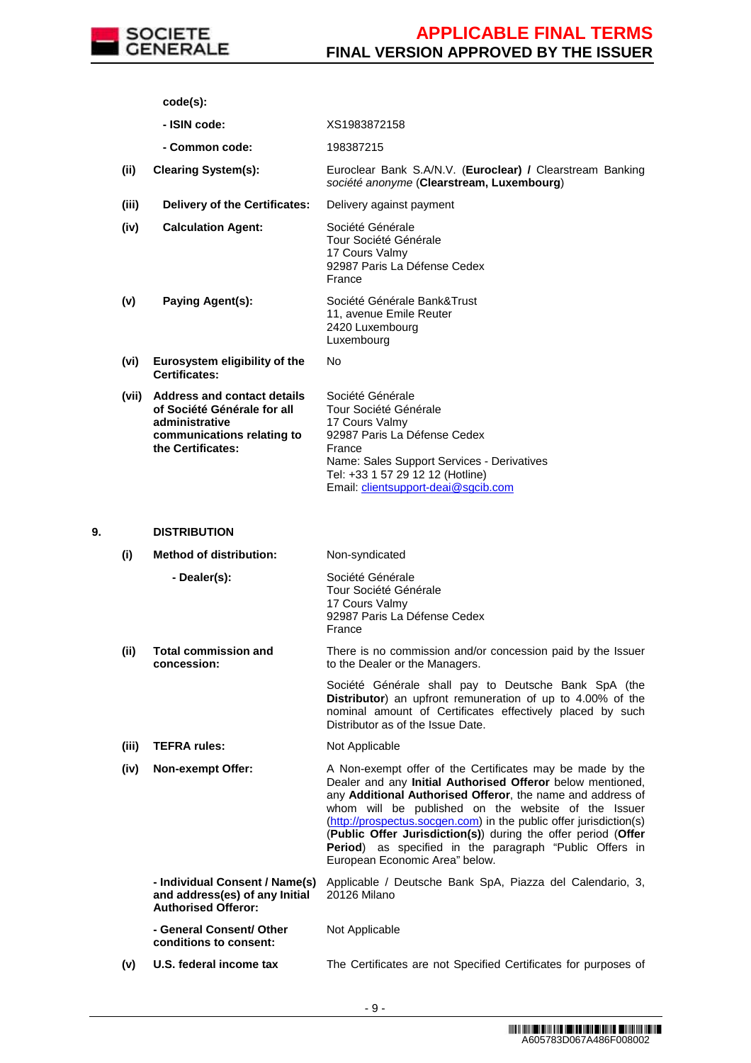

**code(s):**

- **ISIN code:** XS1983872158
- **Common code:** 198387215
- **(ii) Clearing System(s):** Euroclear Bank S.A/N.V. (**Euroclear) /** Clearstream Banking société anonyme (**Clearstream, Luxembourg**)
- **(iii) Delivery of the Certificates:** Delivery against payment

**(iv) Calculation Agent:** Société Générale Tour Société Générale 17 Cours Valmy 92987 Paris La Défense Cedex France

- **(v) Paying Agent(s):** Société Générale Bank&Trust 11, avenue Emile Reuter 2420 Luxembourg Luxembourg
- **(vi) Eurosystem eligibility of the Certificates:** No
- **(vii) Address and contact details of Société Générale for all administrative communications relating to the Certificates:** Société Générale Tour Société Générale 17 Cours Valmy 92987 Paris La Défense Cedex France Name: Sales Support Services - Derivatives Tel: +33 1 57 29 12 12 (Hotline) Email: clientsupport-deai@sgcib.com

## **9. DISTRIBUTION**

**(i) Method of distribution:** Non-syndicated **- Dealer(s):** Société Générale Tour Société Générale 17 Cours Valmy 92987 Paris La Défense Cedex France **(ii) Total commission and concession:** There is no commission and/or concession paid by the Issuer to the Dealer or the Managers. Société Générale shall pay to Deutsche Bank SpA (the **Distributor**) an upfront remuneration of up to 4.00% of the nominal amount of Certificates effectively placed by such Distributor as of the Issue Date. **(iii) TEFRA rules:** Not Applicable **(iv) Non-exempt Offer:** A Non-exempt offer of the Certificates may be made by the Dealer and any **Initial Authorised Offeror** below mentioned, any **Additional Authorised Offeror**, the name and address of whom will be published on the website of the Issuer (http://prospectus.socgen.com) in the public offer jurisdiction(s) (**Public Offer Jurisdiction(s)**) during the offer period (**Offer Period**) as specified in the paragraph "Public Offers in European Economic Area" below. **- Individual Consent / Name(s) and address(es) of any Initial Authorised Offeror:** Applicable / Deutsche Bank SpA, Piazza del Calendario, 3, 20126 Milano **- General Consent/ Other conditions to consent:** Not Applicable **(v) U.S. federal income tax** The Certificates are not Specified Certificates for purposes of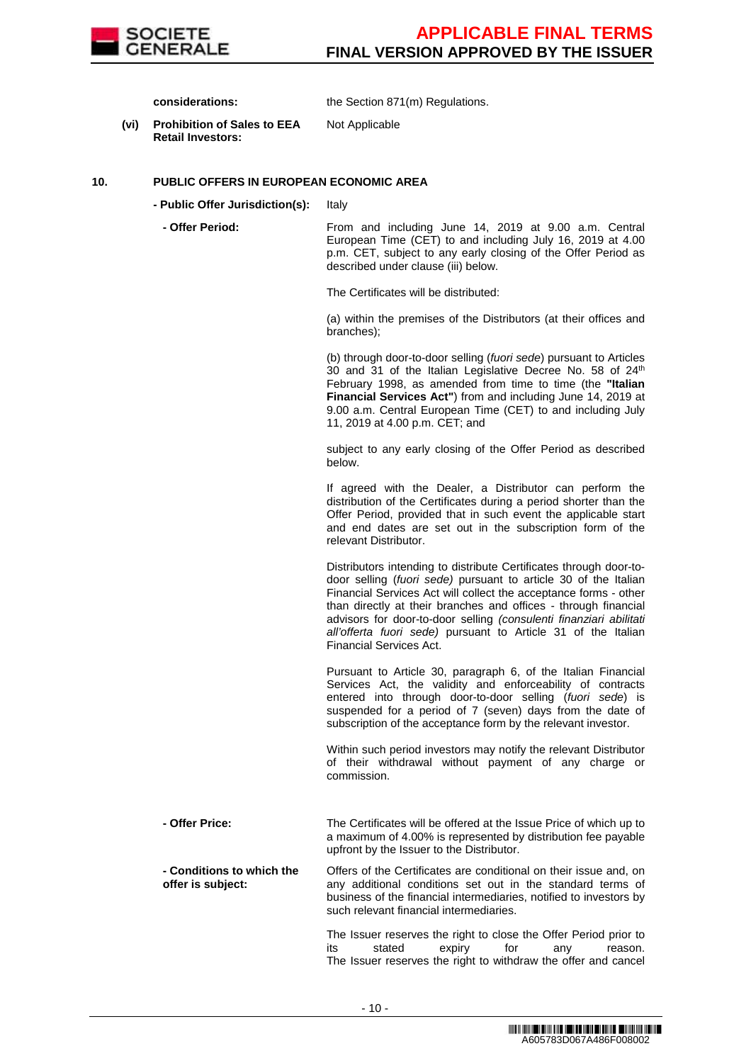

**considerations:** the Section 871(m) Regulations.

**(vi) Prohibition of Sales to EEA Retail Investors:**

Not Applicable

## **10. PUBLIC OFFERS IN EUROPEAN ECONOMIC AREA**

- **Public Offer Jurisdiction(s):** Italy
- 

 **- Offer Period:** From and including June 14, 2019 at 9.00 a.m. Central European Time (CET) to and including July 16, 2019 at 4.00 p.m. CET, subject to any early closing of the Offer Period as described under clause (iii) below.

The Certificates will be distributed:

(a) within the premises of the Distributors (at their offices and branches);

(b) through door-to-door selling (fuori sede) pursuant to Articles 30 and 31 of the Italian Legislative Decree No. 58 of 24<sup>th</sup> February 1998, as amended from time to time (the **"Italian Financial Services Act"**) from and including June 14, 2019 at 9.00 a.m. Central European Time (CET) to and including July 11, 2019 at 4.00 p.m. CET; and

subject to any early closing of the Offer Period as described below.

If agreed with the Dealer, a Distributor can perform the distribution of the Certificates during a period shorter than the Offer Period, provided that in such event the applicable start and end dates are set out in the subscription form of the relevant Distributor.

Distributors intending to distribute Certificates through door-todoor selling (fuori sede) pursuant to article 30 of the Italian Financial Services Act will collect the acceptance forms - other than directly at their branches and offices - through financial advisors for door-to-door selling (consulenti finanziari abilitati all'offerta fuori sede) pursuant to Article 31 of the Italian Financial Services Act.

Pursuant to Article 30, paragraph 6, of the Italian Financial Services Act, the validity and enforceability of contracts entered into through door-to-door selling (fuori sede) is suspended for a period of 7 (seven) days from the date of subscription of the acceptance form by the relevant investor.

Within such period investors may notify the relevant Distributor of their withdrawal without payment of any charge or commission.

 **- Offer Price:** The Certificates will be offered at the Issue Price of which up to a maximum of 4.00% is represented by distribution fee payable upfront by the Issuer to the Distributor.

 **- Conditions to which the offer is subject:** Offers of the Certificates are conditional on their issue and, on any additional conditions set out in the standard terms of business of the financial intermediaries, notified to investors by such relevant financial intermediaries.

> The Issuer reserves the right to close the Offer Period prior to its stated expiry for any reason. The Issuer reserves the right to withdraw the offer and cancel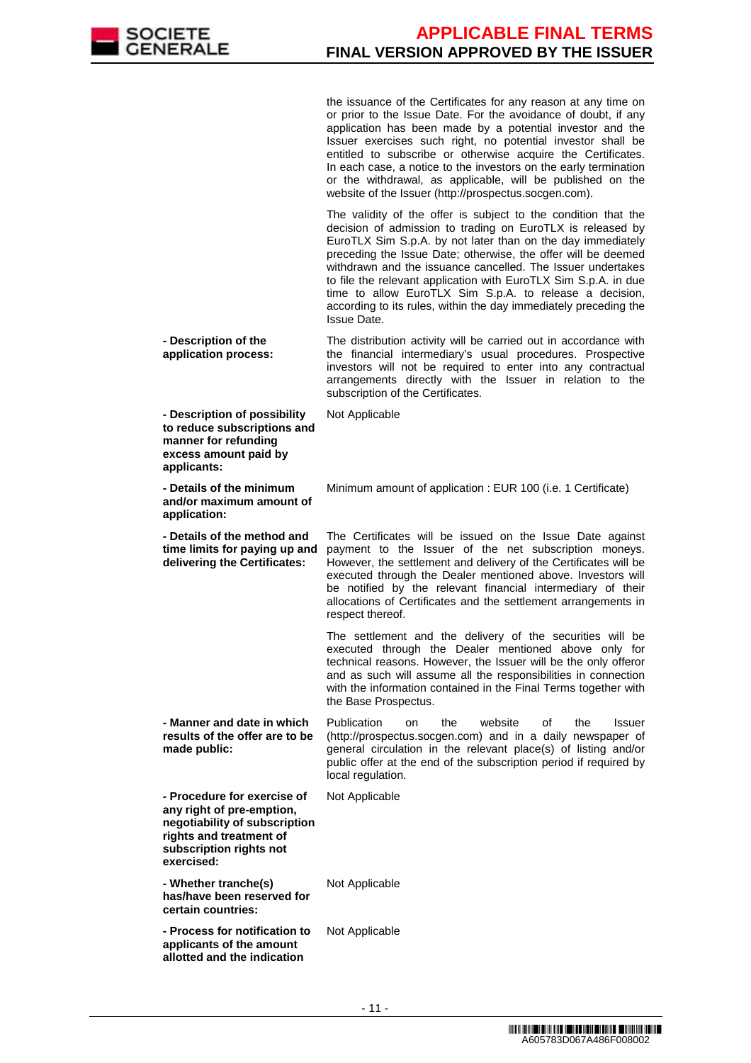

the issuance of the Certificates for any reason at any time on or prior to the Issue Date. For the avoidance of doubt, if any application has been made by a potential investor and the Issuer exercises such right, no potential investor shall be entitled to subscribe or otherwise acquire the Certificates. In each case, a notice to the investors on the early termination or the withdrawal, as applicable, will be published on the website of the Issuer (http://prospectus.socgen.com).

 The validity of the offer is subject to the condition that the decision of admission to trading on EuroTLX is released by EuroTLX Sim S.p.A. by not later than on the day immediately preceding the Issue Date; otherwise, the offer will be deemed withdrawn and the issuance cancelled. The Issuer undertakes to file the relevant application with EuroTLX Sim S.p.A. in due time to allow EuroTLX Sim S.p.A. to release a decision, according to its rules, within the day immediately preceding the Issue Date.

 **- Description of the application process:** The distribution activity will be carried out in accordance with the financial intermediary's usual procedures. Prospective investors will not be required to enter into any contractual arrangements directly with the Issuer in relation to the subscription of the Certificates.

Not Applicable

 **- Description of possibility to reduce subscriptions and manner for refunding excess amount paid by applicants:**

 **- Details of the minimum and/or maximum amount of application:**

 **- Details of the method and time limits for paying up and delivering the Certificates:**

The Certificates will be issued on the Issue Date against payment to the Issuer of the net subscription moneys. However, the settlement and delivery of the Certificates will be executed through the Dealer mentioned above. Investors will be notified by the relevant financial intermediary of their allocations of Certificates and the settlement arrangements in respect thereof.

Minimum amount of application : EUR 100 (i.e. 1 Certificate)

 The settlement and the delivery of the securities will be executed through the Dealer mentioned above only for technical reasons. However, the Issuer will be the only offeror and as such will assume all the responsibilities in connection with the information contained in the Final Terms together with the Base Prospectus.

 **- Manner and date in which results of the offer are to be made public:**

Publication on the website of the Issuer (http://prospectus.socgen.com) and in a daily newspaper of general circulation in the relevant place(s) of listing and/or public offer at the end of the subscription period if required by local regulation.

Not Applicable

 **- Procedure for exercise of any right of pre-emption, negotiability of subscription rights and treatment of subscription rights not exercised:**

 **- Whether tranche(s) has/have been reserved for certain countries:** Not Applicable

 **- Process for notification to applicants of the amount allotted and the indication**  Not Applicable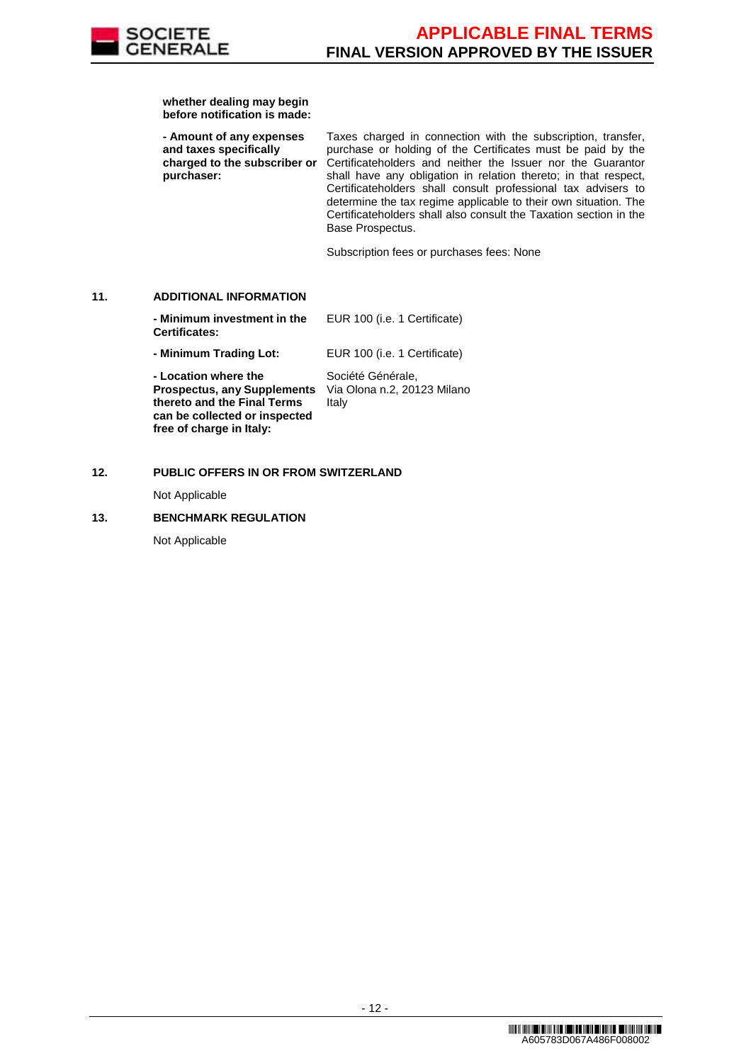

**whether dealing may begin before notification is made:**

 **- Amount of any expenses and taxes specifically charged to the subscriber or purchaser:** Taxes charged in connection with the subscription, transfer, purchase or holding of the Certificates must be paid by the Certificateholders and neither the Issuer nor the Guarantor shall have any obligation in relation thereto; in that respect, Certificateholders shall consult professional tax advisers to determine the tax regime applicable to their own situation. The Certificateholders shall also consult the Taxation section in the Base Prospectus.

Subscription fees or purchases fees: None

## **11. ADDITIONAL INFORMATION**

 **- Minimum investment in the Certificates:** EUR 100 (i.e. 1 Certificate) **- Minimum Trading Lot:** EUR 100 (i.e. 1 Certificate) **- Location where the Prospectus, any Supplements thereto and the Final Terms can be collected or inspected**  Société Générale, Via Olona n.2, 20123 Milano Italy

## **12. PUBLIC OFFERS IN OR FROM SWITZERLAND**

Not Applicable

## **13. BENCHMARK REGULATION**

**free of charge in Italy:**

Not Applicable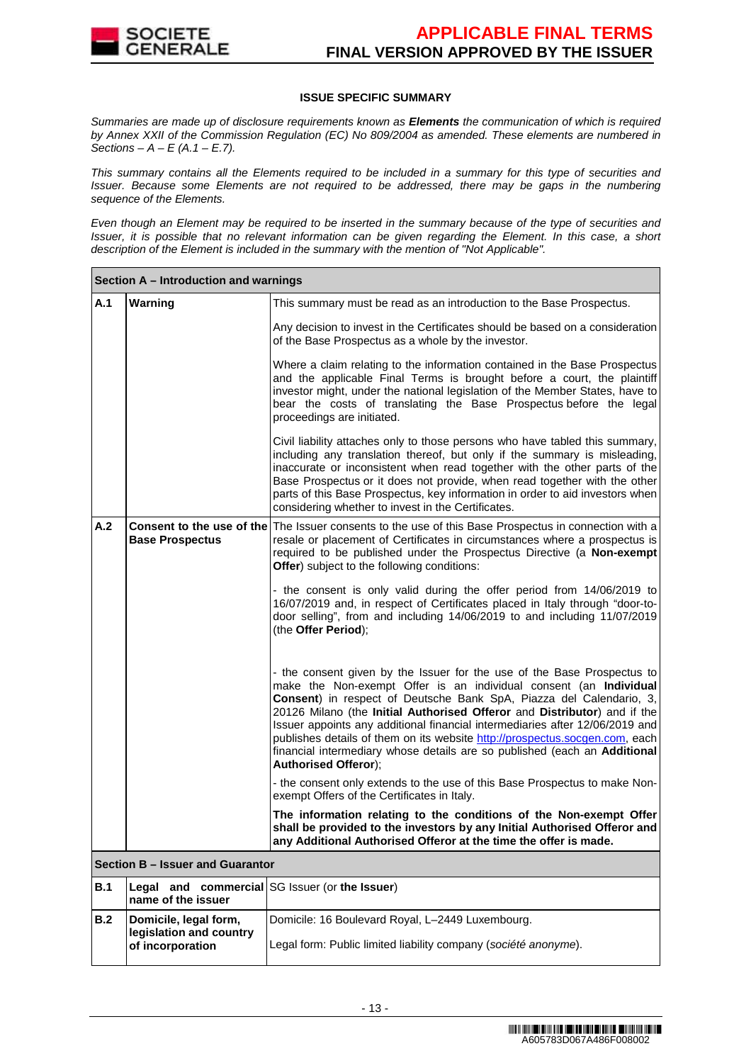

## **ISSUE SPECIFIC SUMMARY**

Summaries are made up of disclosure requirements known as **Elements** the communication of which is required by Annex XXII of the Commission Regulation (EC) No 809/2004 as amended. These elements are numbered in Sections –  $A - E(A.1 - E.7)$ .

This summary contains all the Elements required to be included in a summary for this type of securities and Issuer. Because some Elements are not required to be addressed, there may be gaps in the numbering sequence of the Elements.

Even though an Element may be required to be inserted in the summary because of the type of securities and Issuer, it is possible that no relevant information can be given regarding the Element. In this case, a short description of the Element is included in the summary with the mention of "Not Applicable".

|                               | Section A – Introduction and warnings                                |                                                                                                                                                                                                                                                                                                                                                                                                                                                                                                                                                                            |
|-------------------------------|----------------------------------------------------------------------|----------------------------------------------------------------------------------------------------------------------------------------------------------------------------------------------------------------------------------------------------------------------------------------------------------------------------------------------------------------------------------------------------------------------------------------------------------------------------------------------------------------------------------------------------------------------------|
| A.1                           | Warning                                                              | This summary must be read as an introduction to the Base Prospectus.                                                                                                                                                                                                                                                                                                                                                                                                                                                                                                       |
|                               |                                                                      | Any decision to invest in the Certificates should be based on a consideration<br>of the Base Prospectus as a whole by the investor.                                                                                                                                                                                                                                                                                                                                                                                                                                        |
|                               |                                                                      | Where a claim relating to the information contained in the Base Prospectus<br>and the applicable Final Terms is brought before a court, the plaintiff<br>investor might, under the national legislation of the Member States, have to<br>bear the costs of translating the Base Prospectus before the legal<br>proceedings are initiated.                                                                                                                                                                                                                                  |
|                               |                                                                      | Civil liability attaches only to those persons who have tabled this summary,<br>including any translation thereof, but only if the summary is misleading,<br>inaccurate or inconsistent when read together with the other parts of the<br>Base Prospectus or it does not provide, when read together with the other<br>parts of this Base Prospectus, key information in order to aid investors when<br>considering whether to invest in the Certificates.                                                                                                                 |
| A.2<br><b>Base Prospectus</b> |                                                                      | <b>Consent to the use of the The Issuer consents to the use of this Base Prospectus in connection with a</b><br>resale or placement of Certificates in circumstances where a prospectus is<br>required to be published under the Prospectus Directive (a Non-exempt<br>Offer) subject to the following conditions:                                                                                                                                                                                                                                                         |
|                               |                                                                      | - the consent is only valid during the offer period from 14/06/2019 to<br>16/07/2019 and, in respect of Certificates placed in Italy through "door-to-<br>door selling", from and including 14/06/2019 to and including 11/07/2019<br>(the Offer Period);                                                                                                                                                                                                                                                                                                                  |
|                               |                                                                      | - the consent given by the Issuer for the use of the Base Prospectus to<br>make the Non-exempt Offer is an individual consent (an Individual<br>Consent) in respect of Deutsche Bank SpA, Piazza del Calendario, 3,<br>20126 Milano (the Initial Authorised Offeror and Distributor) and if the<br>Issuer appoints any additional financial intermediaries after 12/06/2019 and<br>publishes details of them on its website http://prospectus.socgen.com, each<br>financial intermediary whose details are so published (each an Additional<br><b>Authorised Offeror);</b> |
|                               |                                                                      | - the consent only extends to the use of this Base Prospectus to make Non-<br>exempt Offers of the Certificates in Italy.                                                                                                                                                                                                                                                                                                                                                                                                                                                  |
|                               |                                                                      | The information relating to the conditions of the Non-exempt Offer<br>shall be provided to the investors by any Initial Authorised Offeror and<br>any Additional Authorised Offeror at the time the offer is made.                                                                                                                                                                                                                                                                                                                                                         |
|                               | Section B - Issuer and Guarantor                                     |                                                                                                                                                                                                                                                                                                                                                                                                                                                                                                                                                                            |
| <b>B.1</b>                    | Legal and commercial SG Issuer (or the Issuer)<br>name of the issuer |                                                                                                                                                                                                                                                                                                                                                                                                                                                                                                                                                                            |
| B.2                           | Domicile, legal form,<br>legislation and country<br>of incorporation | Domicile: 16 Boulevard Royal, L-2449 Luxembourg.<br>Legal form: Public limited liability company (société anonyme).                                                                                                                                                                                                                                                                                                                                                                                                                                                        |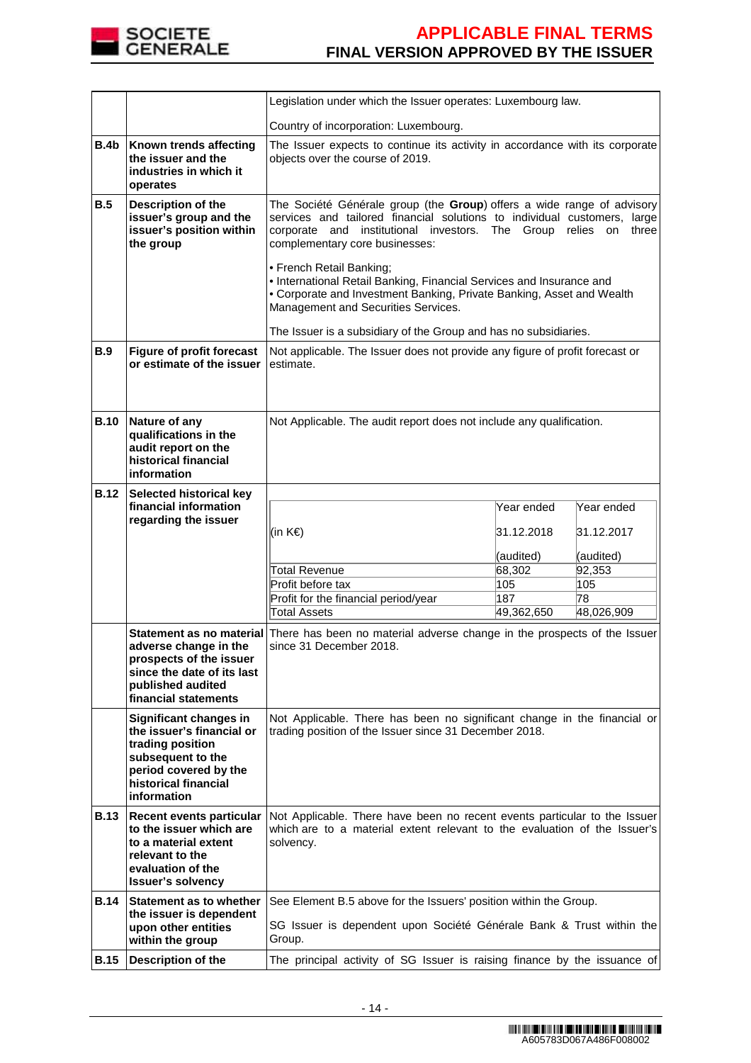

|             |                                                                                                                                                              | Legislation under which the Issuer operates: Luxembourg law.                                                                                                                                                                                                                                                                                                                                                                                                                                                                                     |                          |                          |
|-------------|--------------------------------------------------------------------------------------------------------------------------------------------------------------|--------------------------------------------------------------------------------------------------------------------------------------------------------------------------------------------------------------------------------------------------------------------------------------------------------------------------------------------------------------------------------------------------------------------------------------------------------------------------------------------------------------------------------------------------|--------------------------|--------------------------|
|             |                                                                                                                                                              | Country of incorporation: Luxembourg.                                                                                                                                                                                                                                                                                                                                                                                                                                                                                                            |                          |                          |
| B.4b        | Known trends affecting<br>the issuer and the<br>industries in which it<br>operates                                                                           | The Issuer expects to continue its activity in accordance with its corporate<br>objects over the course of 2019.                                                                                                                                                                                                                                                                                                                                                                                                                                 |                          |                          |
| B.5         | Description of the<br>issuer's group and the<br>issuer's position within<br>the group                                                                        | The Société Générale group (the Group) offers a wide range of advisory<br>services and tailored financial solutions to individual customers, large<br>corporate and institutional investors. The Group relies on three<br>complementary core businesses:<br>• French Retail Banking;<br>. International Retail Banking, Financial Services and Insurance and<br>• Corporate and Investment Banking, Private Banking, Asset and Wealth<br>Management and Securities Services.<br>The Issuer is a subsidiary of the Group and has no subsidiaries. |                          |                          |
| <b>B.9</b>  | <b>Figure of profit forecast</b><br>or estimate of the issuer                                                                                                | Not applicable. The Issuer does not provide any figure of profit forecast or<br>estimate.                                                                                                                                                                                                                                                                                                                                                                                                                                                        |                          |                          |
| <b>B.10</b> | Nature of any<br>qualifications in the<br>audit report on the<br>historical financial<br>information                                                         | Not Applicable. The audit report does not include any qualification.                                                                                                                                                                                                                                                                                                                                                                                                                                                                             |                          |                          |
| <b>B.12</b> | <b>Selected historical key</b>                                                                                                                               |                                                                                                                                                                                                                                                                                                                                                                                                                                                                                                                                                  |                          |                          |
|             | financial information<br>regarding the issuer                                                                                                                | (in K€)                                                                                                                                                                                                                                                                                                                                                                                                                                                                                                                                          | Year ended<br>31.12.2018 | Year ended<br>31.12.2017 |
|             |                                                                                                                                                              | <b>Total Revenue</b>                                                                                                                                                                                                                                                                                                                                                                                                                                                                                                                             | (audited)<br>68,302      | (audited)<br>92,353      |
|             |                                                                                                                                                              | Profit before tax                                                                                                                                                                                                                                                                                                                                                                                                                                                                                                                                | 105                      | 105                      |
|             |                                                                                                                                                              | Profit for the financial period/year                                                                                                                                                                                                                                                                                                                                                                                                                                                                                                             | 187                      | 78                       |
|             |                                                                                                                                                              | Total Assets                                                                                                                                                                                                                                                                                                                                                                                                                                                                                                                                     | 49,362,650               | 48,026,909               |
|             | adverse change in the<br>prospects of the issuer<br>since the date of its last<br>published audited<br>financial statements                                  | Statement as no material There has been no material adverse change in the prospects of the Issuer<br>since 31 December 2018.                                                                                                                                                                                                                                                                                                                                                                                                                     |                          |                          |
|             | Significant changes in<br>the issuer's financial or<br>trading position<br>subsequent to the<br>period covered by the<br>historical financial<br>information | Not Applicable. There has been no significant change in the financial or<br>trading position of the Issuer since 31 December 2018.                                                                                                                                                                                                                                                                                                                                                                                                               |                          |                          |
| B.13        | <b>Recent events particular</b><br>to the issuer which are<br>to a material extent<br>relevant to the<br>evaluation of the<br><b>Issuer's solvency</b>       | Not Applicable. There have been no recent events particular to the Issuer<br>which are to a material extent relevant to the evaluation of the Issuer's<br>solvency.                                                                                                                                                                                                                                                                                                                                                                              |                          |                          |
| <b>B.14</b> | Statement as to whether                                                                                                                                      | See Element B.5 above for the Issuers' position within the Group.                                                                                                                                                                                                                                                                                                                                                                                                                                                                                |                          |                          |
|             | the issuer is dependent<br>upon other entities<br>within the group                                                                                           | SG Issuer is dependent upon Société Générale Bank & Trust within the<br>Group.                                                                                                                                                                                                                                                                                                                                                                                                                                                                   |                          |                          |
| <b>B.15</b> | <b>Description of the</b>                                                                                                                                    | The principal activity of SG Issuer is raising finance by the issuance of                                                                                                                                                                                                                                                                                                                                                                                                                                                                        |                          |                          |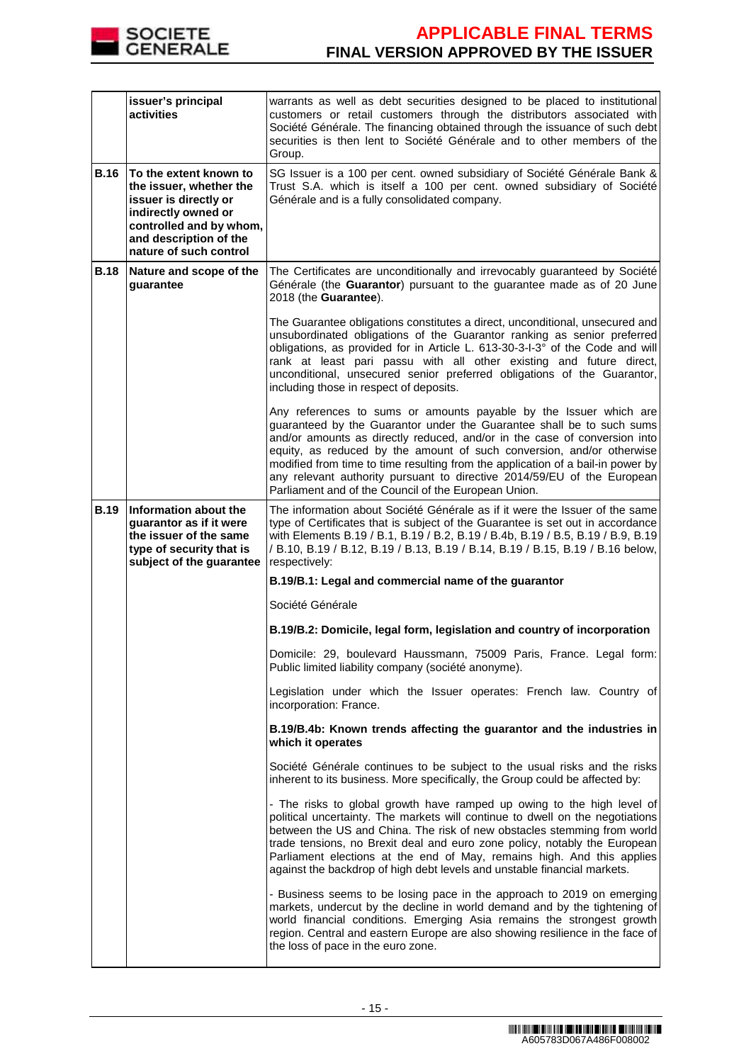

|             | issuer's principal<br>activities                                                                                                                                                 | warrants as well as debt securities designed to be placed to institutional<br>customers or retail customers through the distributors associated with<br>Société Générale. The financing obtained through the issuance of such debt<br>securities is then lent to Société Générale and to other members of the<br>Group.                                                                                                                                                                                                |  |
|-------------|----------------------------------------------------------------------------------------------------------------------------------------------------------------------------------|------------------------------------------------------------------------------------------------------------------------------------------------------------------------------------------------------------------------------------------------------------------------------------------------------------------------------------------------------------------------------------------------------------------------------------------------------------------------------------------------------------------------|--|
| <b>B.16</b> | To the extent known to<br>the issuer, whether the<br>issuer is directly or<br>indirectly owned or<br>controlled and by whom,<br>and description of the<br>nature of such control | SG Issuer is a 100 per cent. owned subsidiary of Société Générale Bank &<br>Trust S.A. which is itself a 100 per cent. owned subsidiary of Société<br>Générale and is a fully consolidated company.                                                                                                                                                                                                                                                                                                                    |  |
| <b>B.18</b> | Nature and scope of the<br>guarantee                                                                                                                                             | The Certificates are unconditionally and irrevocably guaranteed by Société<br>Générale (the Guarantor) pursuant to the guarantee made as of 20 June<br>2018 (the Guarantee).                                                                                                                                                                                                                                                                                                                                           |  |
|             |                                                                                                                                                                                  | The Guarantee obligations constitutes a direct, unconditional, unsecured and<br>unsubordinated obligations of the Guarantor ranking as senior preferred<br>obligations, as provided for in Article L. 613-30-3-I-3° of the Code and will<br>rank at least pari passu with all other existing and future direct,<br>unconditional, unsecured senior preferred obligations of the Guarantor,<br>including those in respect of deposits.                                                                                  |  |
|             |                                                                                                                                                                                  | Any references to sums or amounts payable by the Issuer which are<br>guaranteed by the Guarantor under the Guarantee shall be to such sums<br>and/or amounts as directly reduced, and/or in the case of conversion into<br>equity, as reduced by the amount of such conversion, and/or otherwise<br>modified from time to time resulting from the application of a bail-in power by<br>any relevant authority pursuant to directive 2014/59/EU of the European<br>Parliament and of the Council of the European Union. |  |
| <b>B.19</b> | Information about the<br>guarantor as if it were<br>the issuer of the same<br>type of security that is<br>subject of the guarantee                                               | The information about Société Générale as if it were the Issuer of the same<br>type of Certificates that is subject of the Guarantee is set out in accordance<br>with Elements B.19 / B.1, B.19 / B.2, B.19 / B.4b, B.19 / B.5, B.19 / B.9, B.19<br>/ B.10, B.19 / B.12, B.19 / B.13, B.19 / B.14, B.19 / B.15, B.19 / B.16 below,<br>respectively:                                                                                                                                                                    |  |
|             |                                                                                                                                                                                  | B.19/B.1: Legal and commercial name of the guarantor                                                                                                                                                                                                                                                                                                                                                                                                                                                                   |  |
|             |                                                                                                                                                                                  | Société Générale                                                                                                                                                                                                                                                                                                                                                                                                                                                                                                       |  |
|             |                                                                                                                                                                                  | B.19/B.2: Domicile, legal form, legislation and country of incorporation                                                                                                                                                                                                                                                                                                                                                                                                                                               |  |
|             |                                                                                                                                                                                  | Domicile: 29. boulevard Haussmann, 75009 Paris, France. Legal form:<br>Public limited liability company (société anonyme).                                                                                                                                                                                                                                                                                                                                                                                             |  |
|             |                                                                                                                                                                                  | Legislation under which the Issuer operates: French law. Country of<br>incorporation: France.                                                                                                                                                                                                                                                                                                                                                                                                                          |  |
|             |                                                                                                                                                                                  | B.19/B.4b: Known trends affecting the guarantor and the industries in<br>which it operates                                                                                                                                                                                                                                                                                                                                                                                                                             |  |
|             |                                                                                                                                                                                  | Société Générale continues to be subject to the usual risks and the risks<br>inherent to its business. More specifically, the Group could be affected by:                                                                                                                                                                                                                                                                                                                                                              |  |
|             |                                                                                                                                                                                  | - The risks to global growth have ramped up owing to the high level of<br>political uncertainty. The markets will continue to dwell on the negotiations<br>between the US and China. The risk of new obstacles stemming from world<br>trade tensions, no Brexit deal and euro zone policy, notably the European<br>Parliament elections at the end of May, remains high. And this applies<br>against the backdrop of high debt levels and unstable financial markets.                                                  |  |
|             |                                                                                                                                                                                  | - Business seems to be losing pace in the approach to 2019 on emerging<br>markets, undercut by the decline in world demand and by the tightening of<br>world financial conditions. Emerging Asia remains the strongest growth<br>region. Central and eastern Europe are also showing resilience in the face of<br>the loss of pace in the euro zone.                                                                                                                                                                   |  |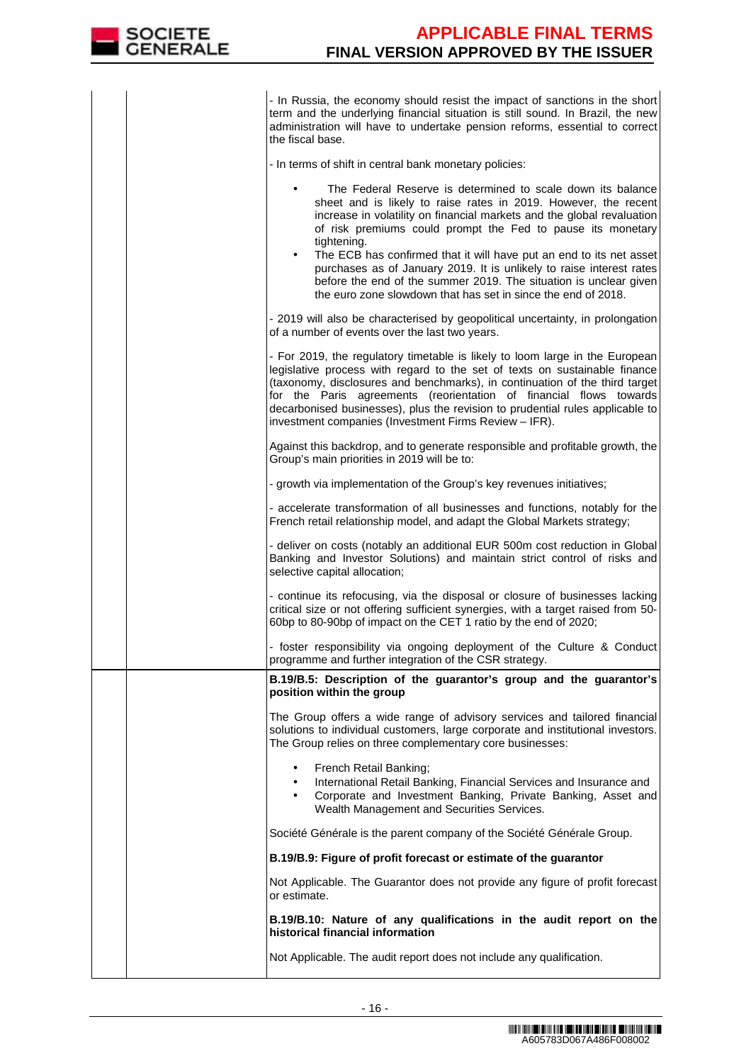

- In Russia, the economy should resist the impact of sanctions in the short term and the underlying financial situation is still sound. In Brazil, the new administration will have to undertake pension reforms, essential to correct the fiscal base.

- In terms of shift in central bank monetary policies

|  | - In terms of shift in central bank monetary policies:                                                                                                                                                                                                                                                                                                                                                                                                                                                                                                                                   |
|--|------------------------------------------------------------------------------------------------------------------------------------------------------------------------------------------------------------------------------------------------------------------------------------------------------------------------------------------------------------------------------------------------------------------------------------------------------------------------------------------------------------------------------------------------------------------------------------------|
|  | The Federal Reserve is determined to scale down its balance<br>sheet and is likely to raise rates in 2019. However, the recent<br>increase in volatility on financial markets and the global revaluation<br>of risk premiums could prompt the Fed to pause its monetary<br>tightening.<br>The ECB has confirmed that it will have put an end to its net asset<br>$\bullet$<br>purchases as of January 2019. It is unlikely to raise interest rates<br>before the end of the summer 2019. The situation is unclear given<br>the euro zone slowdown that has set in since the end of 2018. |
|  | - 2019 will also be characterised by geopolitical uncertainty, in prolongation<br>of a number of events over the last two years.                                                                                                                                                                                                                                                                                                                                                                                                                                                         |
|  | - For 2019, the regulatory timetable is likely to loom large in the European<br>legislative process with regard to the set of texts on sustainable finance<br>(taxonomy, disclosures and benchmarks), in continuation of the third target<br>for the Paris agreements (reorientation of financial flows towards<br>decarbonised businesses), plus the revision to prudential rules applicable to<br>investment companies (Investment Firms Review - IFR).                                                                                                                                |
|  | Against this backdrop, and to generate responsible and profitable growth, the<br>Group's main priorities in 2019 will be to:                                                                                                                                                                                                                                                                                                                                                                                                                                                             |
|  | - growth via implementation of the Group's key revenues initiatives;                                                                                                                                                                                                                                                                                                                                                                                                                                                                                                                     |
|  | - accelerate transformation of all businesses and functions, notably for the<br>French retail relationship model, and adapt the Global Markets strategy;                                                                                                                                                                                                                                                                                                                                                                                                                                 |
|  | - deliver on costs (notably an additional EUR 500m cost reduction in Global<br>Banking and Investor Solutions) and maintain strict control of risks and<br>selective capital allocation;                                                                                                                                                                                                                                                                                                                                                                                                 |
|  | - continue its refocusing, via the disposal or closure of businesses lacking<br>critical size or not offering sufficient synergies, with a target raised from 50-<br>60bp to 80-90bp of impact on the CET 1 ratio by the end of 2020;                                                                                                                                                                                                                                                                                                                                                    |
|  | - foster responsibility via ongoing deployment of the Culture & Conduct<br>programme and further integration of the CSR strategy.                                                                                                                                                                                                                                                                                                                                                                                                                                                        |
|  | B.19/B.5: Description of the guarantor's group and the guarantor's<br>position within the group                                                                                                                                                                                                                                                                                                                                                                                                                                                                                          |
|  | The Group offers a wide range of advisory services and tailored financial<br>solutions to individual customers, large corporate and institutional investors.<br>The Group relies on three complementary core businesses:                                                                                                                                                                                                                                                                                                                                                                 |
|  | French Retail Banking;<br>International Retail Banking, Financial Services and Insurance and<br>Corporate and Investment Banking, Private Banking, Asset and<br>$\bullet$<br>Wealth Management and Securities Services.                                                                                                                                                                                                                                                                                                                                                                  |
|  | Société Générale is the parent company of the Société Générale Group.                                                                                                                                                                                                                                                                                                                                                                                                                                                                                                                    |
|  | B.19/B.9: Figure of profit forecast or estimate of the guarantor                                                                                                                                                                                                                                                                                                                                                                                                                                                                                                                         |
|  | Not Applicable. The Guarantor does not provide any figure of profit forecast<br>or estimate.                                                                                                                                                                                                                                                                                                                                                                                                                                                                                             |
|  | B.19/B.10: Nature of any qualifications in the audit report on the<br>historical financial information                                                                                                                                                                                                                                                                                                                                                                                                                                                                                   |
|  | Not Applicable. The audit report does not include any qualification.                                                                                                                                                                                                                                                                                                                                                                                                                                                                                                                     |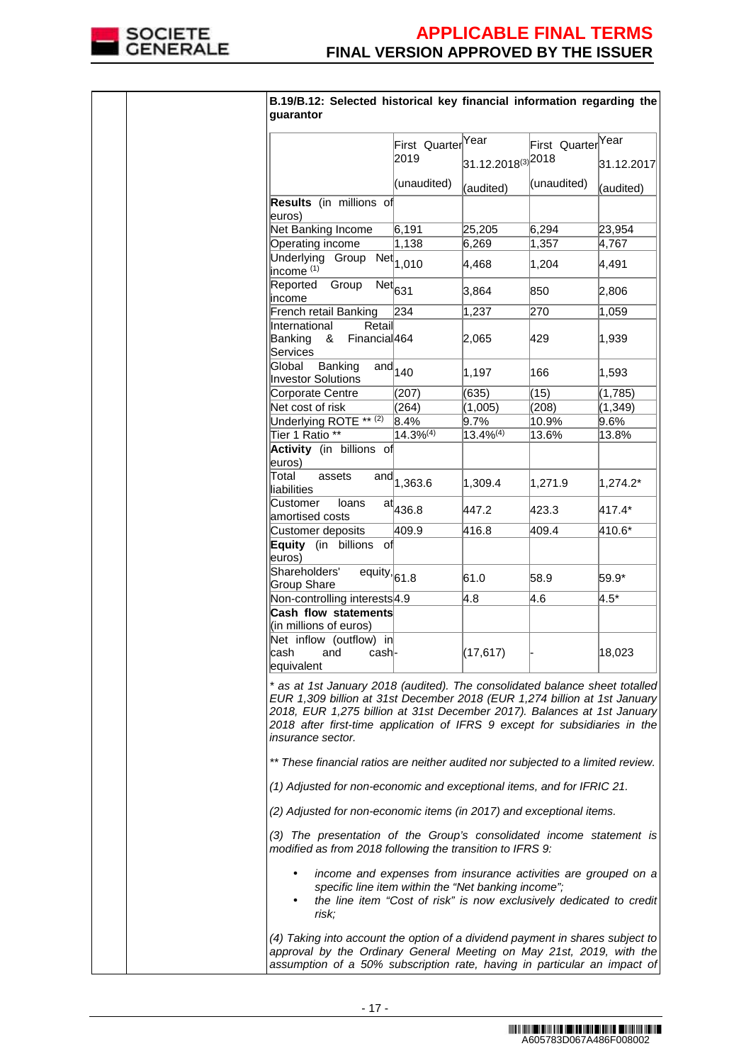

| B.19/B.12: Selected historical key financial information regarding the<br>guarantor                                                                                                                                                                                                                                                           |                                          |                                    |                               |            |
|-----------------------------------------------------------------------------------------------------------------------------------------------------------------------------------------------------------------------------------------------------------------------------------------------------------------------------------------------|------------------------------------------|------------------------------------|-------------------------------|------------|
|                                                                                                                                                                                                                                                                                                                                               | First Quarter <sup>Year</sup>            |                                    | First Quarter <sup>Year</sup> |            |
|                                                                                                                                                                                                                                                                                                                                               | 2019                                     | $31.12.2018^{(3)}$ <sup>2018</sup> |                               | 31.12.2017 |
|                                                                                                                                                                                                                                                                                                                                               | (unaudited)                              | (audited)                          | (unaudited)                   | (audited)  |
| Results (in millions of<br>euros)                                                                                                                                                                                                                                                                                                             |                                          |                                    |                               |            |
| Net Banking Income                                                                                                                                                                                                                                                                                                                            | 6,191                                    | 25,205                             | 6,294                         | 23,954     |
| Operating income                                                                                                                                                                                                                                                                                                                              | 1,138                                    | 6,269                              | 1,357                         | 4,767      |
| Underlying Group<br>income <sup>(1)</sup>                                                                                                                                                                                                                                                                                                     | $\overline{\text{Net}}$ <sub>1,010</sub> | 4,468                              | 1,204                         | 4,491      |
| Reported<br>Group<br>income                                                                                                                                                                                                                                                                                                                   | $\overline{\text{Net}}_{631}$            | 3,864                              | 850                           | 2,806      |
| French retail Banking                                                                                                                                                                                                                                                                                                                         | 234                                      | 1,237                              | 270                           | 1,059      |
| International<br>Retail<br>Banking<br>Financial <sub>464</sub><br>&<br>Services                                                                                                                                                                                                                                                               |                                          | 2,065                              | 429                           | 1,939      |
| Global<br>Banking<br><b>Investor Solutions</b>                                                                                                                                                                                                                                                                                                | $\overline{\text{and}}_{140}$            | 1,197                              | 166                           | 1,593      |
| Corporate Centre                                                                                                                                                                                                                                                                                                                              | (207)                                    | (635)                              | (15)                          | (1,785)    |
| Net cost of risk                                                                                                                                                                                                                                                                                                                              | (264)                                    | (1,005)                            | (208)                         | (1, 349)   |
| Underlying ROTE ** (2)                                                                                                                                                                                                                                                                                                                        | 8.4%                                     | 9.7%                               | 10.9%                         | $9.6\%$    |
| Tier 1 Ratio <sup>**</sup>                                                                                                                                                                                                                                                                                                                    | $14.3%^{(4)}$                            | $13.4\%^{(4)}$                     | 13.6%                         | 13.8%      |
| Activity (in billions of<br>euros)<br>Total<br>assets                                                                                                                                                                                                                                                                                         |                                          |                                    |                               |            |
| liabilities                                                                                                                                                                                                                                                                                                                                   | and $1,363.6$                            | 1,309.4                            | 1,271.9                       | 1,274.2*   |
| Customer<br>loans<br>amortised costs                                                                                                                                                                                                                                                                                                          | $\mathrm{at}^{\parallel}_{436.8}$        | 447.2                              | 423.3                         | 417.4*     |
| Customer deposits                                                                                                                                                                                                                                                                                                                             | 409.9                                    | 416.8                              | 409.4                         | 410.6*     |
| Equity (in billions of<br>euros)                                                                                                                                                                                                                                                                                                              |                                          |                                    |                               |            |
| Shareholders'<br>$\overline{equity}$ , 61.8                                                                                                                                                                                                                                                                                                   |                                          | 61.0                               | 58.9                          | 59.9*      |
| Group Share<br>Non-controlling interests 4.9                                                                                                                                                                                                                                                                                                  |                                          | 4.8                                | 4.6                           | $4.5*$     |
| Cash flow statements                                                                                                                                                                                                                                                                                                                          |                                          |                                    |                               |            |
| (in millions of euros)                                                                                                                                                                                                                                                                                                                        |                                          |                                    |                               |            |
| Net inflow (outflow) in                                                                                                                                                                                                                                                                                                                       |                                          |                                    |                               |            |
| cash<br>and<br>cash-<br>equivalent                                                                                                                                                                                                                                                                                                            |                                          | (17, 617)                          |                               | 18,023     |
| * as at 1st January 2018 (audited). The consolidated balance sheet totalled<br>EUR 1,309 billion at 31st December 2018 (EUR 1,274 billion at 1st January<br>2018, EUR 1,275 billion at 31st December 2017). Balances at 1st January<br>2018 after first-time application of IFRS 9 except for subsidiaries in the<br><i>insurance sector.</i> |                                          |                                    |                               |            |
| ** These financial ratios are neither audited nor subjected to a limited review.                                                                                                                                                                                                                                                              |                                          |                                    |                               |            |
| (1) Adjusted for non-economic and exceptional items, and for IFRIC 21.                                                                                                                                                                                                                                                                        |                                          |                                    |                               |            |
| (2) Adjusted for non-economic items (in 2017) and exceptional items.                                                                                                                                                                                                                                                                          |                                          |                                    |                               |            |
| (3) The presentation of the Group's consolidated income statement is<br>modified as from 2018 following the transition to IFRS 9:                                                                                                                                                                                                             |                                          |                                    |                               |            |
| income and expenses from insurance activities are grouped on a<br>specific line item within the "Net banking income";<br>the line item "Cost of risk" is now exclusively dedicated to credit<br>risk;                                                                                                                                         |                                          |                                    |                               |            |
| (4) Taking into account the option of a dividend payment in shares subject to<br>approval by the Ordinary General Meeting on May 21st, 2019, with the<br>assumption of a 50% subscription rate, having in particular an impact of                                                                                                             |                                          |                                    |                               |            |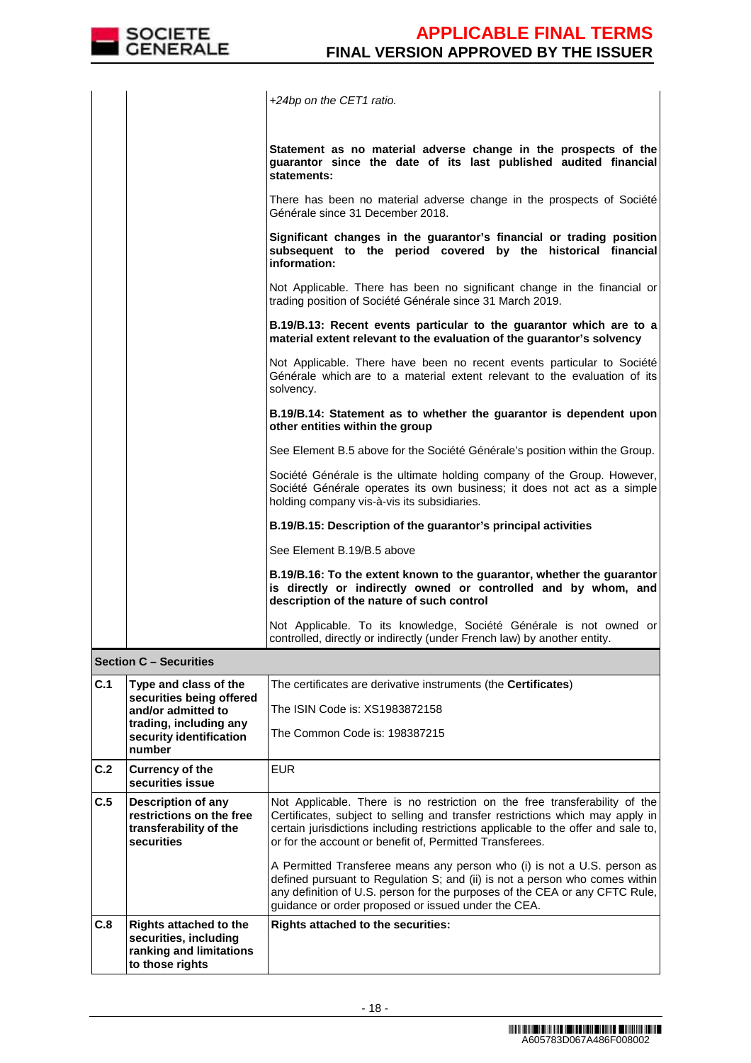

|     |                                                                                                      | +24bp on the CET1 ratio.                                                                                                                                                                                                                                                                                     |
|-----|------------------------------------------------------------------------------------------------------|--------------------------------------------------------------------------------------------------------------------------------------------------------------------------------------------------------------------------------------------------------------------------------------------------------------|
|     |                                                                                                      | Statement as no material adverse change in the prospects of the<br>guarantor since the date of its last published audited financial<br>statements:                                                                                                                                                           |
|     |                                                                                                      | There has been no material adverse change in the prospects of Société<br>Générale since 31 December 2018.                                                                                                                                                                                                    |
|     |                                                                                                      | Significant changes in the guarantor's financial or trading position<br>subsequent to the period covered by the historical financial<br>information:                                                                                                                                                         |
|     |                                                                                                      | Not Applicable. There has been no significant change in the financial or<br>trading position of Société Générale since 31 March 2019.                                                                                                                                                                        |
|     |                                                                                                      | B.19/B.13: Recent events particular to the guarantor which are to a<br>material extent relevant to the evaluation of the guarantor's solvency                                                                                                                                                                |
|     |                                                                                                      | Not Applicable. There have been no recent events particular to Société<br>Générale which are to a material extent relevant to the evaluation of its<br>solvency.                                                                                                                                             |
|     |                                                                                                      | B.19/B.14: Statement as to whether the guarantor is dependent upon<br>other entities within the group                                                                                                                                                                                                        |
|     |                                                                                                      | See Element B.5 above for the Société Générale's position within the Group.                                                                                                                                                                                                                                  |
|     |                                                                                                      | Société Générale is the ultimate holding company of the Group. However,<br>Société Générale operates its own business; it does not act as a simple<br>holding company vis-à-vis its subsidiaries.                                                                                                            |
|     |                                                                                                      | B.19/B.15: Description of the guarantor's principal activities                                                                                                                                                                                                                                               |
|     |                                                                                                      | See Element B.19/B.5 above                                                                                                                                                                                                                                                                                   |
|     |                                                                                                      | B.19/B.16: To the extent known to the guarantor, whether the guarantor<br>is directly or indirectly owned or controlled and by whom, and<br>description of the nature of such control                                                                                                                        |
|     |                                                                                                      | Not Applicable. To its knowledge, Société Générale is not owned or<br>controlled, directly or indirectly (under French law) by another entity.                                                                                                                                                               |
|     | <b>Section C - Securities</b>                                                                        |                                                                                                                                                                                                                                                                                                              |
| C.1 | Type and class of the<br>securities being offered                                                    | The certificates are derivative instruments (the Certificates)                                                                                                                                                                                                                                               |
|     | and/or admitted to                                                                                   | The ISIN Code is: XS1983872158                                                                                                                                                                                                                                                                               |
|     | trading, including any<br>security identification<br>number                                          | The Common Code is: 198387215                                                                                                                                                                                                                                                                                |
| C.2 | <b>Currency of the</b><br>securities issue                                                           | <b>EUR</b>                                                                                                                                                                                                                                                                                                   |
| C.5 | Description of any<br>restrictions on the free<br>transferability of the<br>securities               | Not Applicable. There is no restriction on the free transferability of the<br>Certificates, subject to selling and transfer restrictions which may apply in<br>certain jurisdictions including restrictions applicable to the offer and sale to,<br>or for the account or benefit of, Permitted Transferees. |
|     |                                                                                                      | A Permitted Transferee means any person who (i) is not a U.S. person as<br>defined pursuant to Regulation S; and (ii) is not a person who comes within<br>any definition of U.S. person for the purposes of the CEA or any CFTC Rule,<br>guidance or order proposed or issued under the CEA.                 |
| C.8 | <b>Rights attached to the</b><br>securities, including<br>ranking and limitations<br>to those rights | Rights attached to the securities:                                                                                                                                                                                                                                                                           |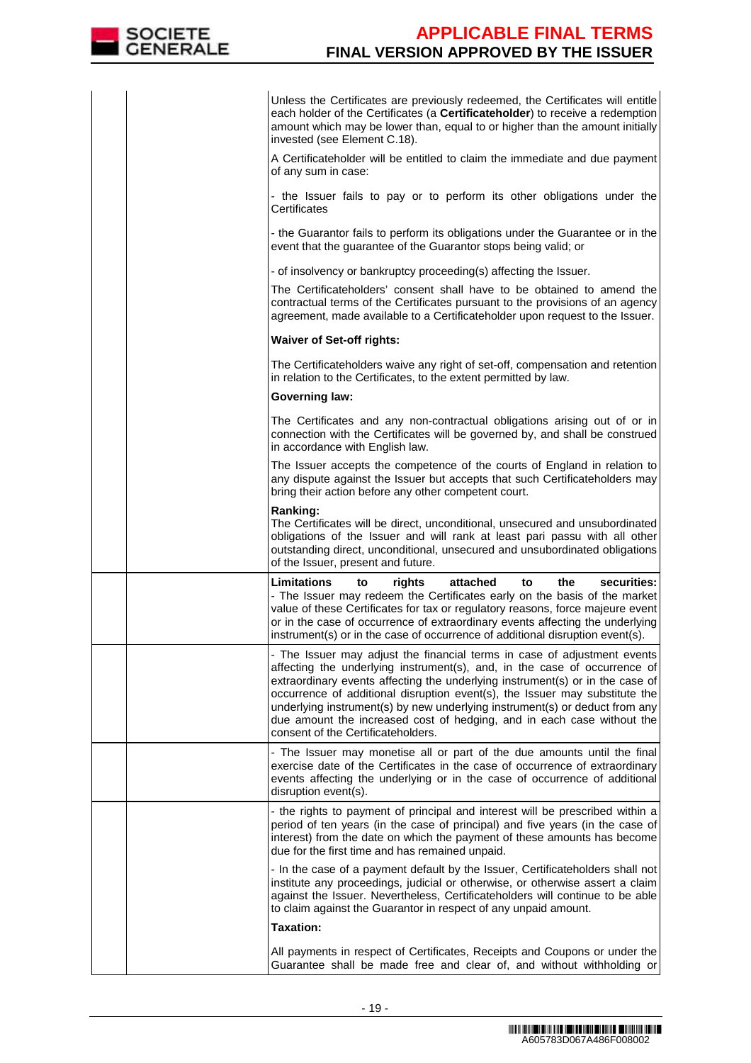

|  | Unless the Certificates are previously redeemed, the Certificates will entitle<br>each holder of the Certificates (a Certificateholder) to receive a redemption<br>amount which may be lower than, equal to or higher than the amount initially<br>invested (see Element C.18).                                                                                                                                                                                                                                    |
|--|--------------------------------------------------------------------------------------------------------------------------------------------------------------------------------------------------------------------------------------------------------------------------------------------------------------------------------------------------------------------------------------------------------------------------------------------------------------------------------------------------------------------|
|  | A Certificateholder will be entitled to claim the immediate and due payment<br>of any sum in case:                                                                                                                                                                                                                                                                                                                                                                                                                 |
|  | - the Issuer fails to pay or to perform its other obligations under the<br>Certificates                                                                                                                                                                                                                                                                                                                                                                                                                            |
|  | - the Guarantor fails to perform its obligations under the Guarantee or in the<br>event that the guarantee of the Guarantor stops being valid; or                                                                                                                                                                                                                                                                                                                                                                  |
|  | - of insolvency or bankruptcy proceeding(s) affecting the Issuer.                                                                                                                                                                                                                                                                                                                                                                                                                                                  |
|  | The Certificateholders' consent shall have to be obtained to amend the<br>contractual terms of the Certificates pursuant to the provisions of an agency<br>agreement, made available to a Certificateholder upon request to the Issuer.                                                                                                                                                                                                                                                                            |
|  | <b>Waiver of Set-off rights:</b>                                                                                                                                                                                                                                                                                                                                                                                                                                                                                   |
|  | The Certificateholders waive any right of set-off, compensation and retention<br>in relation to the Certificates, to the extent permitted by law.                                                                                                                                                                                                                                                                                                                                                                  |
|  | <b>Governing law:</b>                                                                                                                                                                                                                                                                                                                                                                                                                                                                                              |
|  | The Certificates and any non-contractual obligations arising out of or in<br>connection with the Certificates will be governed by, and shall be construed<br>in accordance with English law.                                                                                                                                                                                                                                                                                                                       |
|  | The Issuer accepts the competence of the courts of England in relation to<br>any dispute against the Issuer but accepts that such Certificateholders may<br>bring their action before any other competent court.                                                                                                                                                                                                                                                                                                   |
|  | Ranking:<br>The Certificates will be direct, unconditional, unsecured and unsubordinated<br>obligations of the Issuer and will rank at least pari passu with all other<br>outstanding direct, unconditional, unsecured and unsubordinated obligations<br>of the Issuer, present and future.                                                                                                                                                                                                                        |
|  | Limitations<br>rights<br>attached<br>the<br>securities:<br>to<br>to<br>- The Issuer may redeem the Certificates early on the basis of the market<br>value of these Certificates for tax or regulatory reasons, force majeure event<br>or in the case of occurrence of extraordinary events affecting the underlying<br>instrument(s) or in the case of occurrence of additional disruption event(s).                                                                                                               |
|  | The Issuer may adjust the financial terms in case of adjustment events<br>affecting the underlying instrument(s), and, in the case of occurrence of<br>extraordinary events affecting the underlying instrument(s) or in the case of<br>occurrence of additional disruption event(s), the Issuer may substitute the<br>underlying instrument(s) by new underlying instrument(s) or deduct from any<br>due amount the increased cost of hedging, and in each case without the<br>consent of the Certificateholders. |
|  | - The Issuer may monetise all or part of the due amounts until the final<br>exercise date of the Certificates in the case of occurrence of extraordinary<br>events affecting the underlying or in the case of occurrence of additional<br>disruption event(s).                                                                                                                                                                                                                                                     |
|  | - the rights to payment of principal and interest will be prescribed within a<br>period of ten years (in the case of principal) and five years (in the case of<br>interest) from the date on which the payment of these amounts has become<br>due for the first time and has remained unpaid.                                                                                                                                                                                                                      |
|  | - In the case of a payment default by the Issuer, Certificateholders shall not<br>institute any proceedings, judicial or otherwise, or otherwise assert a claim<br>against the Issuer. Nevertheless, Certificateholders will continue to be able<br>to claim against the Guarantor in respect of any unpaid amount.                                                                                                                                                                                                |
|  | <b>Taxation:</b>                                                                                                                                                                                                                                                                                                                                                                                                                                                                                                   |
|  | All payments in respect of Certificates, Receipts and Coupons or under the<br>Guarantee shall be made free and clear of, and without withholding or                                                                                                                                                                                                                                                                                                                                                                |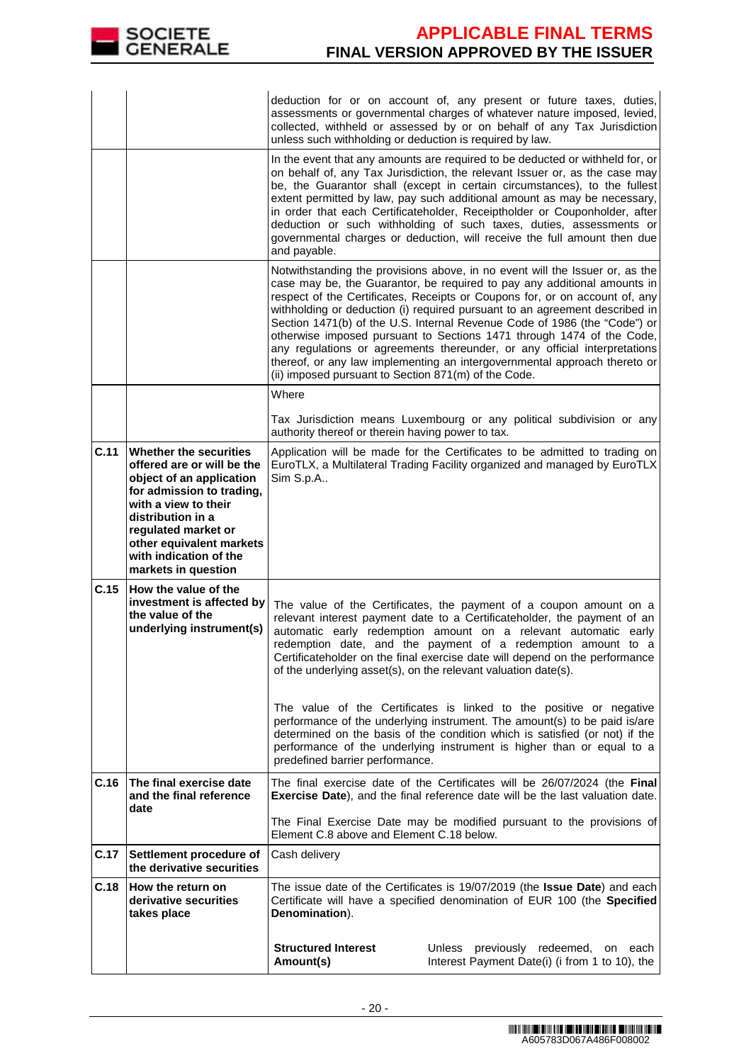

|      |                                                                                                                                                                                                                                                                | deduction for or on account of, any present or future taxes, duties,<br>assessments or governmental charges of whatever nature imposed, levied,<br>collected, withheld or assessed by or on behalf of any Tax Jurisdiction<br>unless such withholding or deduction is required by law.                                                                                                                                                                                                                                                                                                                                                                                                                                                                                            |  |  |
|------|----------------------------------------------------------------------------------------------------------------------------------------------------------------------------------------------------------------------------------------------------------------|-----------------------------------------------------------------------------------------------------------------------------------------------------------------------------------------------------------------------------------------------------------------------------------------------------------------------------------------------------------------------------------------------------------------------------------------------------------------------------------------------------------------------------------------------------------------------------------------------------------------------------------------------------------------------------------------------------------------------------------------------------------------------------------|--|--|
|      |                                                                                                                                                                                                                                                                | In the event that any amounts are required to be deducted or withheld for, or<br>on behalf of, any Tax Jurisdiction, the relevant Issuer or, as the case may<br>be, the Guarantor shall (except in certain circumstances), to the fullest<br>extent permitted by law, pay such additional amount as may be necessary,<br>in order that each Certificateholder, Receiptholder or Couponholder, after<br>deduction or such withholding of such taxes, duties, assessments or<br>governmental charges or deduction, will receive the full amount then due<br>and payable.                                                                                                                                                                                                            |  |  |
|      |                                                                                                                                                                                                                                                                | Notwithstanding the provisions above, in no event will the Issuer or, as the<br>case may be, the Guarantor, be required to pay any additional amounts in<br>respect of the Certificates, Receipts or Coupons for, or on account of, any<br>withholding or deduction (i) required pursuant to an agreement described in<br>Section 1471(b) of the U.S. Internal Revenue Code of 1986 (the "Code") or<br>otherwise imposed pursuant to Sections 1471 through 1474 of the Code,<br>any regulations or agreements thereunder, or any official interpretations<br>thereof, or any law implementing an intergovernmental approach thereto or<br>(ii) imposed pursuant to Section 871(m) of the Code.                                                                                    |  |  |
|      |                                                                                                                                                                                                                                                                | Where<br>Tax Jurisdiction means Luxembourg or any political subdivision or any                                                                                                                                                                                                                                                                                                                                                                                                                                                                                                                                                                                                                                                                                                    |  |  |
|      |                                                                                                                                                                                                                                                                | authority thereof or therein having power to tax.                                                                                                                                                                                                                                                                                                                                                                                                                                                                                                                                                                                                                                                                                                                                 |  |  |
| C.11 | Whether the securities<br>offered are or will be the<br>object of an application<br>for admission to trading,<br>with a view to their<br>distribution in a<br>regulated market or<br>other equivalent markets<br>with indication of the<br>markets in question | Application will be made for the Certificates to be admitted to trading on<br>EuroTLX, a Multilateral Trading Facility organized and managed by EuroTLX<br>Sim S.p.A                                                                                                                                                                                                                                                                                                                                                                                                                                                                                                                                                                                                              |  |  |
| C.15 | How the value of the<br>investment is affected by<br>the value of the<br>underlying instrument(s)                                                                                                                                                              | The value of the Certificates, the payment of a coupon amount on a<br>relevant interest payment date to a Certificateholder, the payment of an<br>automatic early redemption amount on a relevant automatic early<br>redemption date, and the payment of a redemption amount to a<br>Certificateholder on the final exercise date will depend on the performance<br>of the underlying asset(s), on the relevant valuation date(s).<br>The value of the Certificates is linked to the positive or negative<br>performance of the underlying instrument. The amount(s) to be paid is/are<br>determined on the basis of the condition which is satisfied (or not) if the<br>performance of the underlying instrument is higher than or equal to a<br>predefined barrier performance. |  |  |
| C.16 | The final exercise date<br>and the final reference                                                                                                                                                                                                             | The final exercise date of the Certificates will be 26/07/2024 (the Final<br><b>Exercise Date</b> ), and the final reference date will be the last valuation date.                                                                                                                                                                                                                                                                                                                                                                                                                                                                                                                                                                                                                |  |  |
|      | date                                                                                                                                                                                                                                                           | The Final Exercise Date may be modified pursuant to the provisions of<br>Element C.8 above and Element C.18 below.                                                                                                                                                                                                                                                                                                                                                                                                                                                                                                                                                                                                                                                                |  |  |
| C.17 | Settlement procedure of<br>the derivative securities                                                                                                                                                                                                           | Cash delivery                                                                                                                                                                                                                                                                                                                                                                                                                                                                                                                                                                                                                                                                                                                                                                     |  |  |
| C.18 | How the return on<br>derivative securities<br>takes place                                                                                                                                                                                                      | The issue date of the Certificates is 19/07/2019 (the Issue Date) and each<br>Certificate will have a specified denomination of EUR 100 (the Specified<br>Denomination).                                                                                                                                                                                                                                                                                                                                                                                                                                                                                                                                                                                                          |  |  |
|      |                                                                                                                                                                                                                                                                | <b>Structured Interest</b><br>Unless previously redeemed,<br>on each<br>Interest Payment Date(i) (i from 1 to 10), the<br>Amount(s)                                                                                                                                                                                                                                                                                                                                                                                                                                                                                                                                                                                                                                               |  |  |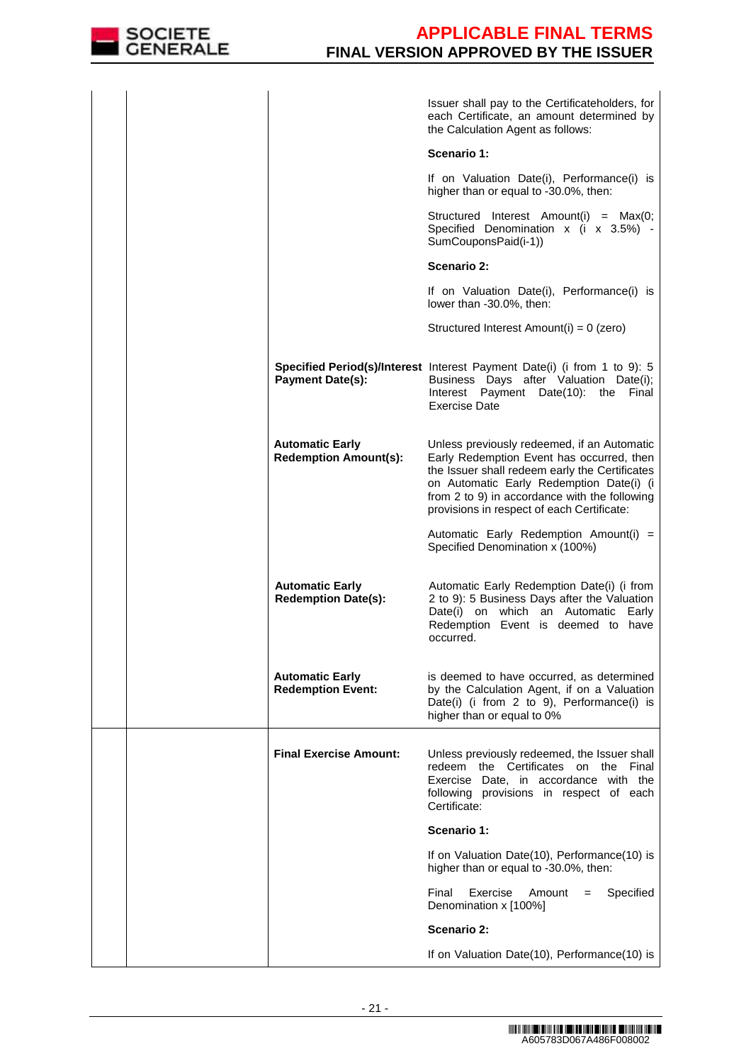

|                                                        | Issuer shall pay to the Certificateholders, for<br>each Certificate, an amount determined by<br>the Calculation Agent as follows:                                                                                                                                                     |  |
|--------------------------------------------------------|---------------------------------------------------------------------------------------------------------------------------------------------------------------------------------------------------------------------------------------------------------------------------------------|--|
|                                                        | Scenario 1:                                                                                                                                                                                                                                                                           |  |
|                                                        | If on Valuation Date(i), Performance(i) is<br>higher than or equal to -30.0%, then:                                                                                                                                                                                                   |  |
|                                                        | Structured Interest Amount(i) = Max(0;<br>Specified Denomination x (i x 3.5%) -<br>SumCouponsPaid(i-1))                                                                                                                                                                               |  |
|                                                        | Scenario 2:                                                                                                                                                                                                                                                                           |  |
|                                                        | If on Valuation Date(i), Performance(i) is<br>lower than -30.0%, then:                                                                                                                                                                                                                |  |
|                                                        | Structured Interest Amount(i) = $0$ (zero)                                                                                                                                                                                                                                            |  |
| <b>Payment Date(s):</b>                                | Specified Period(s)/Interest Interest Payment Date(i) (i from 1 to 9): 5<br>Business Days after Valuation Date(i);<br>Interest Payment Date(10): the<br>Final<br><b>Exercise Date</b>                                                                                                 |  |
| <b>Automatic Early</b><br><b>Redemption Amount(s):</b> | Unless previously redeemed, if an Automatic<br>Early Redemption Event has occurred, then<br>the Issuer shall redeem early the Certificates<br>on Automatic Early Redemption Date(i) (i<br>from 2 to 9) in accordance with the following<br>provisions in respect of each Certificate: |  |
|                                                        | Automatic Early Redemption Amount(i) =<br>Specified Denomination x (100%)                                                                                                                                                                                                             |  |
| <b>Automatic Early</b><br><b>Redemption Date(s):</b>   | Automatic Early Redemption Date(i) (i from<br>2 to 9): 5 Business Days after the Valuation<br>Date(i) on which<br>an Automatic Early<br>Redemption Event is deemed to have<br>occurred.                                                                                               |  |
| <b>Automatic Early</b><br><b>Redemption Event:</b>     | is deemed to have occurred, as determined<br>by the Calculation Agent, if on a Valuation<br>Date(i) (i from 2 to 9), Performance(i) is<br>higher than or equal to 0%                                                                                                                  |  |
| <b>Final Exercise Amount:</b>                          | Unless previously redeemed, the Issuer shall<br>the Certificates on the<br>Final<br>redeem<br>Exercise Date, in accordance with the<br>following provisions in respect of each<br>Certificate:                                                                                        |  |
|                                                        | Scenario 1:                                                                                                                                                                                                                                                                           |  |
|                                                        | If on Valuation Date(10), Performance(10) is<br>higher than or equal to -30.0%, then:                                                                                                                                                                                                 |  |
|                                                        | Specified<br>Final<br>Exercise<br>Amount<br>$=$<br>Denomination x [100%]                                                                                                                                                                                                              |  |
|                                                        | <b>Scenario 2:</b>                                                                                                                                                                                                                                                                    |  |
|                                                        | If on Valuation Date(10), Performance(10) is                                                                                                                                                                                                                                          |  |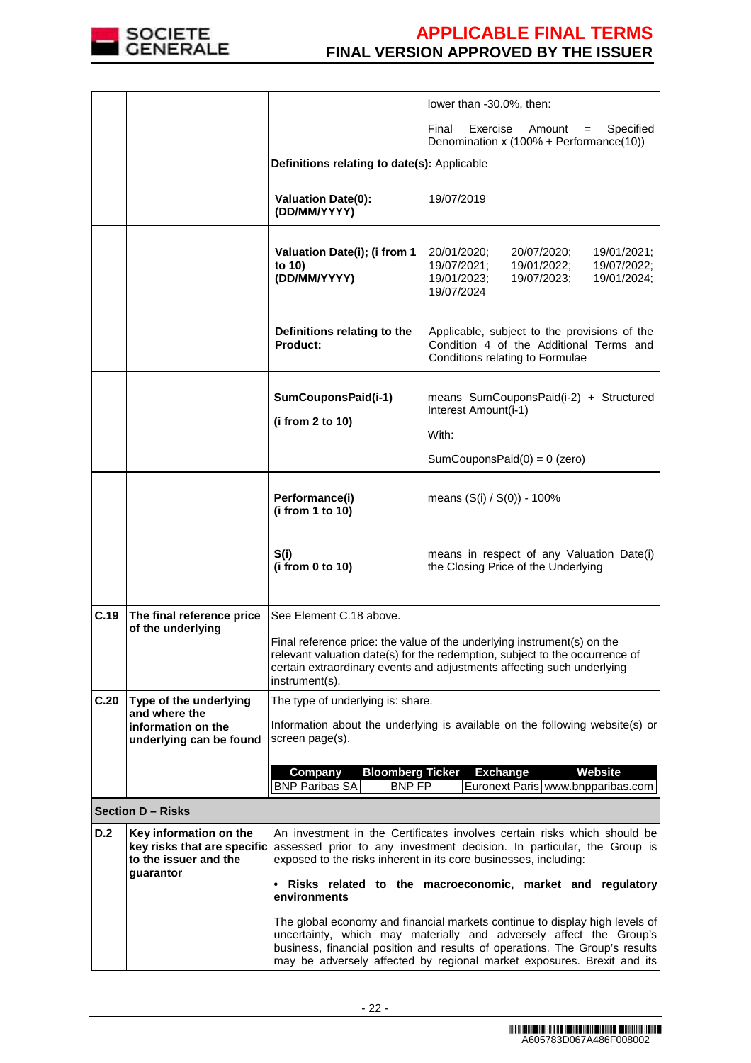

|            |                                                                                             | lower than -30.0%, then:                                                                                                                                                                                                                                                                                   |                                                                                                                                                   |  |  |  |
|------------|---------------------------------------------------------------------------------------------|------------------------------------------------------------------------------------------------------------------------------------------------------------------------------------------------------------------------------------------------------------------------------------------------------------|---------------------------------------------------------------------------------------------------------------------------------------------------|--|--|--|
|            |                                                                                             |                                                                                                                                                                                                                                                                                                            | Final<br>Exercise<br>Amount<br>Specified<br>$=$<br>Denomination x (100% + Performance(10))                                                        |  |  |  |
|            |                                                                                             | Definitions relating to date(s): Applicable                                                                                                                                                                                                                                                                |                                                                                                                                                   |  |  |  |
|            |                                                                                             | <b>Valuation Date(0):</b><br>(DD/MM/YYYY)                                                                                                                                                                                                                                                                  | 19/07/2019                                                                                                                                        |  |  |  |
|            |                                                                                             | Valuation Date(i); (i from 1<br>to 10)<br>(DD/MM/YYYY)                                                                                                                                                                                                                                                     | 20/01/2020;<br>20/07/2020;<br>19/01/2021;<br>19/07/2021;<br>19/01/2022;<br>19/07/2022;<br>19/01/2023;<br>19/07/2023;<br>19/01/2024;<br>19/07/2024 |  |  |  |
|            |                                                                                             | Definitions relating to the<br>Product:                                                                                                                                                                                                                                                                    | Applicable, subject to the provisions of the<br>Condition 4 of the Additional Terms and<br>Conditions relating to Formulae                        |  |  |  |
|            |                                                                                             | SumCouponsPaid(i-1)                                                                                                                                                                                                                                                                                        | means SumCouponsPaid(i-2) + Structured<br>Interest Amount(i-1)                                                                                    |  |  |  |
|            |                                                                                             | (i from $2$ to $10$ )                                                                                                                                                                                                                                                                                      | With:                                                                                                                                             |  |  |  |
|            |                                                                                             |                                                                                                                                                                                                                                                                                                            | SumCouponsPaid $(0) = 0$ (zero)                                                                                                                   |  |  |  |
|            |                                                                                             | Performance(i)<br>(i from 1 to 10)                                                                                                                                                                                                                                                                         | means (S(i) / S(0)) - 100%                                                                                                                        |  |  |  |
|            |                                                                                             | S(i)<br>(i from 0 to 10)                                                                                                                                                                                                                                                                                   | means in respect of any Valuation Date(i)<br>the Closing Price of the Underlying                                                                  |  |  |  |
| C.19       | The final reference price<br>of the underlying                                              | See Element C.18 above.<br>Final reference price: the value of the underlying instrument(s) on the<br>relevant valuation date(s) for the redemption, subject to the occurrence of<br>certain extraordinary events and adjustments affecting such underlying<br>instrument(s).                              |                                                                                                                                                   |  |  |  |
| C.20       | Type of the underlying<br>and where the                                                     | The type of underlying is: share.                                                                                                                                                                                                                                                                          |                                                                                                                                                   |  |  |  |
|            | information on the<br>underlying can be found                                               | screen page(s).                                                                                                                                                                                                                                                                                            | Information about the underlying is available on the following website(s) or                                                                      |  |  |  |
|            |                                                                                             | <b>Bloomberg Ticker</b><br>Company<br><b>BNP FP</b><br><b>BNP Paribas SA</b>                                                                                                                                                                                                                               | <b>Exchange</b><br>Website<br>Euronext Paris www.bnpparibas.com                                                                                   |  |  |  |
|            | <b>Section D - Risks</b>                                                                    |                                                                                                                                                                                                                                                                                                            |                                                                                                                                                   |  |  |  |
| <b>D.2</b> | Key information on the<br>key risks that are specific<br>to the issuer and the<br>guarantor | An investment in the Certificates involves certain risks which should be<br>assessed prior to any investment decision. In particular, the Group is<br>exposed to the risks inherent in its core businesses, including:<br>• Risks related to the macroeconomic, market and regulatory<br>environments      |                                                                                                                                                   |  |  |  |
|            |                                                                                             | The global economy and financial markets continue to display high levels of<br>uncertainty, which may materially and adversely affect the Group's<br>business, financial position and results of operations. The Group's results<br>may be adversely affected by regional market exposures. Brexit and its |                                                                                                                                                   |  |  |  |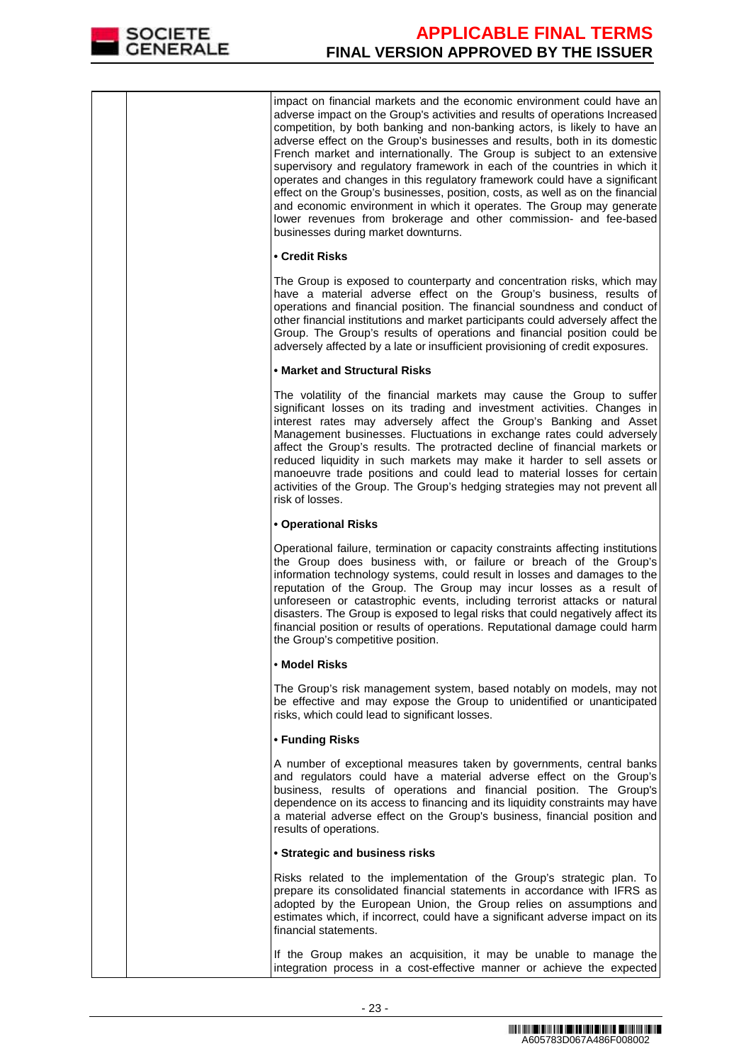

impact on financial markets and the economic environment could have an adverse impact on the Group's activities and results of operations Increased competition, by both banking and non-banking actors, is likely to have an adverse effect on the Group's businesses and results, both in its domestic French market and internationally. The Group is subject to an extensive supervisory and regulatory framework in each of the countries in which it operates and changes in this regulatory framework could have a significant effect on the Group's businesses, position, costs, as well as on the financial and economic environment in which it operates. The Group may generate lower revenues from brokerage and other commission- and fee-based businesses during market downturns.

### **• Credit Risks**

The Group is exposed to counterparty and concentration risks, which may have a material adverse effect on the Group's business, results of operations and financial position. The financial soundness and conduct of other financial institutions and market participants could adversely affect the Group. The Group's results of operations and financial position could be adversely affected by a late or insufficient provisioning of credit exposures.

## **• Market and Structural Risks**

The volatility of the financial markets may cause the Group to suffer significant losses on its trading and investment activities. Changes in interest rates may adversely affect the Group's Banking and Asset Management businesses. Fluctuations in exchange rates could adversely affect the Group's results. The protracted decline of financial markets or reduced liquidity in such markets may make it harder to sell assets or manoeuvre trade positions and could lead to material losses for certain activities of the Group. The Group's hedging strategies may not prevent all risk of losses.

### **• Operational Risks**

Operational failure, termination or capacity constraints affecting institutions the Group does business with, or failure or breach of the Group's information technology systems, could result in losses and damages to the reputation of the Group. The Group may incur losses as a result of unforeseen or catastrophic events, including terrorist attacks or natural disasters. The Group is exposed to legal risks that could negatively affect its financial position or results of operations. Reputational damage could harm the Group's competitive position.

### • **Model Risks**

The Group's risk management system, based notably on models, may not be effective and may expose the Group to unidentified or unanticipated risks, which could lead to significant losses.

## **• Funding Risks**

A number of exceptional measures taken by governments, central banks and regulators could have a material adverse effect on the Group's business, results of operations and financial position. The Group's dependence on its access to financing and its liquidity constraints may have a material adverse effect on the Group's business, financial position and results of operations.

#### **• Strategic and business risks**

Risks related to the implementation of the Group's strategic plan. To prepare its consolidated financial statements in accordance with IFRS as adopted by the European Union, the Group relies on assumptions and estimates which, if incorrect, could have a significant adverse impact on its financial statements.

If the Group makes an acquisition, it may be unable to manage the integration process in a cost-effective manner or achieve the expected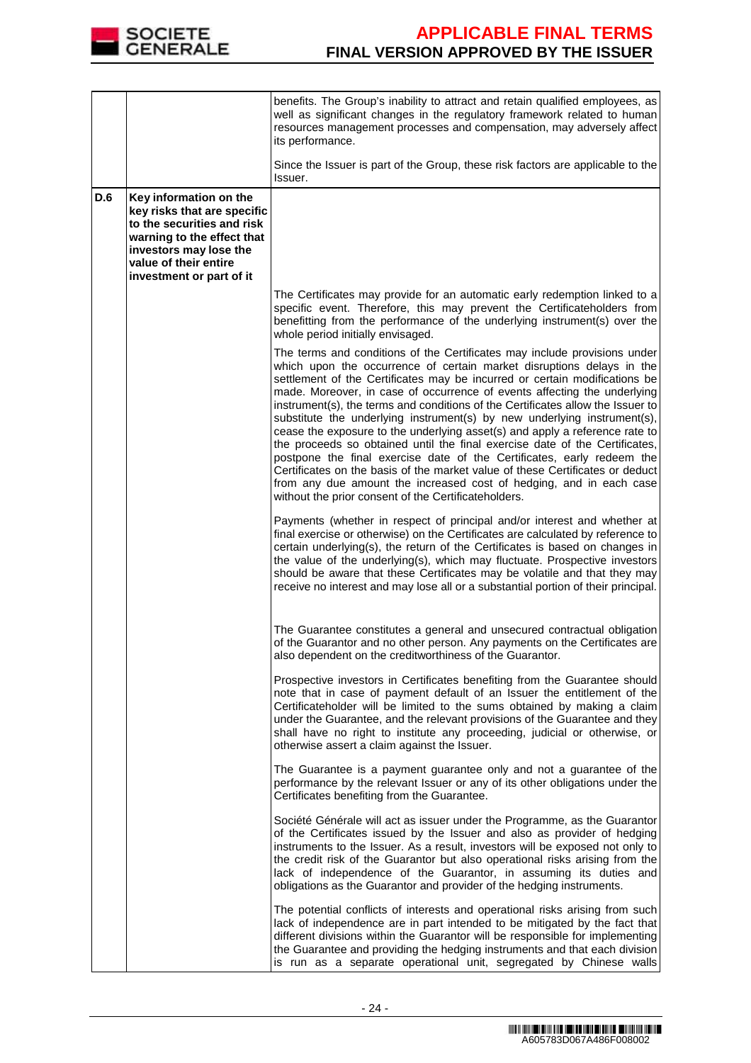

|     |                                                                                                                                                                                                  | benefits. The Group's inability to attract and retain qualified employees, as<br>well as significant changes in the regulatory framework related to human<br>resources management processes and compensation, may adversely affect<br>its performance.                                                                                                                                                                                                                                                                                                                                                                                                                                                                                                                                                                                                                                                                              |
|-----|--------------------------------------------------------------------------------------------------------------------------------------------------------------------------------------------------|-------------------------------------------------------------------------------------------------------------------------------------------------------------------------------------------------------------------------------------------------------------------------------------------------------------------------------------------------------------------------------------------------------------------------------------------------------------------------------------------------------------------------------------------------------------------------------------------------------------------------------------------------------------------------------------------------------------------------------------------------------------------------------------------------------------------------------------------------------------------------------------------------------------------------------------|
|     |                                                                                                                                                                                                  | Since the Issuer is part of the Group, these risk factors are applicable to the<br>Issuer.                                                                                                                                                                                                                                                                                                                                                                                                                                                                                                                                                                                                                                                                                                                                                                                                                                          |
| D.6 | Key information on the<br>key risks that are specific<br>to the securities and risk<br>warning to the effect that<br>investors may lose the<br>value of their entire<br>investment or part of it |                                                                                                                                                                                                                                                                                                                                                                                                                                                                                                                                                                                                                                                                                                                                                                                                                                                                                                                                     |
|     |                                                                                                                                                                                                  | The Certificates may provide for an automatic early redemption linked to a<br>specific event. Therefore, this may prevent the Certificateholders from<br>benefitting from the performance of the underlying instrument(s) over the<br>whole period initially envisaged.                                                                                                                                                                                                                                                                                                                                                                                                                                                                                                                                                                                                                                                             |
|     |                                                                                                                                                                                                  | The terms and conditions of the Certificates may include provisions under<br>which upon the occurrence of certain market disruptions delays in the<br>settlement of the Certificates may be incurred or certain modifications be<br>made. Moreover, in case of occurrence of events affecting the underlying<br>instrument(s), the terms and conditions of the Certificates allow the Issuer to<br>substitute the underlying instrument(s) by new underlying instrument(s),<br>cease the exposure to the underlying asset(s) and apply a reference rate to<br>the proceeds so obtained until the final exercise date of the Certificates,<br>postpone the final exercise date of the Certificates, early redeem the<br>Certificates on the basis of the market value of these Certificates or deduct<br>from any due amount the increased cost of hedging, and in each case<br>without the prior consent of the Certificateholders. |
|     |                                                                                                                                                                                                  | Payments (whether in respect of principal and/or interest and whether at<br>final exercise or otherwise) on the Certificates are calculated by reference to<br>certain underlying(s), the return of the Certificates is based on changes in<br>the value of the underlying(s), which may fluctuate. Prospective investors<br>should be aware that these Certificates may be volatile and that they may<br>receive no interest and may lose all or a substantial portion of their principal.                                                                                                                                                                                                                                                                                                                                                                                                                                         |
|     |                                                                                                                                                                                                  | The Guarantee constitutes a general and unsecured contractual obligation<br>of the Guarantor and no other person. Any payments on the Certificates are<br>also dependent on the creditworthiness of the Guarantor.                                                                                                                                                                                                                                                                                                                                                                                                                                                                                                                                                                                                                                                                                                                  |
|     |                                                                                                                                                                                                  | Prospective investors in Certificates benefiting from the Guarantee should<br>note that in case of payment default of an Issuer the entitlement of the<br>Certificateholder will be limited to the sums obtained by making a claim<br>under the Guarantee, and the relevant provisions of the Guarantee and they<br>shall have no right to institute any proceeding, judicial or otherwise, or<br>otherwise assert a claim against the Issuer.                                                                                                                                                                                                                                                                                                                                                                                                                                                                                      |
|     |                                                                                                                                                                                                  | The Guarantee is a payment guarantee only and not a guarantee of the<br>performance by the relevant Issuer or any of its other obligations under the<br>Certificates benefiting from the Guarantee.                                                                                                                                                                                                                                                                                                                                                                                                                                                                                                                                                                                                                                                                                                                                 |
|     |                                                                                                                                                                                                  | Société Générale will act as issuer under the Programme, as the Guarantor<br>of the Certificates issued by the Issuer and also as provider of hedging<br>instruments to the Issuer. As a result, investors will be exposed not only to<br>the credit risk of the Guarantor but also operational risks arising from the<br>lack of independence of the Guarantor, in assuming its duties and<br>obligations as the Guarantor and provider of the hedging instruments.                                                                                                                                                                                                                                                                                                                                                                                                                                                                |
|     |                                                                                                                                                                                                  | The potential conflicts of interests and operational risks arising from such<br>lack of independence are in part intended to be mitigated by the fact that<br>different divisions within the Guarantor will be responsible for implementing<br>the Guarantee and providing the hedging instruments and that each division<br>is run as a separate operational unit, segregated by Chinese walls                                                                                                                                                                                                                                                                                                                                                                                                                                                                                                                                     |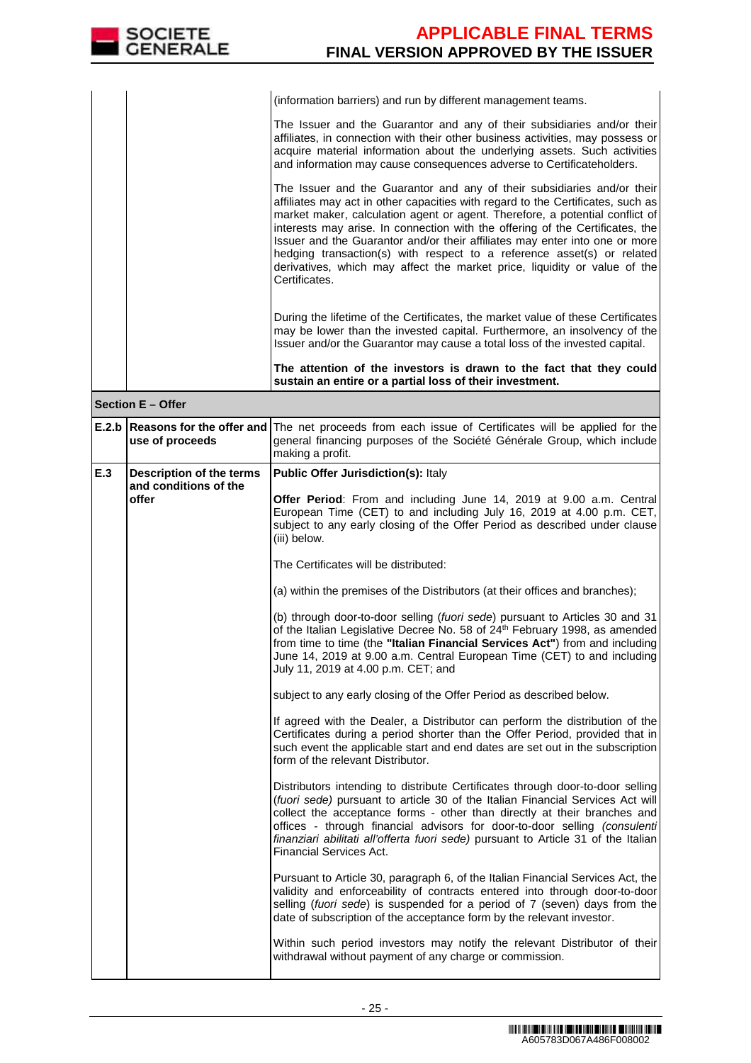

|     |                                                    | (information barriers) and run by different management teams.                                                                                                                                                                                                                                                                                                                                                                                                                                                                                                                      |
|-----|----------------------------------------------------|------------------------------------------------------------------------------------------------------------------------------------------------------------------------------------------------------------------------------------------------------------------------------------------------------------------------------------------------------------------------------------------------------------------------------------------------------------------------------------------------------------------------------------------------------------------------------------|
|     |                                                    | The Issuer and the Guarantor and any of their subsidiaries and/or their<br>affiliates, in connection with their other business activities, may possess or<br>acquire material information about the underlying assets. Such activities<br>and information may cause consequences adverse to Certificateholders.                                                                                                                                                                                                                                                                    |
|     |                                                    | The Issuer and the Guarantor and any of their subsidiaries and/or their<br>affiliates may act in other capacities with regard to the Certificates, such as<br>market maker, calculation agent or agent. Therefore, a potential conflict of<br>interests may arise. In connection with the offering of the Certificates, the<br>Issuer and the Guarantor and/or their affiliates may enter into one or more<br>hedging transaction(s) with respect to a reference asset(s) or related<br>derivatives, which may affect the market price, liquidity or value of the<br>Certificates. |
|     |                                                    | During the lifetime of the Certificates, the market value of these Certificates<br>may be lower than the invested capital. Furthermore, an insolvency of the<br>Issuer and/or the Guarantor may cause a total loss of the invested capital.                                                                                                                                                                                                                                                                                                                                        |
|     |                                                    | The attention of the investors is drawn to the fact that they could<br>sustain an entire or a partial loss of their investment.                                                                                                                                                                                                                                                                                                                                                                                                                                                    |
|     | <b>Section E - Offer</b>                           |                                                                                                                                                                                                                                                                                                                                                                                                                                                                                                                                                                                    |
|     | E.2.b Reasons for the offer and<br>use of proceeds | The net proceeds from each issue of Certificates will be applied for the<br>general financing purposes of the Société Générale Group, which include<br>making a profit.                                                                                                                                                                                                                                                                                                                                                                                                            |
| E.3 | Description of the terms                           | <b>Public Offer Jurisdiction(s): Italy</b>                                                                                                                                                                                                                                                                                                                                                                                                                                                                                                                                         |
|     | and conditions of the<br>offer                     | Offer Period: From and including June 14, 2019 at 9.00 a.m. Central<br>European Time (CET) to and including July 16, 2019 at 4.00 p.m. CET,<br>subject to any early closing of the Offer Period as described under clause<br>(iii) below.                                                                                                                                                                                                                                                                                                                                          |
|     |                                                    | The Certificates will be distributed:                                                                                                                                                                                                                                                                                                                                                                                                                                                                                                                                              |
|     |                                                    | (a) within the premises of the Distributors (at their offices and branches);                                                                                                                                                                                                                                                                                                                                                                                                                                                                                                       |
|     |                                                    |                                                                                                                                                                                                                                                                                                                                                                                                                                                                                                                                                                                    |
|     |                                                    | (b) through door-to-door selling (fuori sede) pursuant to Articles 30 and 31<br>of the Italian Legislative Decree No. 58 of 24 <sup>th</sup> February 1998, as amended<br>from time to time (the "Italian Financial Services Act") from and including<br>June 14, 2019 at 9.00 a.m. Central European Time (CET) to and including<br>July 11, 2019 at 4.00 p.m. CET; and                                                                                                                                                                                                            |
|     |                                                    | subject to any early closing of the Offer Period as described below.                                                                                                                                                                                                                                                                                                                                                                                                                                                                                                               |
|     |                                                    | If agreed with the Dealer, a Distributor can perform the distribution of the<br>Certificates during a period shorter than the Offer Period, provided that in<br>such event the applicable start and end dates are set out in the subscription<br>form of the relevant Distributor.                                                                                                                                                                                                                                                                                                 |

Financial Services Act. Pursuant to Article 30, paragraph 6, of the Italian Financial Services Act, the validity and enforceability of contracts entered into through door-to-door selling (fuori sede) is suspended for a period of 7 (seven) days from the date of subscription of the acceptance form by the relevant investor. Within such period investors may notify the relevant Distributor of their withdrawal without payment of any charge or commission.

finanziari abilitati all'offerta fuori sede) pursuant to Article 31 of the Italian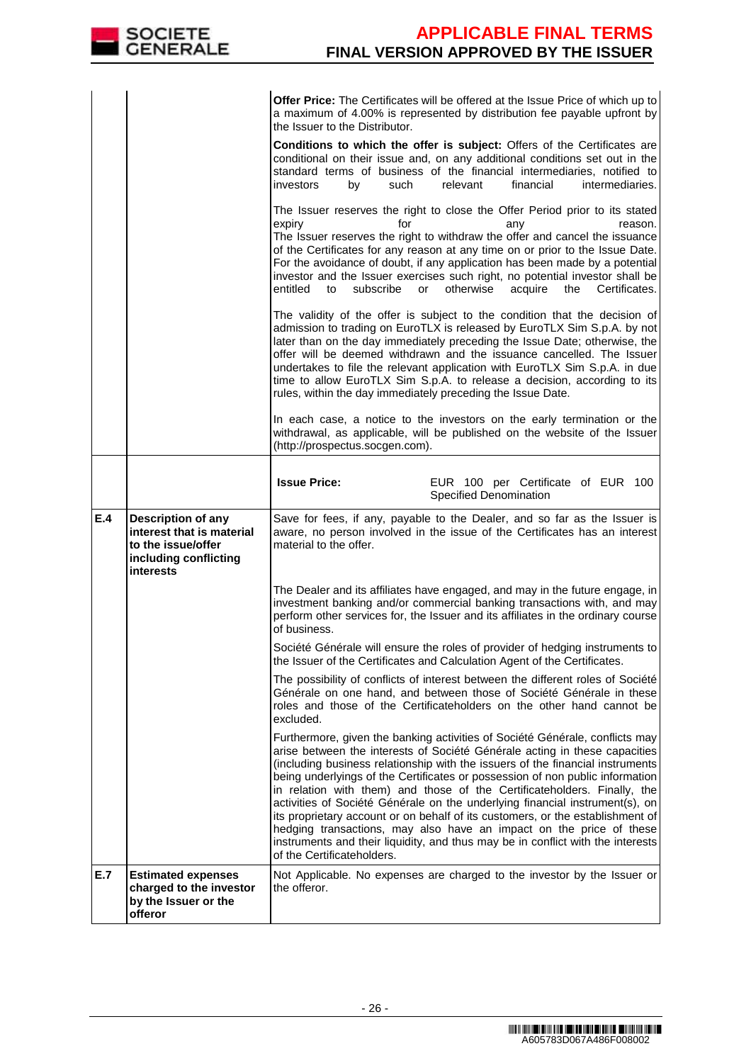|     | SOCIETE<br>GENERALE                                                                                         | <b>APPLICABLE FINAL TERMS</b><br><b>FINAL VERSION APPROVED BY THE ISSUER</b>                                                                                                                                                                                                                                                                                                                                                                                                                                                                                                                                                                                                                                                                                        |
|-----|-------------------------------------------------------------------------------------------------------------|---------------------------------------------------------------------------------------------------------------------------------------------------------------------------------------------------------------------------------------------------------------------------------------------------------------------------------------------------------------------------------------------------------------------------------------------------------------------------------------------------------------------------------------------------------------------------------------------------------------------------------------------------------------------------------------------------------------------------------------------------------------------|
|     |                                                                                                             |                                                                                                                                                                                                                                                                                                                                                                                                                                                                                                                                                                                                                                                                                                                                                                     |
|     |                                                                                                             | <b>Offer Price:</b> The Certificates will be offered at the Issue Price of which up to<br>a maximum of 4.00% is represented by distribution fee payable upfront by<br>the Issuer to the Distributor.                                                                                                                                                                                                                                                                                                                                                                                                                                                                                                                                                                |
|     |                                                                                                             | Conditions to which the offer is subject: Offers of the Certificates are<br>conditional on their issue and, on any additional conditions set out in the<br>standard terms of business of the financial intermediaries, notified to<br>relevant<br>financial<br>intermediaries.<br>by<br>such<br>investors                                                                                                                                                                                                                                                                                                                                                                                                                                                           |
|     |                                                                                                             | The Issuer reserves the right to close the Offer Period prior to its stated<br>expiry<br>for<br>reason.<br>any<br>The Issuer reserves the right to withdraw the offer and cancel the issuance<br>of the Certificates for any reason at any time on or prior to the Issue Date.<br>For the avoidance of doubt, if any application has been made by a potential<br>investor and the Issuer exercises such right, no potential investor shall be<br>subscribe<br>otherwise<br>entitled<br>or<br>acquire<br>the<br>Certificates.<br>to                                                                                                                                                                                                                                  |
|     |                                                                                                             | The validity of the offer is subject to the condition that the decision of<br>admission to trading on EuroTLX is released by EuroTLX Sim S.p.A. by not<br>later than on the day immediately preceding the Issue Date; otherwise, the<br>offer will be deemed withdrawn and the issuance cancelled. The Issuer<br>undertakes to file the relevant application with EuroTLX Sim S.p.A. in due<br>time to allow EuroTLX Sim S.p.A. to release a decision, according to its<br>rules, within the day immediately preceding the Issue Date.                                                                                                                                                                                                                              |
|     |                                                                                                             | In each case, a notice to the investors on the early termination or the<br>withdrawal, as applicable, will be published on the website of the Issuer<br>(http://prospectus.socgen.com).                                                                                                                                                                                                                                                                                                                                                                                                                                                                                                                                                                             |
|     |                                                                                                             | <b>Issue Price:</b><br>EUR 100 per Certificate of EUR 100<br><b>Specified Denomination</b>                                                                                                                                                                                                                                                                                                                                                                                                                                                                                                                                                                                                                                                                          |
| E.4 | Description of any<br>interest that is material<br>to the issue/offer<br>including conflicting<br>interests | Save for fees, if any, payable to the Dealer, and so far as the Issuer is<br>aware, no person involved in the issue of the Certificates has an interest<br>material to the offer.                                                                                                                                                                                                                                                                                                                                                                                                                                                                                                                                                                                   |
|     |                                                                                                             | The Dealer and its affiliates have engaged, and may in the future engage, in<br>investment banking and/or commercial banking transactions with, and may<br>perform other services for, the Issuer and its affiliates in the ordinary course<br>of business.                                                                                                                                                                                                                                                                                                                                                                                                                                                                                                         |
|     |                                                                                                             | Société Générale will ensure the roles of provider of hedging instruments to<br>the Issuer of the Certificates and Calculation Agent of the Certificates.                                                                                                                                                                                                                                                                                                                                                                                                                                                                                                                                                                                                           |
|     |                                                                                                             | The possibility of conflicts of interest between the different roles of Société<br>Générale on one hand, and between those of Société Générale in these<br>roles and those of the Certificateholders on the other hand cannot be<br>excluded.                                                                                                                                                                                                                                                                                                                                                                                                                                                                                                                       |
|     |                                                                                                             | Furthermore, given the banking activities of Société Générale, conflicts may<br>arise between the interests of Société Générale acting in these capacities<br>(including business relationship with the issuers of the financial instruments<br>being underlyings of the Certificates or possession of non public information<br>in relation with them) and those of the Certificateholders. Finally, the<br>activities of Société Générale on the underlying financial instrument(s), on<br>its proprietary account or on behalf of its customers, or the establishment of<br>hedging transactions, may also have an impact on the price of these<br>instruments and their liquidity, and thus may be in conflict with the interests<br>of the Certificateholders. |
| E.7 | <b>Estimated expenses</b><br>charged to the investor<br>by the Issuer or the<br>offeror                     | Not Applicable. No expenses are charged to the investor by the Issuer or<br>the offeror.                                                                                                                                                                                                                                                                                                                                                                                                                                                                                                                                                                                                                                                                            |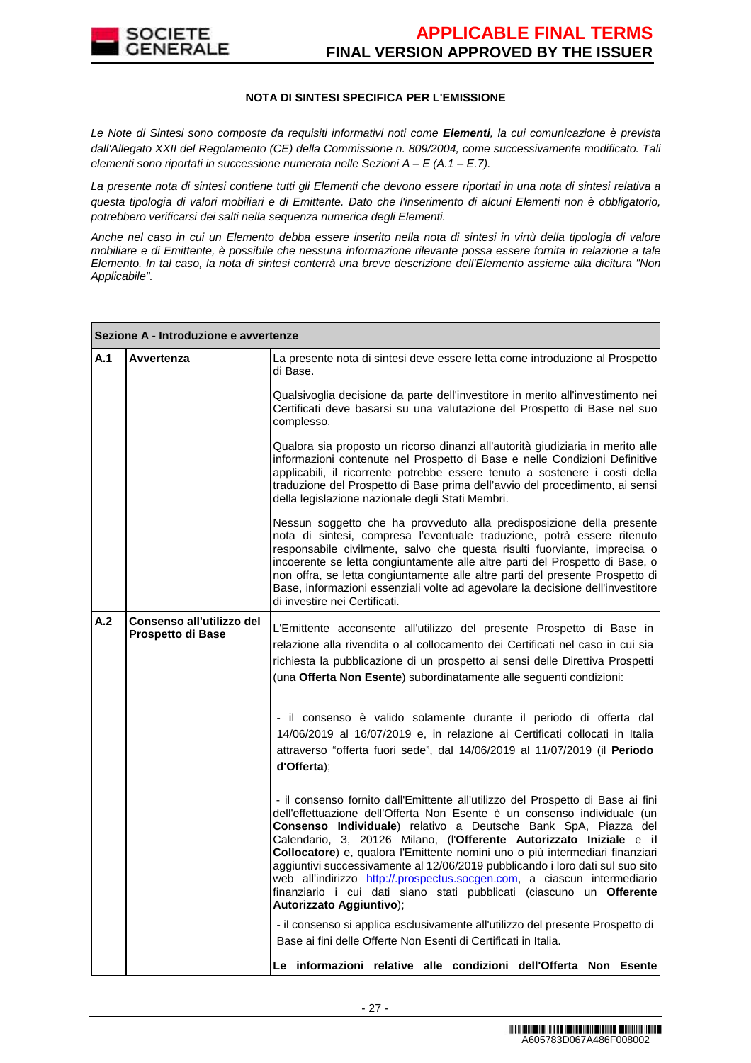

### **NOTA DI SINTESI SPECIFICA PER L'EMISSIONE**

Le Note di Sintesi sono composte da requisiti informativi noti come **Elementi**, la cui comunicazione è prevista dall'Allegato XXII del Regolamento (CE) della Commissione n. 809/2004, come successivamente modificato. Tali elementi sono riportati in successione numerata nelle Sezioni  $A - E(A.1 - E.7)$ .

La presente nota di sintesi contiene tutti gli Elementi che devono essere riportati in una nota di sintesi relativa a questa tipologia di valori mobiliari e di Emittente. Dato che l'inserimento di alcuni Elementi non è obbligatorio, potrebbero verificarsi dei salti nella sequenza numerica degli Elementi.

Anche nel caso in cui un Elemento debba essere inserito nella nota di sintesi in virtù della tipologia di valore mobiliare e di Emittente, è possibile che nessuna informazione rilevante possa essere fornita in relazione a tale Elemento. In tal caso, la nota di sintesi conterrà una breve descrizione dell'Elemento assieme alla dicitura "Non Applicabile".

|     | Sezione A - Introduzione e avvertenze          |                                                                                                                                                                                                                                                                                                                                                                                                                                                                                                                                                                                                                                                       |  |  |  |  |  |
|-----|------------------------------------------------|-------------------------------------------------------------------------------------------------------------------------------------------------------------------------------------------------------------------------------------------------------------------------------------------------------------------------------------------------------------------------------------------------------------------------------------------------------------------------------------------------------------------------------------------------------------------------------------------------------------------------------------------------------|--|--|--|--|--|
| A.1 | Avvertenza                                     | La presente nota di sintesi deve essere letta come introduzione al Prospetto<br>di Base.                                                                                                                                                                                                                                                                                                                                                                                                                                                                                                                                                              |  |  |  |  |  |
|     |                                                | Qualsivoglia decisione da parte dell'investitore in merito all'investimento nei<br>Certificati deve basarsi su una valutazione del Prospetto di Base nel suo<br>complesso.                                                                                                                                                                                                                                                                                                                                                                                                                                                                            |  |  |  |  |  |
|     |                                                | Qualora sia proposto un ricorso dinanzi all'autorità giudiziaria in merito alle<br>informazioni contenute nel Prospetto di Base e nelle Condizioni Definitive<br>applicabili, il ricorrente potrebbe essere tenuto a sostenere i costi della<br>traduzione del Prospetto di Base prima dell'avvio del procedimento, ai sensi<br>della legislazione nazionale degli Stati Membri.                                                                                                                                                                                                                                                                      |  |  |  |  |  |
|     |                                                | Nessun soggetto che ha provveduto alla predisposizione della presente<br>nota di sintesi, compresa l'eventuale traduzione, potrà essere ritenuto<br>responsabile civilmente, salvo che questa risulti fuorviante, imprecisa o<br>incoerente se letta congiuntamente alle altre parti del Prospetto di Base, o<br>non offra, se letta congiuntamente alle altre parti del presente Prospetto di<br>Base, informazioni essenziali volte ad agevolare la decisione dell'investitore<br>di investire nei Certificati.                                                                                                                                     |  |  |  |  |  |
| A.2 | Consenso all'utilizzo del<br>Prospetto di Base | L'Emittente acconsente all'utilizzo del presente Prospetto di Base in<br>relazione alla rivendita o al collocamento dei Certificati nel caso in cui sia<br>richiesta la pubblicazione di un prospetto ai sensi delle Direttiva Prospetti<br>(una Offerta Non Esente) subordinatamente alle seguenti condizioni:                                                                                                                                                                                                                                                                                                                                       |  |  |  |  |  |
|     |                                                | - il consenso è valido solamente durante il periodo di offerta dal<br>14/06/2019 al 16/07/2019 e, in relazione ai Certificati collocati in Italia<br>attraverso "offerta fuori sede", dal 14/06/2019 al 11/07/2019 (il Periodo<br>d'Offerta);                                                                                                                                                                                                                                                                                                                                                                                                         |  |  |  |  |  |
|     |                                                | - il consenso fornito dall'Emittente all'utilizzo del Prospetto di Base ai fini<br>dell'effettuazione dell'Offerta Non Esente è un consenso individuale (un<br>Consenso Individuale) relativo a Deutsche Bank SpA, Piazza del<br>Calendario, 3, 20126 Milano, (l'Offerente Autorizzato Iniziale e il<br>Collocatore) e, qualora l'Emittente nomini uno o più intermediari finanziari<br>aggiuntivi successivamente al 12/06/2019 pubblicando i loro dati sul suo sito<br>web all'indirizzo http://.prospectus.socgen.com, a ciascun intermediario<br>finanziario i cui dati siano stati pubblicati (ciascuno un Offerente<br>Autorizzato Aggiuntivo); |  |  |  |  |  |
|     |                                                | - il consenso si applica esclusivamente all'utilizzo del presente Prospetto di<br>Base ai fini delle Offerte Non Esenti di Certificati in Italia.                                                                                                                                                                                                                                                                                                                                                                                                                                                                                                     |  |  |  |  |  |
|     |                                                | Le informazioni relative alle condizioni dell'Offerta Non Esente                                                                                                                                                                                                                                                                                                                                                                                                                                                                                                                                                                                      |  |  |  |  |  |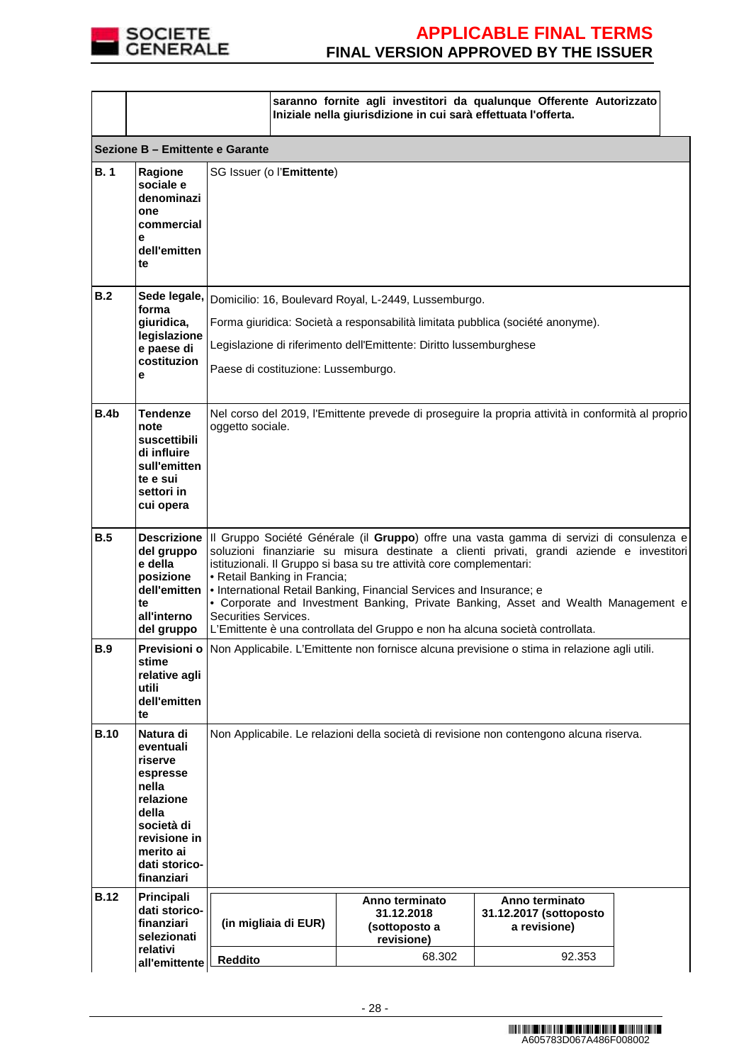

|             |                                                                                                                                                        |                                                                                                                                                                                                                                                                                                                                                                                                                                                                                                                                                                                 |                                                                                                                                                                                                                                                     | Iniziale nella giurisdizione in cui sarà effettuata l'offerta. | saranno fornite agli investitori da qualunque Offerente Autorizzato |  |
|-------------|--------------------------------------------------------------------------------------------------------------------------------------------------------|---------------------------------------------------------------------------------------------------------------------------------------------------------------------------------------------------------------------------------------------------------------------------------------------------------------------------------------------------------------------------------------------------------------------------------------------------------------------------------------------------------------------------------------------------------------------------------|-----------------------------------------------------------------------------------------------------------------------------------------------------------------------------------------------------------------------------------------------------|----------------------------------------------------------------|---------------------------------------------------------------------|--|
|             | Sezione B - Emittente e Garante                                                                                                                        |                                                                                                                                                                                                                                                                                                                                                                                                                                                                                                                                                                                 |                                                                                                                                                                                                                                                     |                                                                |                                                                     |  |
| <b>B.1</b>  | Ragione<br>sociale e<br>denominazi<br>one<br>commercial<br>e<br>dell'emitten<br>te                                                                     | SG Issuer (o l'Emittente)                                                                                                                                                                                                                                                                                                                                                                                                                                                                                                                                                       |                                                                                                                                                                                                                                                     |                                                                |                                                                     |  |
| B.2         | Sede legale,<br>forma<br>giuridica,<br>legislazione<br>e paese di<br>costituzion<br>е                                                                  |                                                                                                                                                                                                                                                                                                                                                                                                                                                                                                                                                                                 | Domicilio: 16, Boulevard Royal, L-2449, Lussemburgo.<br>Forma giuridica: Società a responsabilità limitata pubblica (société anonyme).<br>Legislazione di riferimento dell'Emittente: Diritto lussemburghese<br>Paese di costituzione: Lussemburgo. |                                                                |                                                                     |  |
| <b>B.4b</b> | <b>Tendenze</b><br>note<br>suscettibili<br>di influire<br>sull'emitten<br>te e sui<br>settori in<br>cui opera                                          |                                                                                                                                                                                                                                                                                                                                                                                                                                                                                                                                                                                 | Nel corso del 2019, l'Emittente prevede di proseguire la propria attività in conformità al proprio<br>oggetto sociale.                                                                                                                              |                                                                |                                                                     |  |
| B.5         | del gruppo<br>e della<br>posizione<br>dell'emitten<br>te<br>all'interno<br>del gruppo                                                                  | Descrizione III Gruppo Société Générale (il Gruppo) offre una vasta gamma di servizi di consulenza e<br>soluzioni finanziarie su misura destinate a clienti privati, grandi aziende e investitori<br>istituzionali. Il Gruppo si basa su tre attività core complementari:<br>• Retail Banking in Francia;<br>• International Retail Banking, Financial Services and Insurance; e<br>• Corporate and Investment Banking, Private Banking, Asset and Wealth Management e<br>Securities Services.<br>L'Emittente è una controllata del Gruppo e non ha alcuna società controllata. |                                                                                                                                                                                                                                                     |                                                                |                                                                     |  |
| <b>B.9</b>  | stime<br>relative agli<br>utili<br>dell'emitten<br>te                                                                                                  |                                                                                                                                                                                                                                                                                                                                                                                                                                                                                                                                                                                 | Previsioni o Non Applicabile. L'Emittente non fornisce alcuna previsione o stima in relazione agli utili.                                                                                                                                           |                                                                |                                                                     |  |
| <b>B.10</b> | Natura di<br>eventuali<br>riserve<br>espresse<br>nella<br>relazione<br>della<br>società di<br>revisione in<br>merito ai<br>dati storico-<br>finanziari | Non Applicabile. Le relazioni della società di revisione non contengono alcuna riserva.                                                                                                                                                                                                                                                                                                                                                                                                                                                                                         |                                                                                                                                                                                                                                                     |                                                                |                                                                     |  |
| <b>B.12</b> | Principali<br>dati storico-<br>finanziari<br>selezionati                                                                                               | (in migliaia di EUR)                                                                                                                                                                                                                                                                                                                                                                                                                                                                                                                                                            |                                                                                                                                                                                                                                                     | Anno terminato<br>31.12.2018<br>(sottoposto a<br>revisione)    | Anno terminato<br>31.12.2017 (sottoposto<br>a revisione)            |  |
|             | relativi<br>all'emittente                                                                                                                              | <b>Reddito</b>                                                                                                                                                                                                                                                                                                                                                                                                                                                                                                                                                                  |                                                                                                                                                                                                                                                     | 68.302                                                         | 92.353                                                              |  |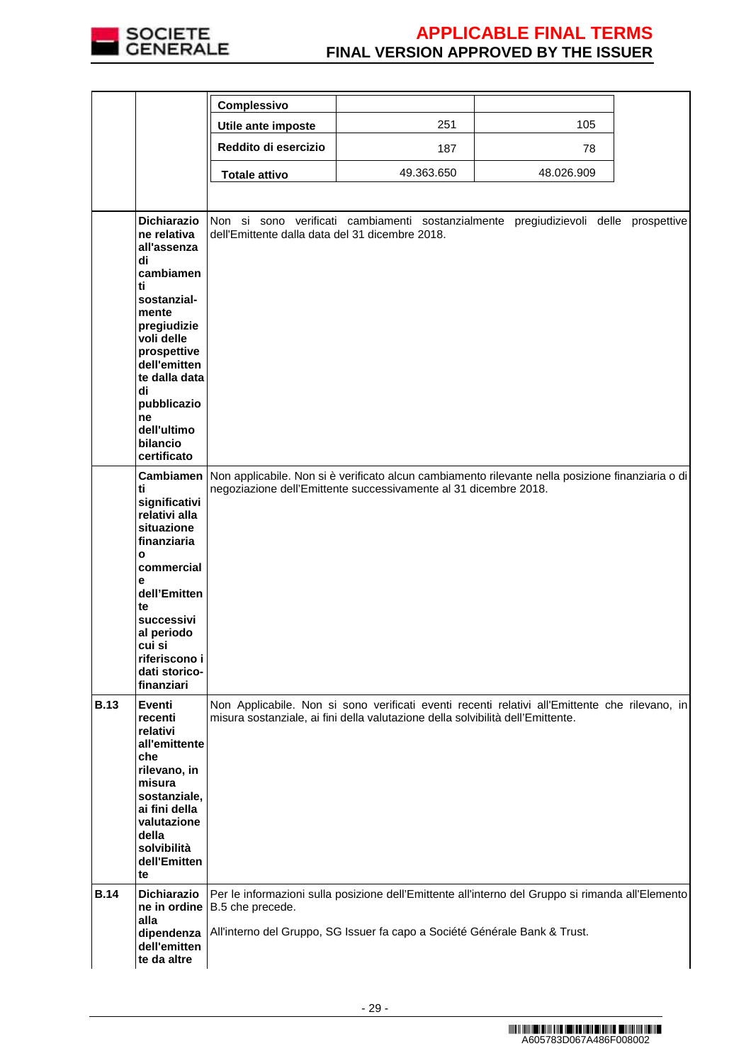

|             |                                                                                                                                                                                                                                                     | Complessivo                                     |                                                                                 |                                                                                                   |  |
|-------------|-----------------------------------------------------------------------------------------------------------------------------------------------------------------------------------------------------------------------------------------------------|-------------------------------------------------|---------------------------------------------------------------------------------|---------------------------------------------------------------------------------------------------|--|
|             |                                                                                                                                                                                                                                                     | Utile ante imposte                              | 251                                                                             | 105                                                                                               |  |
|             |                                                                                                                                                                                                                                                     | Reddito di esercizio                            | 187                                                                             | 78                                                                                                |  |
|             |                                                                                                                                                                                                                                                     | <b>Totale attivo</b>                            | 49.363.650                                                                      | 48.026.909                                                                                        |  |
|             |                                                                                                                                                                                                                                                     |                                                 |                                                                                 |                                                                                                   |  |
|             | <b>Dichiarazio</b><br>ne relativa<br>all'assenza<br>di<br>cambiamen<br>ti<br>sostanzial-<br>mente<br>pregiudizie<br>voli delle<br>prospettive<br>dell'emitten<br>te dalla data<br>di<br>pubblicazio<br>ne<br>dell'ultimo<br>bilancio<br>certificato | dell'Emittente dalla data del 31 dicembre 2018. |                                                                                 | Non si sono verificati cambiamenti sostanzialmente pregiudizievoli delle prospettive              |  |
|             | <b>Cambiamen</b><br>ti<br>significativi<br>relativi alla<br>situazione<br>finanziaria<br>O<br>commercial<br>е<br>dell'Emitten<br>te<br>successivi<br>al periodo<br>cui si<br>riferiscono i<br>dati storico-<br>finanziari                           |                                                 | negoziazione dell'Emittente successivamente al 31 dicembre 2018.                | Non applicabile. Non si è verificato alcun cambiamento rilevante nella posizione finanziaria o di |  |
| <b>B.13</b> | Eventi<br>recenti<br>relativi<br>all'emittente<br>che<br>rilevano, in<br>misura<br>sostanziale,<br>ai fini della<br>valutazione<br>della<br>solvibilità<br>dell'Emitten<br>te                                                                       |                                                 | misura sostanziale, ai fini della valutazione della solvibilità dell'Emittente. | Non Applicabile. Non si sono verificati eventi recenti relativi all'Emittente che rilevano, in    |  |
| <b>B.14</b> | <b>Dichiarazio</b><br>ne in ordine<br>alla<br>dipendenza<br>dell'emitten<br>te da altre                                                                                                                                                             | B.5 che precede.                                | All'interno del Gruppo, SG Issuer fa capo a Société Générale Bank & Trust.      | Per le informazioni sulla posizione dell'Emittente all'interno del Gruppo si rimanda all'Elemento |  |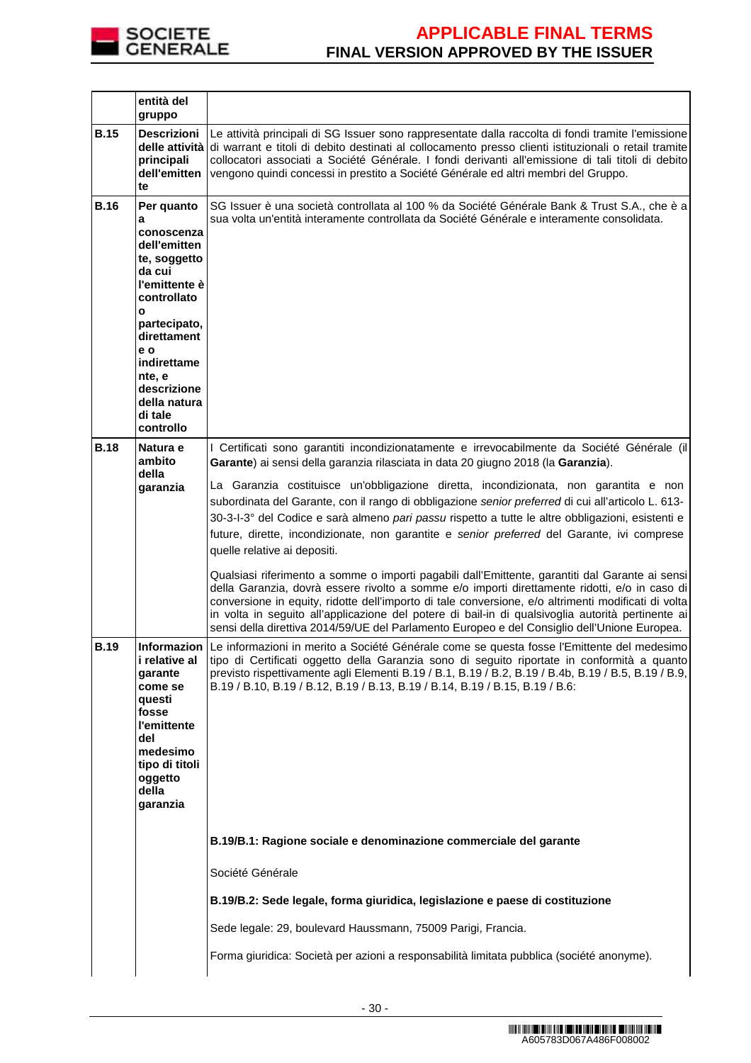

|             | entità del<br>gruppo                                                                                                                       |                                                                                                                                                                                                                                                                                                                                                                                                                                                                                                                                                                                                                                                                                                                                                                                                                                                                                                                                                                                                                                                                                                                                    |
|-------------|--------------------------------------------------------------------------------------------------------------------------------------------|------------------------------------------------------------------------------------------------------------------------------------------------------------------------------------------------------------------------------------------------------------------------------------------------------------------------------------------------------------------------------------------------------------------------------------------------------------------------------------------------------------------------------------------------------------------------------------------------------------------------------------------------------------------------------------------------------------------------------------------------------------------------------------------------------------------------------------------------------------------------------------------------------------------------------------------------------------------------------------------------------------------------------------------------------------------------------------------------------------------------------------|
| <b>B.15</b> | <b>Descrizioni</b><br>principali<br>dell'emitten<br>te                                                                                     | Le attività principali di SG Issuer sono rappresentate dalla raccolta di fondi tramite l'emissione<br>delle attività di warrant e titoli di debito destinati al collocamento presso clienti istituzionali o retail tramite<br>collocatori associati a Société Générale. I fondi derivanti all'emissione di tali titoli di debito<br>vengono quindi concessi in prestito a Société Générale ed altri membri del Gruppo.                                                                                                                                                                                                                                                                                                                                                                                                                                                                                                                                                                                                                                                                                                             |
| <b>B.16</b> | Per quanto<br>a<br>conoscenza<br>dell'emitten<br>te, soggetto<br>da cui<br>l'emittente è<br>controllato<br>$\mathbf{o}$                    | SG Issuer è una società controllata al 100 % da Société Générale Bank & Trust S.A., che è a<br>sua volta un'entità interamente controllata da Société Générale e interamente consolidata.                                                                                                                                                                                                                                                                                                                                                                                                                                                                                                                                                                                                                                                                                                                                                                                                                                                                                                                                          |
|             | partecipato,<br>direttament<br>e o<br>indirettame<br>nte, e<br>descrizione<br>della natura<br>di tale<br>controllo                         |                                                                                                                                                                                                                                                                                                                                                                                                                                                                                                                                                                                                                                                                                                                                                                                                                                                                                                                                                                                                                                                                                                                                    |
| <b>B.18</b> | Natura e<br>ambito<br>della<br>garanzia                                                                                                    | I Certificati sono garantiti incondizionatamente e irrevocabilmente da Société Générale (il<br>Garante) ai sensi della garanzia rilasciata in data 20 giugno 2018 (la Garanzia).<br>La Garanzia costituisce un'obbligazione diretta, incondizionata, non garantita e non<br>subordinata del Garante, con il rango di obbligazione senior preferred di cui all'articolo L. 613-<br>30-3-l-3° del Codice e sarà almeno pari passu rispetto a tutte le altre obbligazioni, esistenti e<br>future, dirette, incondizionate, non garantite e senior preferred del Garante, ivi comprese<br>quelle relative ai depositi.<br>Qualsiasi riferimento a somme o importi pagabili dall'Emittente, garantiti dal Garante ai sensi<br>della Garanzia, dovrà essere rivolto a somme e/o importi direttamente ridotti, e/o in caso di<br>conversione in equity, ridotte dell'importo di tale conversione, e/o altrimenti modificati di volta<br>in volta in seguito all'applicazione del potere di bail-in di qualsivoglia autorità pertinente ai<br>sensi della direttiva 2014/59/UE del Parlamento Europeo e del Consiglio dell'Unione Europea. |
| <b>B.19</b> | i relative al<br>garante<br>come se<br>questi<br>fosse<br>l'emittente<br>del<br>medesimo<br>tipo di titoli<br>oggetto<br>della<br>garanzia | Informazion Le informazioni in merito a Société Générale come se questa fosse l'Emittente del medesimo<br>tipo di Certificati oggetto della Garanzia sono di seguito riportate in conformità a quanto<br>previsto rispettivamente agli Elementi B.19 / B.1, B.19 / B.2, B.19 / B.4b, B.19 / B.5, B.19 / B.9,<br>B.19 / B.10, B.19 / B.12, B.19 / B.13, B.19 / B.14, B.19 / B.15, B.19 / B.6:                                                                                                                                                                                                                                                                                                                                                                                                                                                                                                                                                                                                                                                                                                                                       |
|             |                                                                                                                                            | B.19/B.1: Ragione sociale e denominazione commerciale del garante<br>Société Générale                                                                                                                                                                                                                                                                                                                                                                                                                                                                                                                                                                                                                                                                                                                                                                                                                                                                                                                                                                                                                                              |
|             |                                                                                                                                            | B.19/B.2: Sede legale, forma giuridica, legislazione e paese di costituzione                                                                                                                                                                                                                                                                                                                                                                                                                                                                                                                                                                                                                                                                                                                                                                                                                                                                                                                                                                                                                                                       |
|             |                                                                                                                                            | Sede legale: 29, boulevard Haussmann, 75009 Parigi, Francia.                                                                                                                                                                                                                                                                                                                                                                                                                                                                                                                                                                                                                                                                                                                                                                                                                                                                                                                                                                                                                                                                       |
|             |                                                                                                                                            | Forma giuridica: Società per azioni a responsabilità limitata pubblica (société anonyme).                                                                                                                                                                                                                                                                                                                                                                                                                                                                                                                                                                                                                                                                                                                                                                                                                                                                                                                                                                                                                                          |
|             |                                                                                                                                            |                                                                                                                                                                                                                                                                                                                                                                                                                                                                                                                                                                                                                                                                                                                                                                                                                                                                                                                                                                                                                                                                                                                                    |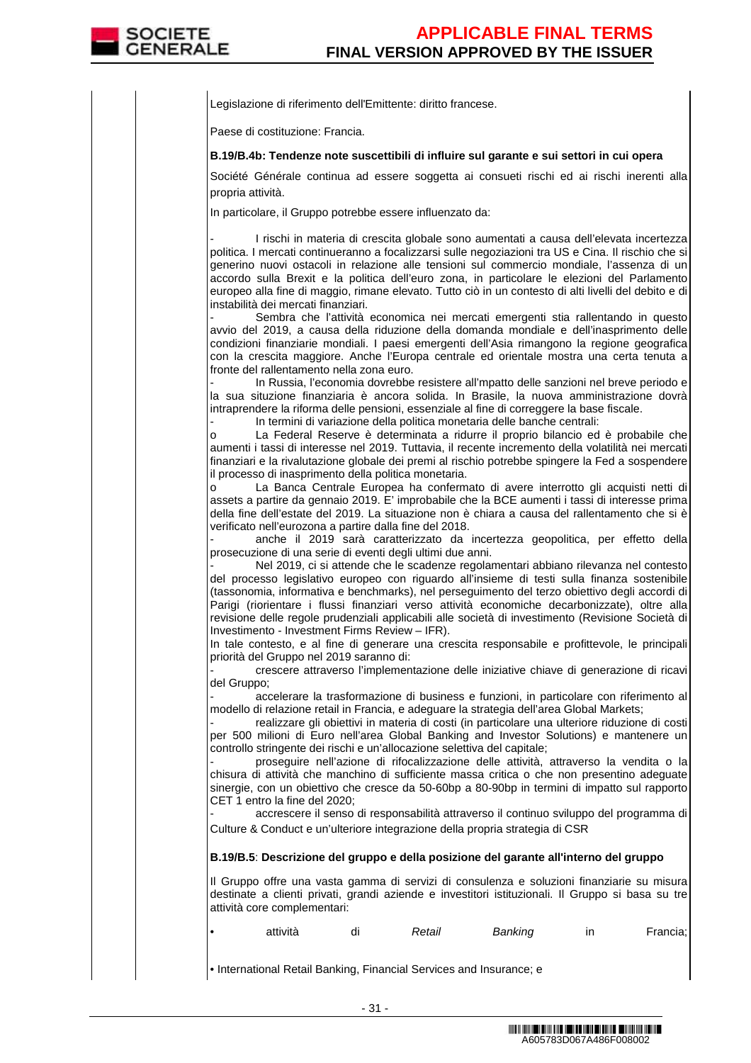Legislazione di riferimento dell'Emittente: diritto francese.

Paese di costituzione: Francia.

### **B.19/B.4b: Tendenze note suscettibili di influire sul garante e sui settori in cui opera**

Société Générale continua ad essere soggetta ai consueti rischi ed ai rischi inerenti alla propria attività.

In particolare, il Gruppo potrebbe essere influenzato da:

I rischi in materia di crescita globale sono aumentati a causa dell'elevata incertezza politica. I mercati continueranno a focalizzarsi sulle negoziazioni tra US e Cina. Il rischio che si generino nuovi ostacoli in relazione alle tensioni sul commercio mondiale, l'assenza di un accordo sulla Brexit e la politica dell'euro zona, in particolare le elezioni del Parlamento europeo alla fine di maggio, rimane elevato. Tutto ciò in un contesto di alti livelli del debito e di instabilità dei mercati finanziari.

Sembra che l'attività economica nei mercati emergenti stia rallentando in questo avvio del 2019, a causa della riduzione della domanda mondiale e dell'inasprimento delle condizioni finanziarie mondiali. I paesi emergenti dell'Asia rimangono la regione geografica con la crescita maggiore. Anche l'Europa centrale ed orientale mostra una certa tenuta a fronte del rallentamento nella zona euro.

In Russia, l'economia dovrebbe resistere all'mpatto delle sanzioni nel breve periodo e la sua situzione finanziaria è ancora solida. In Brasile, la nuova amministrazione dovrà intraprendere la riforma delle pensioni, essenziale al fine di correggere la base fiscale.

In termini di variazione della politica monetaria delle banche centrali:

o La Federal Reserve è determinata a ridurre il proprio bilancio ed è probabile che aumenti i tassi di interesse nel 2019. Tuttavia, il recente incremento della volatilità nei mercati finanziari e la rivalutazione globale dei premi al rischio potrebbe spingere la Fed a sospendere il processo di inasprimento della politica monetaria.

o La Banca Centrale Europea ha confermato di avere interrotto gli acquisti netti di assets a partire da gennaio 2019. E' improbabile che la BCE aumenti i tassi di interesse prima della fine dell'estate del 2019. La situazione non è chiara a causa del rallentamento che si è verificato nell'eurozona a partire dalla fine del 2018.

anche il 2019 sarà caratterizzato da incertezza geopolitica, per effetto della prosecuzione di una serie di eventi degli ultimi due anni.

Nel 2019, ci si attende che le scadenze regolamentari abbiano rilevanza nel contesto del processo legislativo europeo con riguardo all'insieme di testi sulla finanza sostenibile (tassonomia, informativa e benchmarks), nel perseguimento del terzo obiettivo degli accordi di Parigi (riorientare i flussi finanziari verso attività economiche decarbonizzate), oltre alla revisione delle regole prudenziali applicabili alle società di investimento (Revisione Società di Investimento - Investment Firms Review – IFR).

In tale contesto, e al fine di generare una crescita responsabile e profittevole, le principali priorità del Gruppo nel 2019 saranno di:

- crescere attraverso l'implementazione delle iniziative chiave di generazione di ricavi del Gruppo;

accelerare la trasformazione di business e funzioni, in particolare con riferimento al modello di relazione retail in Francia, e adeguare la strategia dell'area Global Markets;

realizzare gli obiettivi in materia di costi (in particolare una ulteriore riduzione di costi per 500 milioni di Euro nell'area Global Banking and Investor Solutions) e mantenere un controllo stringente dei rischi e un'allocazione selettiva del capitale;

- proseguire nell'azione di rifocalizzazione delle attività, attraverso la vendita o la chisura di attività che manchino di sufficiente massa critica o che non presentino adeguate sinergie, con un obiettivo che cresce da 50-60bp a 80-90bp in termini di impatto sul rapporto CET 1 entro la fine del 2020;

- accrescere il senso di responsabilità attraverso il continuo sviluppo del programma di Culture & Conduct e un'ulteriore integrazione della propria strategia di CSR

**B.19/B.5**: **Descrizione del gruppo e della posizione del garante all'interno del gruppo**

Il Gruppo offre una vasta gamma di servizi di consulenza e soluzioni finanziarie su misura destinate a clienti privati, grandi aziende e investitori istituzionali. Il Gruppo si basa su tre attività core complementari:

|  | attività |  | Retail | Banking |  | Francia; |
|--|----------|--|--------|---------|--|----------|
|--|----------|--|--------|---------|--|----------|

• International Retail Banking, Financial Services and Insurance; e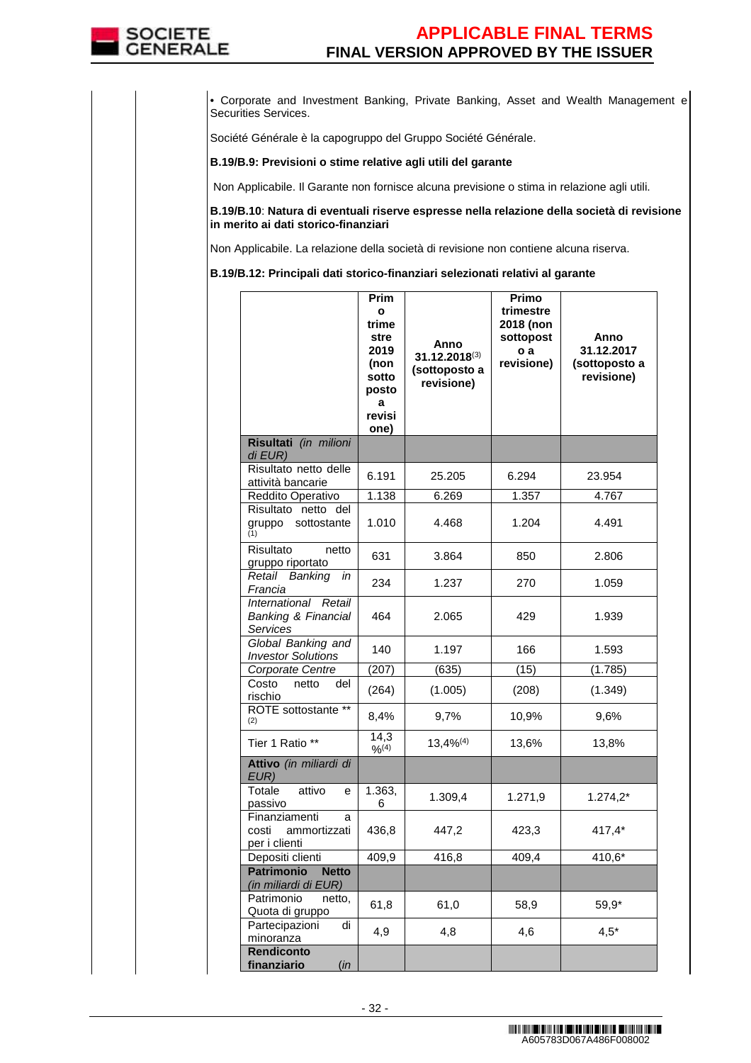

• Corporate and Investment Banking, Private Banking, Asset and Wealth Management e Securities Services.

Société Générale è la capogruppo del Gruppo Société Générale.

### **B.19/B.9: Previsioni o stime relative agli utili del garante**

Non Applicabile. Il Garante non fornisce alcuna previsione o stima in relazione agli utili.

**B.19/B.10**: **Natura di eventuali riserve espresse nella relazione della società di revisione in merito ai dati storico-finanziari**

Non Applicabile. La relazione della società di revisione non contiene alcuna riserva.

**B.19/B.12: Principali dati storico-finanziari selezionati relativi al garante** 

|                                                                | Prim<br>$\mathbf{o}$<br>trime<br>stre<br>2019<br>(non<br>sotto<br>posto<br>a<br>revisi<br>one) | Anno<br>$31.12.2018^{(3)}$<br>(sottoposto a<br>revisione) | Primo<br>trimestre<br>2018 (non<br>sottopost<br>o a<br>revisione) | Anno<br>31.12.2017<br>(sottoposto a<br>revisione) |
|----------------------------------------------------------------|------------------------------------------------------------------------------------------------|-----------------------------------------------------------|-------------------------------------------------------------------|---------------------------------------------------|
| Risultati (in milioni<br>di EUR)                               |                                                                                                |                                                           |                                                                   |                                                   |
| Risultato netto delle<br>attività bancarie                     | 6.191                                                                                          | 25.205                                                    | 6.294                                                             | 23.954                                            |
| Reddito Operativo                                              | 1.138                                                                                          | 6.269                                                     | 1.357                                                             | 4.767                                             |
| Risultato netto del<br>sottostante<br>gruppo<br>(1)            | 1.010                                                                                          | 4.468                                                     | 1.204                                                             | 4.491                                             |
| Risultato<br>netto<br>gruppo riportato                         | 631                                                                                            | 3.864                                                     | 850                                                               | 2.806                                             |
| Retail Banking<br>in<br>Francia                                | 234                                                                                            | 1.237                                                     | 270                                                               | 1.059                                             |
| International Retail<br>Banking & Financial<br><b>Services</b> | 464                                                                                            | 2.065                                                     | 429                                                               | 1.939                                             |
| Global Banking and<br><b>Investor Solutions</b>                | 140                                                                                            | 1.197                                                     | 166                                                               | 1.593                                             |
| Corporate Centre                                               | (207)                                                                                          | (635)                                                     | (15)                                                              | (1.785)                                           |
| Costo<br>netto<br>del<br>rischio                               | (264)                                                                                          | (1.005)                                                   | (208)                                                             | (1.349)                                           |
| ROTE sottostante **<br>(2)                                     | 8,4%                                                                                           | 9,7%                                                      | 10,9%                                                             | 9,6%                                              |
| Tier 1 Ratio **                                                | 14,3<br>9/6(4)                                                                                 | $13,4\%^{(4)}$                                            | 13,6%                                                             | 13,8%                                             |
| Attivo (in miliardi di<br>EUR)                                 |                                                                                                |                                                           |                                                                   |                                                   |
| Totale<br>attivo<br>e<br>passivo                               | 1.363,<br>6                                                                                    | 1.309,4                                                   | 1.271,9                                                           | $1.274,2*$                                        |
| Finanziamenti<br>а<br>costi<br>ammortizzati<br>per i clienti   | 436,8                                                                                          | 447,2                                                     | 423,3                                                             | 417,4*                                            |
| Depositi clienti                                               | 409,9                                                                                          | 416,8                                                     | 409,4                                                             | 410,6*                                            |
| <b>Patrimonio</b><br><b>Netto</b><br>(in miliardi di EUR)      |                                                                                                |                                                           |                                                                   |                                                   |
| Patrimonio<br>netto,<br>Quota di gruppo                        | 61,8                                                                                           | 61,0                                                      | 58,9                                                              | 59,9*                                             |
| Partecipazioni<br>di<br>minoranza                              | 4,9                                                                                            | 4,8                                                       | 4,6                                                               | $4,5*$                                            |
| Rendiconto<br>finanziario<br>(in                               |                                                                                                |                                                           |                                                                   |                                                   |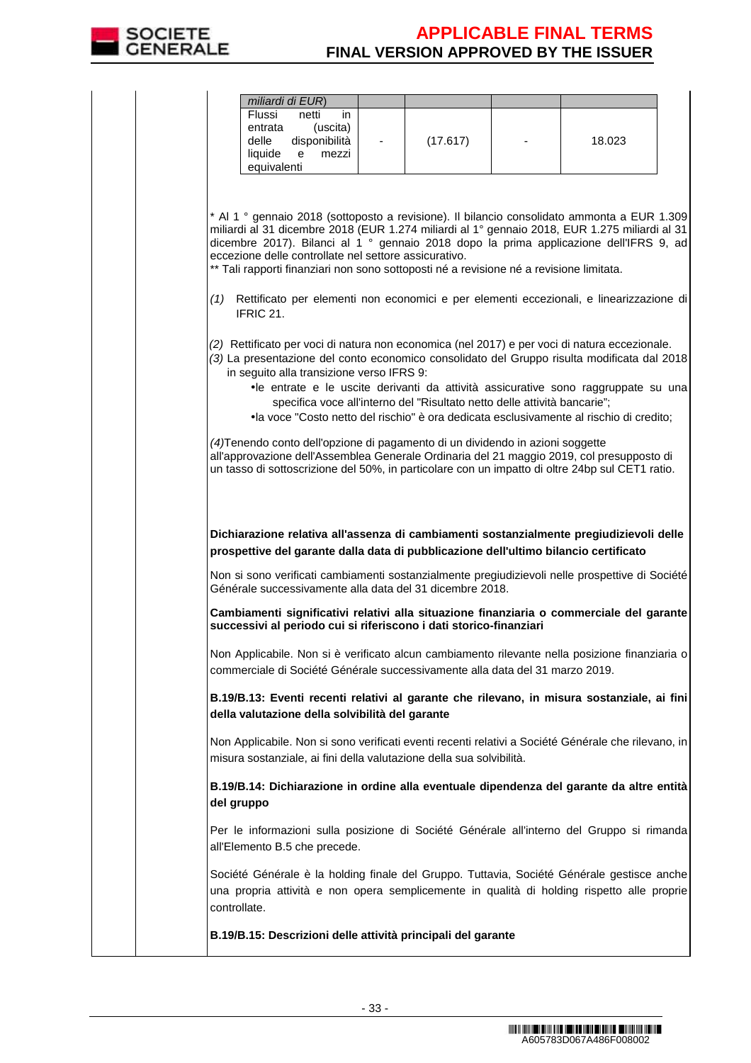

|  | miliardi di EUR)                                                                                                                                                                                                                                                                                                                                                                                                                                                                                                                                                                                                                                                                                                                                                                                                                                                                                                                                                                                                                                                                                                                                                  |          |                                                                                                                                                                               |
|--|-------------------------------------------------------------------------------------------------------------------------------------------------------------------------------------------------------------------------------------------------------------------------------------------------------------------------------------------------------------------------------------------------------------------------------------------------------------------------------------------------------------------------------------------------------------------------------------------------------------------------------------------------------------------------------------------------------------------------------------------------------------------------------------------------------------------------------------------------------------------------------------------------------------------------------------------------------------------------------------------------------------------------------------------------------------------------------------------------------------------------------------------------------------------|----------|-------------------------------------------------------------------------------------------------------------------------------------------------------------------------------|
|  | Flussi<br>netti<br>in.<br>(uscita)<br>entrata<br>disponibilità<br>delle<br>liquide<br>e<br>mezzi<br>equivalenti                                                                                                                                                                                                                                                                                                                                                                                                                                                                                                                                                                                                                                                                                                                                                                                                                                                                                                                                                                                                                                                   | (17.617) | 18.023                                                                                                                                                                        |
|  | * Al 1 ° gennaio 2018 (sottoposto a revisione). Il bilancio consolidato ammonta a EUR 1.309<br>miliardi al 31 dicembre 2018 (EUR 1.274 miliardi al 1º gennaio 2018, EUR 1.275 miliardi al 31<br>dicembre 2017). Bilanci al 1º gennaio 2018 dopo la prima applicazione dell'IFRS 9, ad<br>eccezione delle controllate nel settore assicurativo.<br>** Tali rapporti finanziari non sono sottoposti né a revisione né a revisione limitata.<br>(1) Rettificato per elementi non economici e per elementi eccezionali, e linearizzazione di<br>IFRIC 21.<br>(2) Rettificato per voci di natura non economica (nel 2017) e per voci di natura eccezionale.<br>(3) La presentazione del conto economico consolidato del Gruppo risulta modificata dal 2018<br>in seguito alla transizione verso IFRS 9:<br>specifica voce all'interno del "Risultato netto delle attività bancarie";<br>(4) Tenendo conto dell'opzione di pagamento di un dividendo in azioni soggette<br>all'approvazione dell'Assemblea Generale Ordinaria del 21 maggio 2019, col presupposto di<br>un tasso di sottoscrizione del 50%, in particolare con un impatto di oltre 24bp sul CET1 ratio. |          | •le entrate e le uscite derivanti da attività assicurative sono raggruppate su una<br>•la voce "Costo netto del rischio" è ora dedicata esclusivamente al rischio di credito; |
|  | Dichiarazione relativa all'assenza di cambiamenti sostanzialmente pregiudizievoli delle<br>prospettive del garante dalla data di pubblicazione dell'ultimo bilancio certificato<br>Non si sono verificati cambiamenti sostanzialmente pregiudizievoli nelle prospettive di Société<br>Générale successivamente alla data del 31 dicembre 2018.                                                                                                                                                                                                                                                                                                                                                                                                                                                                                                                                                                                                                                                                                                                                                                                                                    |          |                                                                                                                                                                               |
|  | Cambiamenti significativi relativi alla situazione finanziaria o commerciale del garante<br>successivi al periodo cui si riferiscono i dati storico-finanziari                                                                                                                                                                                                                                                                                                                                                                                                                                                                                                                                                                                                                                                                                                                                                                                                                                                                                                                                                                                                    |          |                                                                                                                                                                               |
|  | Non Applicabile. Non si è verificato alcun cambiamento rilevante nella posizione finanziaria o<br>commerciale di Société Générale successivamente alla data del 31 marzo 2019.                                                                                                                                                                                                                                                                                                                                                                                                                                                                                                                                                                                                                                                                                                                                                                                                                                                                                                                                                                                    |          |                                                                                                                                                                               |
|  | B.19/B.13: Eventi recenti relativi al garante che rilevano, in misura sostanziale, ai fini<br>della valutazione della solvibilità del garante                                                                                                                                                                                                                                                                                                                                                                                                                                                                                                                                                                                                                                                                                                                                                                                                                                                                                                                                                                                                                     |          |                                                                                                                                                                               |
|  |                                                                                                                                                                                                                                                                                                                                                                                                                                                                                                                                                                                                                                                                                                                                                                                                                                                                                                                                                                                                                                                                                                                                                                   |          |                                                                                                                                                                               |
|  | Non Applicabile. Non si sono verificati eventi recenti relativi a Société Générale che rilevano, in<br>misura sostanziale, ai fini della valutazione della sua solvibilità.                                                                                                                                                                                                                                                                                                                                                                                                                                                                                                                                                                                                                                                                                                                                                                                                                                                                                                                                                                                       |          |                                                                                                                                                                               |
|  | B.19/B.14: Dichiarazione in ordine alla eventuale dipendenza del garante da altre entità<br>del gruppo                                                                                                                                                                                                                                                                                                                                                                                                                                                                                                                                                                                                                                                                                                                                                                                                                                                                                                                                                                                                                                                            |          |                                                                                                                                                                               |
|  | Per le informazioni sulla posizione di Société Générale all'interno del Gruppo si rimanda<br>all'Elemento B.5 che precede.                                                                                                                                                                                                                                                                                                                                                                                                                                                                                                                                                                                                                                                                                                                                                                                                                                                                                                                                                                                                                                        |          |                                                                                                                                                                               |
|  | Société Générale è la holding finale del Gruppo. Tuttavia, Société Générale gestisce anche<br>una propria attività e non opera semplicemente in qualità di holding rispetto alle proprie<br>controllate.                                                                                                                                                                                                                                                                                                                                                                                                                                                                                                                                                                                                                                                                                                                                                                                                                                                                                                                                                          |          |                                                                                                                                                                               |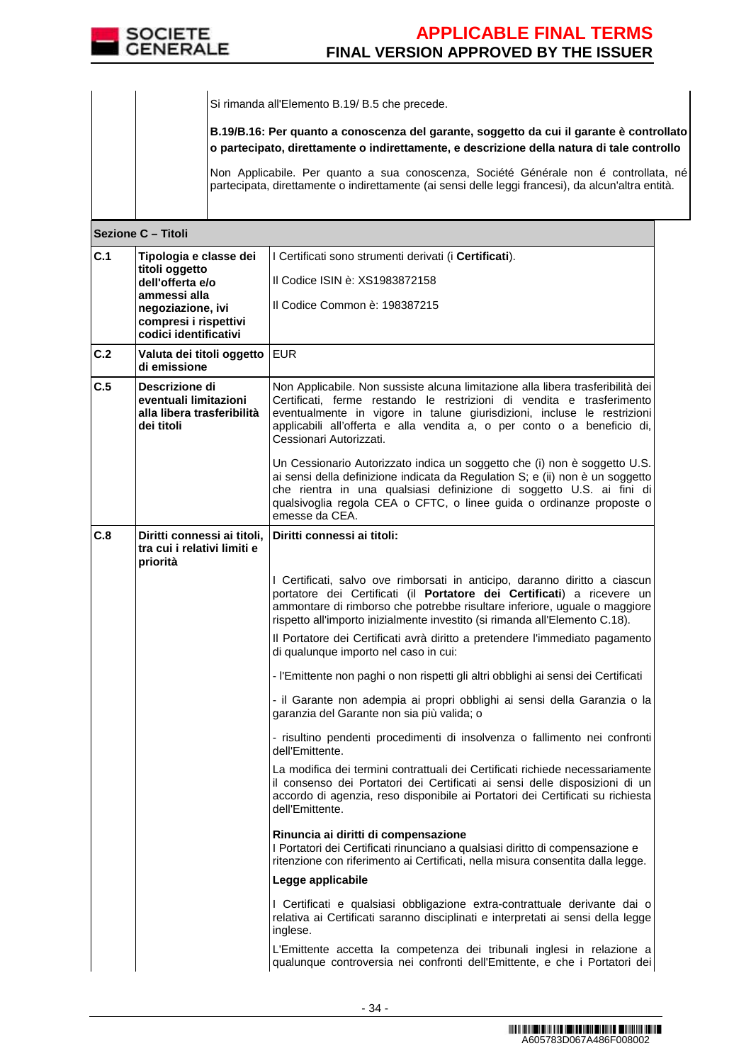

|     |                                                                                     | Si rimanda all'Elemento B.19/ B.5 che precede.                                                                                                                                                                                                                                                                                            |  |  |  |  |
|-----|-------------------------------------------------------------------------------------|-------------------------------------------------------------------------------------------------------------------------------------------------------------------------------------------------------------------------------------------------------------------------------------------------------------------------------------------|--|--|--|--|
|     |                                                                                     | B.19/B.16: Per quanto a conoscenza del garante, soggetto da cui il garante è controllato<br>o partecipato, direttamente o indirettamente, e descrizione della natura di tale controllo                                                                                                                                                    |  |  |  |  |
|     |                                                                                     | Non Applicabile. Per quanto a sua conoscenza, Société Générale non é controllata, né<br>partecipata, direttamente o indirettamente (ai sensi delle leggi francesi), da alcun'altra entità.                                                                                                                                                |  |  |  |  |
|     | Sezione C - Titoli                                                                  |                                                                                                                                                                                                                                                                                                                                           |  |  |  |  |
| C.1 | Tipologia e classe dei<br>titoli oggetto                                            | I Certificati sono strumenti derivati (i Certificati).                                                                                                                                                                                                                                                                                    |  |  |  |  |
|     | dell'offerta e/o                                                                    | Il Codice ISIN è: XS1983872158                                                                                                                                                                                                                                                                                                            |  |  |  |  |
|     | ammessi alla<br>negoziazione, ivi<br>compresi i rispettivi<br>codici identificativi | Il Codice Common è: 198387215                                                                                                                                                                                                                                                                                                             |  |  |  |  |
| C.2 | Valuta dei titoli oggetto<br>di emissione                                           | <b>EUR</b>                                                                                                                                                                                                                                                                                                                                |  |  |  |  |
| C.5 | Descrizione di<br>eventuali limitazioni<br>alla libera trasferibilità<br>dei titoli | Non Applicabile. Non sussiste alcuna limitazione alla libera trasferibilità dei<br>Certificati, ferme restando le restrizioni di vendita e trasferimento<br>eventualmente in vigore in talune giurisdizioni, incluse le restrizioni<br>applicabili all'offerta e alla vendita a, o per conto o a beneficio di,<br>Cessionari Autorizzati. |  |  |  |  |
|     |                                                                                     | Un Cessionario Autorizzato indica un soggetto che (i) non è soggetto U.S.<br>ai sensi della definizione indicata da Regulation S; e (ii) non è un soggetto<br>che rientra in una qualsiasi definizione di soggetto U.S. ai fini di<br>qualsivoglia regola CEA o CFTC, o linee guida o ordinanze proposte o<br>emesse da CEA.              |  |  |  |  |
| C.8 | Diritti connessi ai titoli,<br>tra cui i relativi limiti e<br>priorità              | Diritti connessi ai titoli:                                                                                                                                                                                                                                                                                                               |  |  |  |  |
|     |                                                                                     | I Certificati, salvo ove rimborsati in anticipo, daranno diritto a ciascun<br>portatore dei Certificati (il Portatore dei Certificati) a ricevere un<br>ammontare di rimborso che potrebbe risultare inferiore, uguale o maggiore<br>rispetto all'importo inizialmente investito (si rimanda all'Elemento C.18).                          |  |  |  |  |
|     |                                                                                     | Il Portatore dei Certificati avrà diritto a pretendere l'immediato pagamento<br>di qualunque importo nel caso in cui:                                                                                                                                                                                                                     |  |  |  |  |
|     |                                                                                     | - l'Emittente non paghi o non rispetti gli altri obblighi ai sensi dei Certificati                                                                                                                                                                                                                                                        |  |  |  |  |
|     |                                                                                     | - il Garante non adempia ai propri obblighi ai sensi della Garanzia o la<br>garanzia del Garante non sia più valida; o                                                                                                                                                                                                                    |  |  |  |  |
|     |                                                                                     | - risultino pendenti procedimenti di insolvenza o fallimento nei confronti<br>dell'Emittente.                                                                                                                                                                                                                                             |  |  |  |  |
|     |                                                                                     | La modifica dei termini contrattuali dei Certificati richiede necessariamente<br>il consenso dei Portatori dei Certificati ai sensi delle disposizioni di un<br>accordo di agenzia, reso disponibile ai Portatori dei Certificati su richiesta<br>dell'Emittente.                                                                         |  |  |  |  |
|     |                                                                                     | Rinuncia ai diritti di compensazione<br>I Portatori dei Certificati rinunciano a qualsiasi diritto di compensazione e<br>ritenzione con riferimento ai Certificati, nella misura consentita dalla legge.                                                                                                                                  |  |  |  |  |
|     |                                                                                     | Legge applicabile                                                                                                                                                                                                                                                                                                                         |  |  |  |  |
|     |                                                                                     | I Certificati e qualsiasi obbligazione extra-contrattuale derivante dai o<br>relativa ai Certificati saranno disciplinati e interpretati ai sensi della legge<br>inglese.                                                                                                                                                                 |  |  |  |  |
|     |                                                                                     | L'Emittente accetta la competenza dei tribunali inglesi in relazione a<br>qualunque controversia nei confronti dell'Emittente, e che i Portatori dei                                                                                                                                                                                      |  |  |  |  |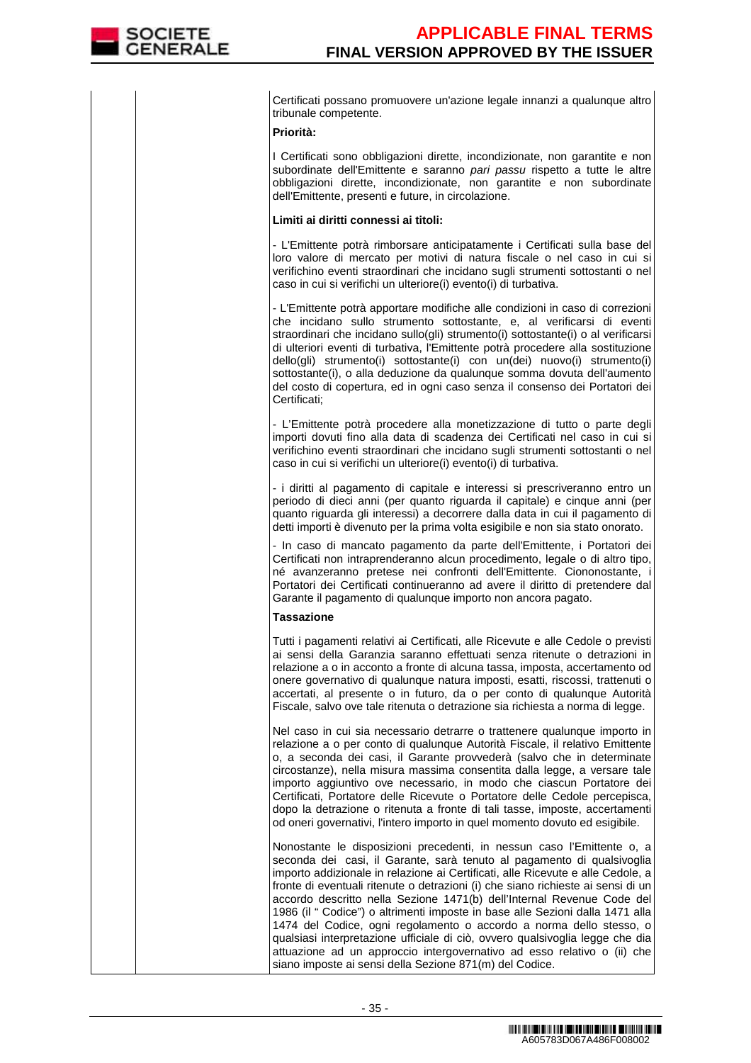Certificati possano promuovere un'azione legale innanzi a qualunque altro tribunale competente.

## **Priorità:**

I Certificati sono obbligazioni dirette, incondizionate, non garantite e non subordinate dell'Emittente e saranno pari passu rispetto a tutte le altre obbligazioni dirette, incondizionate, non garantite e non subordinate dell'Emittente, presenti e future, in circolazione.

### **Limiti ai diritti connessi ai titoli:**

- L'Emittente potrà rimborsare anticipatamente i Certificati sulla base del loro valore di mercato per motivi di natura fiscale o nel caso in cui si verifichino eventi straordinari che incidano sugli strumenti sottostanti o nel caso in cui si verifichi un ulteriore(i) evento(i) di turbativa.

- L'Emittente potrà apportare modifiche alle condizioni in caso di correzioni che incidano sullo strumento sottostante, e, al verificarsi di eventi straordinari che incidano sullo(gli) strumento(i) sottostante(i) o al verificarsi di ulteriori eventi di turbativa, l'Emittente potrà procedere alla sostituzione dello(gli) strumento(i) sottostante(i) con un(dei) nuovo(i) strumento(i) sottostante(i), o alla deduzione da qualunque somma dovuta dell'aumento del costo di copertura, ed in ogni caso senza il consenso dei Portatori dei Certificati;

- L'Emittente potrà procedere alla monetizzazione di tutto o parte degli importi dovuti fino alla data di scadenza dei Certificati nel caso in cui si verifichino eventi straordinari che incidano sugli strumenti sottostanti o nel caso in cui si verifichi un ulteriore(i) evento(i) di turbativa.

- i diritti al pagamento di capitale e interessi si prescriveranno entro un periodo di dieci anni (per quanto riguarda il capitale) e cinque anni (per quanto riguarda gli interessi) a decorrere dalla data in cui il pagamento di detti importi è divenuto per la prima volta esigibile e non sia stato onorato.

 - In caso di mancato pagamento da parte dell'Emittente, i Portatori dei Certificati non intraprenderanno alcun procedimento, legale o di altro tipo, né avanzeranno pretese nei confronti dell'Emittente. Ciononostante, i Portatori dei Certificati continueranno ad avere il diritto di pretendere dal Garante il pagamento di qualunque importo non ancora pagato.

## **Tassazione**

Tutti i pagamenti relativi ai Certificati, alle Ricevute e alle Cedole o previsti ai sensi della Garanzia saranno effettuati senza ritenute o detrazioni in relazione a o in acconto a fronte di alcuna tassa, imposta, accertamento od onere governativo di qualunque natura imposti, esatti, riscossi, trattenuti o accertati, al presente o in futuro, da o per conto di qualunque Autorità Fiscale, salvo ove tale ritenuta o detrazione sia richiesta a norma di legge.

Nel caso in cui sia necessario detrarre o trattenere qualunque importo in relazione a o per conto di qualunque Autorità Fiscale, il relativo Emittente o, a seconda dei casi, il Garante provvederà (salvo che in determinate circostanze), nella misura massima consentita dalla legge, a versare tale importo aggiuntivo ove necessario, in modo che ciascun Portatore dei Certificati, Portatore delle Ricevute o Portatore delle Cedole percepisca, dopo la detrazione o ritenuta a fronte di tali tasse, imposte, accertamenti od oneri governativi, l'intero importo in quel momento dovuto ed esigibile.

Nonostante le disposizioni precedenti, in nessun caso l'Emittente o, a seconda dei casi, il Garante, sarà tenuto al pagamento di qualsivoglia importo addizionale in relazione ai Certificati, alle Ricevute e alle Cedole, a fronte di eventuali ritenute o detrazioni (i) che siano richieste ai sensi di un accordo descritto nella Sezione 1471(b) dell'Internal Revenue Code del 1986 (il " Codice") o altrimenti imposte in base alle Sezioni dalla 1471 alla 1474 del Codice, ogni regolamento o accordo a norma dello stesso, o qualsiasi interpretazione ufficiale di ciò, ovvero qualsivoglia legge che dia attuazione ad un approccio intergovernativo ad esso relativo o (ii) che siano imposte ai sensi della Sezione 871(m) del Codice.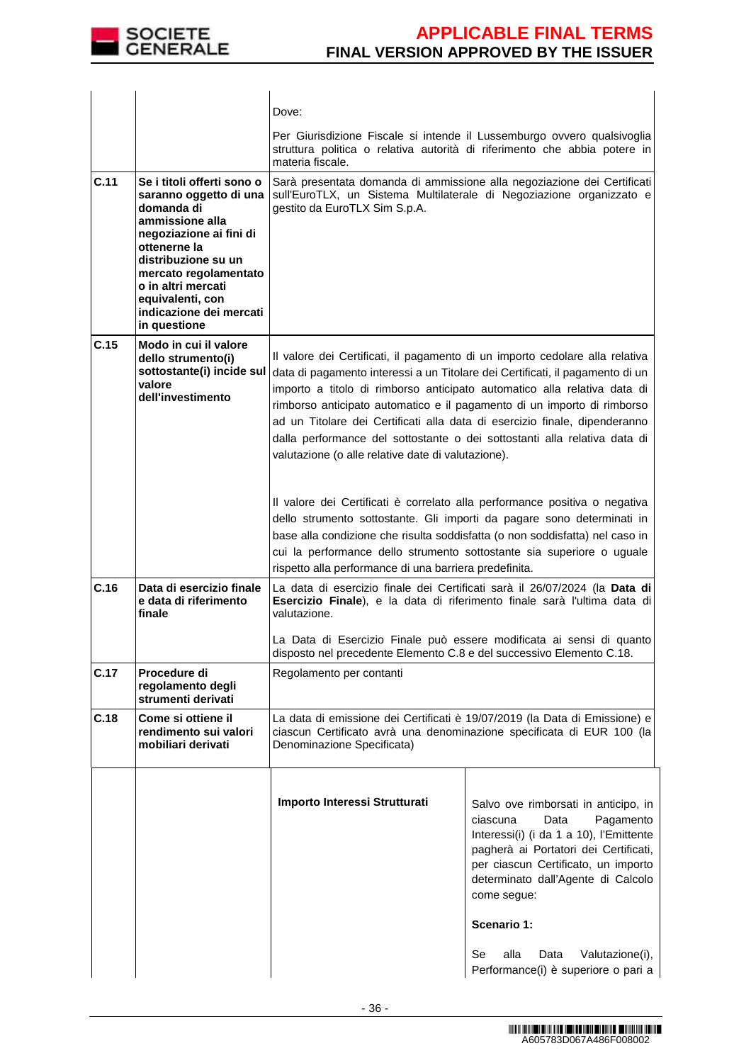

|      |                                                                                                                                                                                                                                                                       | Dove:                                                                                                                                                                                                                                                                                                                                                                                                                                                                                                                                 |                                                                                                                                                                                                                                                                                                               |  |
|------|-----------------------------------------------------------------------------------------------------------------------------------------------------------------------------------------------------------------------------------------------------------------------|---------------------------------------------------------------------------------------------------------------------------------------------------------------------------------------------------------------------------------------------------------------------------------------------------------------------------------------------------------------------------------------------------------------------------------------------------------------------------------------------------------------------------------------|---------------------------------------------------------------------------------------------------------------------------------------------------------------------------------------------------------------------------------------------------------------------------------------------------------------|--|
|      |                                                                                                                                                                                                                                                                       | Per Giurisdizione Fiscale si intende il Lussemburgo ovvero qualsivoglia<br>struttura politica o relativa autorità di riferimento che abbia potere in<br>materia fiscale.                                                                                                                                                                                                                                                                                                                                                              |                                                                                                                                                                                                                                                                                                               |  |
| C.11 | Se i titoli offerti sono o<br>saranno oggetto di una<br>domanda di<br>ammissione alla<br>negoziazione ai fini di<br>ottenerne la<br>distribuzione su un<br>mercato regolamentato<br>o in altri mercati<br>equivalenti, con<br>indicazione dei mercati<br>in questione | Sarà presentata domanda di ammissione alla negoziazione dei Certificati<br>sull'EuroTLX, un Sistema Multilaterale di Negoziazione organizzato e<br>gestito da EuroTLX Sim S.p.A.                                                                                                                                                                                                                                                                                                                                                      |                                                                                                                                                                                                                                                                                                               |  |
| C.15 | Modo in cui il valore<br>dello strumento(i)<br>sottostante(i) incide sul<br>valore<br>dell'investimento                                                                                                                                                               | Il valore dei Certificati, il pagamento di un importo cedolare alla relativa<br>data di pagamento interessi a un Titolare dei Certificati, il pagamento di un<br>importo a titolo di rimborso anticipato automatico alla relativa data di<br>rimborso anticipato automatico e il pagamento di un importo di rimborso<br>ad un Titolare dei Certificati alla data di esercizio finale, dipenderanno<br>dalla performance del sottostante o dei sottostanti alla relativa data di<br>valutazione (o alle relative date di valutazione). |                                                                                                                                                                                                                                                                                                               |  |
|      |                                                                                                                                                                                                                                                                       | Il valore dei Certificati è correlato alla performance positiva o negativa<br>dello strumento sottostante. Gli importi da pagare sono determinati in<br>base alla condizione che risulta soddisfatta (o non soddisfatta) nel caso in<br>cui la performance dello strumento sottostante sia superiore o uguale<br>rispetto alla performance di una barriera predefinita.                                                                                                                                                               |                                                                                                                                                                                                                                                                                                               |  |
| C.16 | Data di esercizio finale<br>e data di riferimento<br>finale                                                                                                                                                                                                           | La data di esercizio finale dei Certificati sarà il 26/07/2024 (la Data di<br>Esercizio Finale), e la data di riferimento finale sarà l'ultima data di<br>valutazione.                                                                                                                                                                                                                                                                                                                                                                |                                                                                                                                                                                                                                                                                                               |  |
|      |                                                                                                                                                                                                                                                                       | La Data di Esercizio Finale può essere modificata ai sensi di quanto<br>disposto nel precedente Elemento C.8 e del successivo Elemento C.18.                                                                                                                                                                                                                                                                                                                                                                                          |                                                                                                                                                                                                                                                                                                               |  |
| C.17 | Procedure di<br>regolamento degli<br>strumenti derivati                                                                                                                                                                                                               | Regolamento per contanti                                                                                                                                                                                                                                                                                                                                                                                                                                                                                                              |                                                                                                                                                                                                                                                                                                               |  |
| C.18 | Come si ottiene il<br>rendimento sui valori<br>mobiliari derivati                                                                                                                                                                                                     | La data di emissione dei Certificati è 19/07/2019 (la Data di Emissione) e<br>ciascun Certificato avrà una denominazione specificata di EUR 100 (la<br>Denominazione Specificata)                                                                                                                                                                                                                                                                                                                                                     |                                                                                                                                                                                                                                                                                                               |  |
|      |                                                                                                                                                                                                                                                                       | Importo Interessi Strutturati                                                                                                                                                                                                                                                                                                                                                                                                                                                                                                         | Salvo ove rimborsati in anticipo, in<br>Data<br>Pagamento<br>ciascuna<br>Interessi(i) (i da 1 a 10), l'Emittente<br>pagherà ai Portatori dei Certificati,<br>per ciascun Certificato, un importo<br>determinato dall'Agente di Calcolo<br>come segue:<br>Scenario 1:<br>Se<br>alla<br>Data<br>Valutazione(i), |  |
|      |                                                                                                                                                                                                                                                                       |                                                                                                                                                                                                                                                                                                                                                                                                                                                                                                                                       | Performance(i) è superiore o pari a                                                                                                                                                                                                                                                                           |  |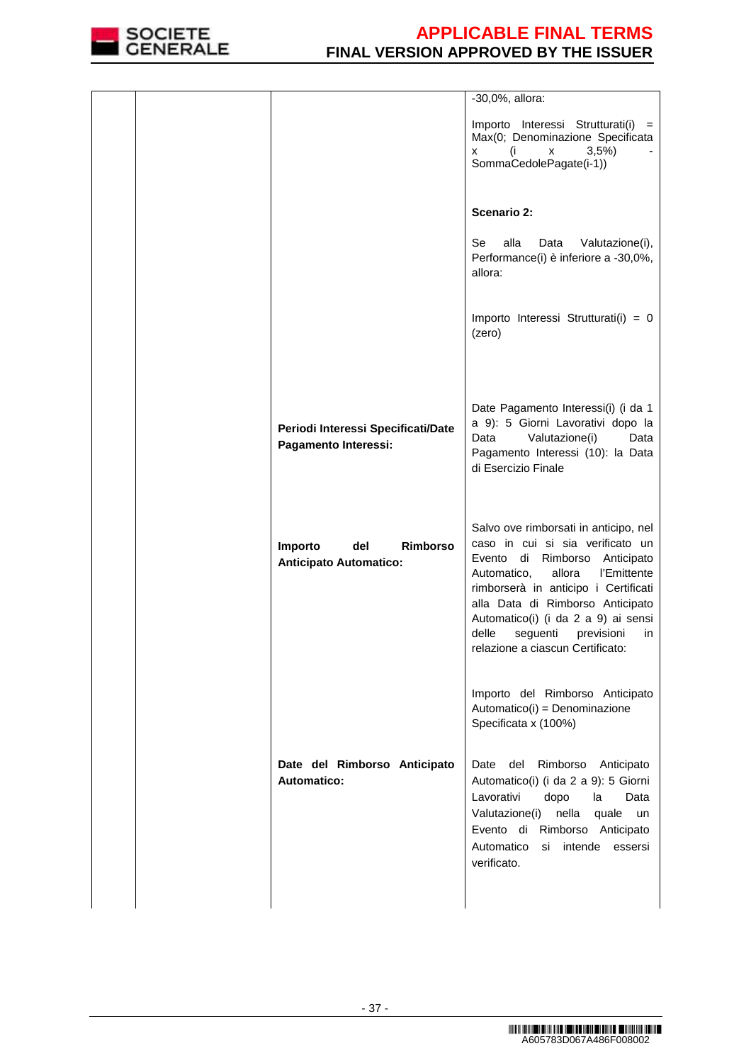

|                                                             | -30,0%, allora:                                                                                                                                                                                                                                                                                                                                          |
|-------------------------------------------------------------|----------------------------------------------------------------------------------------------------------------------------------------------------------------------------------------------------------------------------------------------------------------------------------------------------------------------------------------------------------|
|                                                             | Importo Interessi Strutturati(i)<br>$=$<br>Max(0; Denominazione Specificata<br>3,5%<br>(i<br>x<br>x<br>SommaCedolePagate(i-1))                                                                                                                                                                                                                           |
|                                                             | <b>Scenario 2:</b>                                                                                                                                                                                                                                                                                                                                       |
|                                                             | alla<br>Se l<br>Data<br>Valutazione(i),<br>Performance(i) è inferiore a -30,0%,<br>allora:                                                                                                                                                                                                                                                               |
|                                                             | Importo Interessi Strutturati(i) = $0$<br>(zero)                                                                                                                                                                                                                                                                                                         |
|                                                             |                                                                                                                                                                                                                                                                                                                                                          |
| Periodi Interessi Specificati/Date<br>Pagamento Interessi:  | Date Pagamento Interessi(i) (i da 1<br>a 9): 5 Giorni Lavorativi dopo la<br>Data<br>Valutazione(i)<br>Data<br>Pagamento Interessi (10): la Data<br>di Esercizio Finale                                                                                                                                                                                   |
| del<br>Rimborso<br>Importo<br><b>Anticipato Automatico:</b> | Salvo ove rimborsati in anticipo, nel<br>caso in cui si sia verificato un<br>Evento<br>di Rimborso<br>Anticipato<br>allora<br>Automatico,<br>l'Emittente<br>rimborserà in anticipo i Certificati<br>alla Data di Rimborso Anticipato<br>Automatico(i) (i da 2 a 9) ai sensi<br>delle<br>seguenti<br>previsioni<br>in<br>relazione a ciascun Certificato: |
|                                                             | Importo del Rimborso Anticipato<br>Automatico(i) = Denominazione<br>Specificata x (100%)                                                                                                                                                                                                                                                                 |
| Date del Rimborso Anticipato<br>Automatico:                 | del<br>Rimborso<br>Anticipato<br>Date<br>Automatico(i) (i da 2 a 9): 5 Giorni<br>Lavorativi<br>dopo<br>la<br>Data<br>Valutazione(i) nella<br>quale<br>un<br>Evento di Rimborso Anticipato<br>Automatico<br>si intende<br>essersi<br>verificato.                                                                                                          |
|                                                             |                                                                                                                                                                                                                                                                                                                                                          |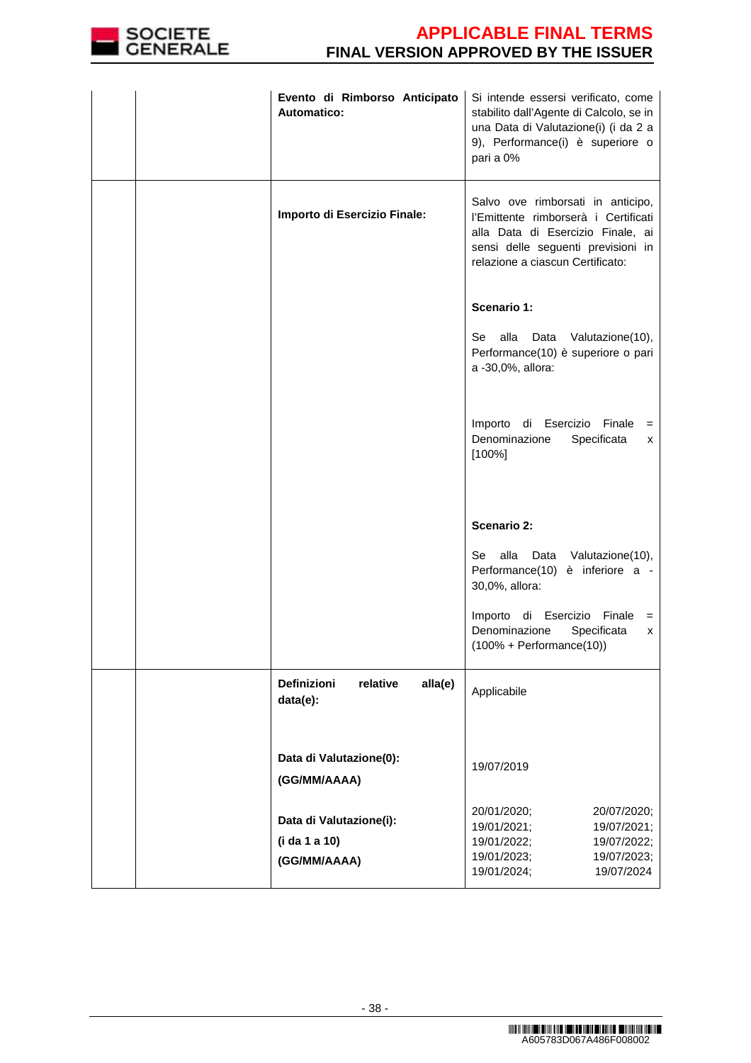

| Evento di Rimborso Anticipato<br><b>Automatico:</b>      | Si intende essersi verificato, come<br>stabilito dall'Agente di Calcolo, se in<br>una Data di Valutazione(i) (i da 2 a<br>9), Performance(i) è superiore o<br>pari a 0%                  |
|----------------------------------------------------------|------------------------------------------------------------------------------------------------------------------------------------------------------------------------------------------|
| Importo di Esercizio Finale:                             | Salvo ove rimborsati in anticipo,<br>l'Emittente rimborserà i Certificati<br>alla Data di Esercizio Finale, ai<br>sensi delle seguenti previsioni in<br>relazione a ciascun Certificato: |
|                                                          | Scenario 1:                                                                                                                                                                              |
|                                                          | alla Data Valutazione(10),<br>Se<br>Performance(10) è superiore o pari<br>a -30,0%, allora:                                                                                              |
|                                                          | Importo di Esercizio Finale =<br>Denominazione<br>Specificata<br>x<br>$[100\%]$                                                                                                          |
|                                                          | <b>Scenario 2:</b>                                                                                                                                                                       |
|                                                          | alla Data Valutazione(10),<br>Se<br>Performance(10) è inferiore a -<br>30,0%, allora:                                                                                                    |
|                                                          | Importo di Esercizio Finale<br>$=$<br>Denominazione<br>Specificata<br>x<br>$(100% + Performance(10))$                                                                                    |
| Definizioni<br>relative<br>alla(e)<br>data(e):           | Applicabile                                                                                                                                                                              |
| Data di Valutazione(0):<br>(GG/MM/AAAA)                  | 19/07/2019                                                                                                                                                                               |
| Data di Valutazione(i):<br>(i da 1 a 10)<br>(GG/MM/AAAA) | 20/01/2020;<br>20/07/2020;<br>19/01/2021;<br>19/07/2021;<br>19/01/2022;<br>19/07/2022;<br>19/01/2023;<br>19/07/2023;<br>19/01/2024;<br>19/07/2024                                        |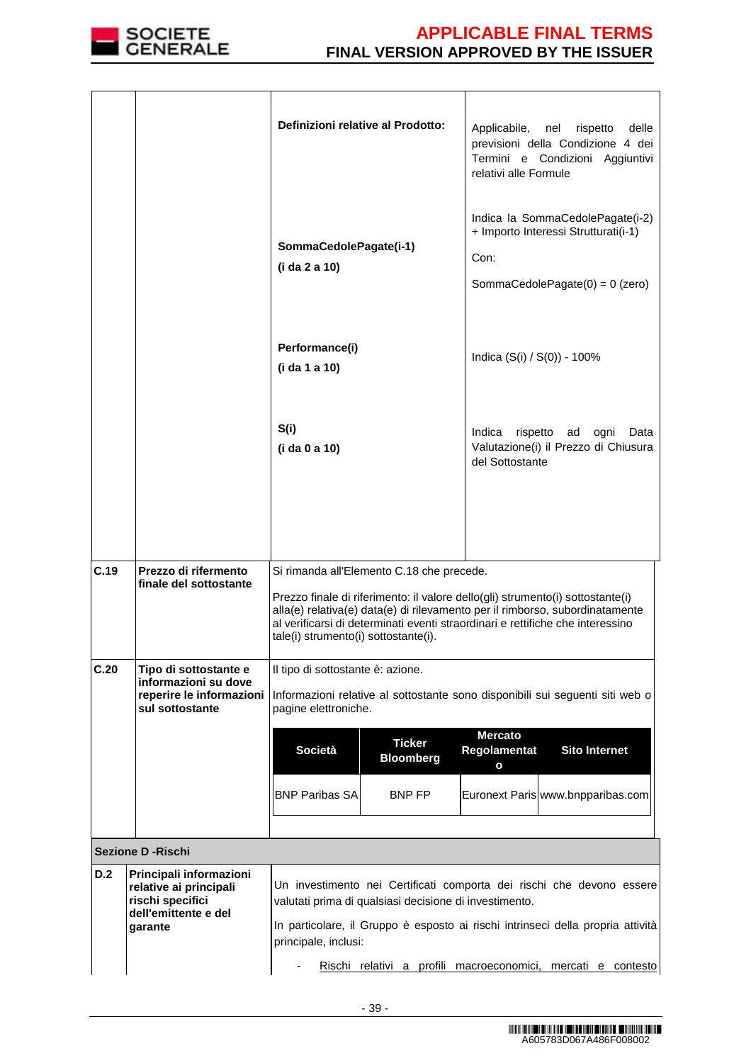

|      |                                                                               | Definizioni relative al Prodotto:                                                 |                                           | Applicabile,<br>nel<br>delle<br>rispetto<br>previsioni della Condizione 4 dei<br>Termini e Condizioni Aggiuntivi<br>relativi alle Formule                                                                                                        |
|------|-------------------------------------------------------------------------------|-----------------------------------------------------------------------------------|-------------------------------------------|--------------------------------------------------------------------------------------------------------------------------------------------------------------------------------------------------------------------------------------------------|
|      |                                                                               | SommaCedolePagate(i-1)<br>(i da 2 a 10)                                           |                                           | Indica la SommaCedolePagate(i-2)<br>+ Importo Interessi Strutturati(i-1)<br>Con:<br>SommaCedolePagate $(0) = 0$ (zero)                                                                                                                           |
|      |                                                                               | Performance(i)<br>(i da 1 a 10)                                                   |                                           | Indica (S(i) / S(0)) - 100%                                                                                                                                                                                                                      |
|      |                                                                               | S(i)<br>(i da 0 a 10)                                                             |                                           | Indica<br>rispetto ad<br>ogni<br>Data<br>Valutazione(i) il Prezzo di Chiusura<br>del Sottostante                                                                                                                                                 |
|      |                                                                               |                                                                                   |                                           |                                                                                                                                                                                                                                                  |
| C.19 | Prezzo di rifermento<br>finale del sottostante                                | Si rimanda all'Elemento C.18 che precede.<br>tale(i) strumento(i) sottostante(i). |                                           | Prezzo finale di riferimento: il valore dello(gli) strumento(i) sottostante(i)<br>alla(e) relativa(e) data(e) di rilevamento per il rimborso, subordinatamente<br>al verificarsi di determinati eventi straordinari e rettifiche che interessino |
| C.20 | Tipo di sottostante e<br>informazioni su dove                                 | Il tipo di sottostante è: azione.                                                 |                                           |                                                                                                                                                                                                                                                  |
|      | reperire le informazioni<br>sul sottostante                                   | pagine elettroniche.                                                              |                                           | Informazioni relative al sottostante sono disponibili sui seguenti siti web o                                                                                                                                                                    |
|      |                                                                               | <b>Società</b>                                                                    | <b>Ticker</b><br><b>Bloomberg</b>         | <b>Mercato</b><br><b>Sito Internet</b><br>Regolamentat<br>$\mathbf{o}$                                                                                                                                                                           |
|      |                                                                               | <b>BNP Paribas SA</b>                                                             | BNP FP                                    | Euronext Paris www.bnpparibas.com                                                                                                                                                                                                                |
|      |                                                                               |                                                                                   |                                           |                                                                                                                                                                                                                                                  |
| D.2  | <b>Sezione D - Rischi</b><br>Principali informazioni                          |                                                                                   |                                           |                                                                                                                                                                                                                                                  |
|      | relative ai principali<br>rischi specifici<br>dell'emittente e del<br>garante | valutati prima di qualsiasi decisione di investimento.<br>principale, inclusi:    |                                           | Un investimento nei Certificati comporta dei rischi che devono essere<br>In particolare, il Gruppo è esposto ai rischi intrinseci della propria attività                                                                                         |
|      |                                                                               |                                                                                   | Rischi relativi a profili macroeconomici, | mercati e contesto                                                                                                                                                                                                                               |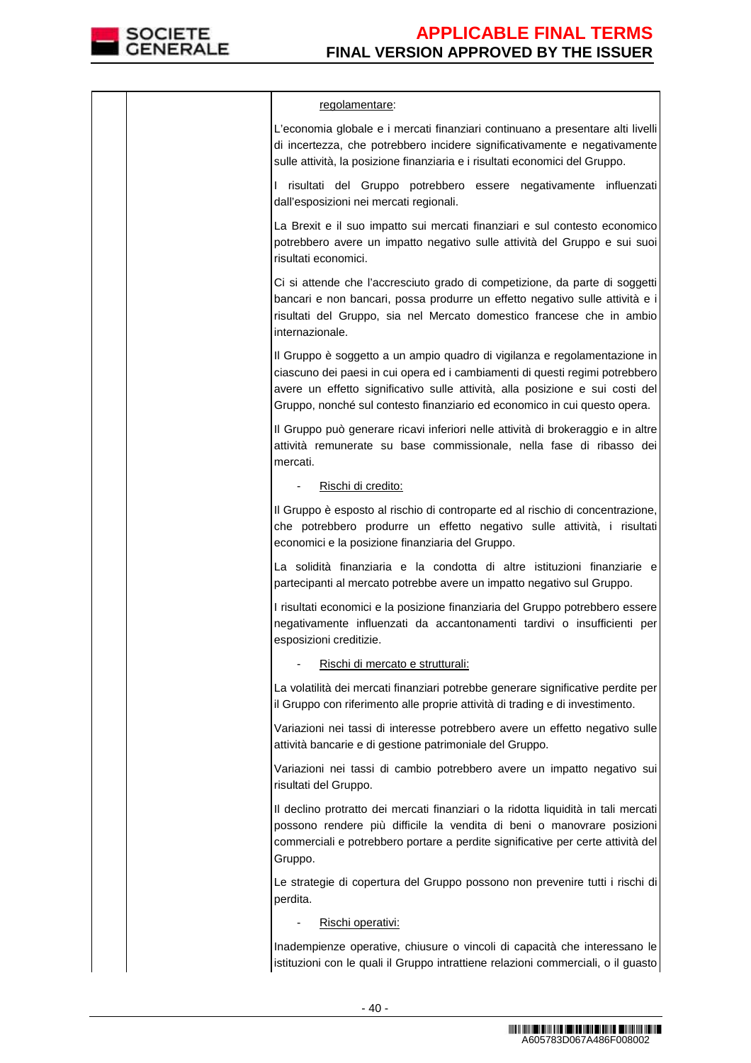

|  | regolamentare:                                                                                                                                                                                                                                                                                                          |
|--|-------------------------------------------------------------------------------------------------------------------------------------------------------------------------------------------------------------------------------------------------------------------------------------------------------------------------|
|  | L'economia globale e i mercati finanziari continuano a presentare alti livelli<br>di incertezza, che potrebbero incidere significativamente e negativamente<br>sulle attività, la posizione finanziaria e i risultati economici del Gruppo.                                                                             |
|  | I risultati del Gruppo potrebbero essere negativamente influenzati<br>dall'esposizioni nei mercati regionali.                                                                                                                                                                                                           |
|  | La Brexit e il suo impatto sui mercati finanziari e sul contesto economico<br>potrebbero avere un impatto negativo sulle attività del Gruppo e sui suoi<br>risultati economici.                                                                                                                                         |
|  | Ci si attende che l'accresciuto grado di competizione, da parte di soggetti<br>bancari e non bancari, possa produrre un effetto negativo sulle attività e i<br>risultati del Gruppo, sia nel Mercato domestico francese che in ambio<br>internazionale.                                                                 |
|  | Il Gruppo è soggetto a un ampio quadro di vigilanza e regolamentazione in<br>ciascuno dei paesi in cui opera ed i cambiamenti di questi regimi potrebbero<br>avere un effetto significativo sulle attività, alla posizione e sui costi del<br>Gruppo, nonché sul contesto finanziario ed economico in cui questo opera. |
|  | Il Gruppo può generare ricavi inferiori nelle attività di brokeraggio e in altre<br>attività remunerate su base commissionale, nella fase di ribasso dei<br>mercati.                                                                                                                                                    |
|  | Rischi di credito:                                                                                                                                                                                                                                                                                                      |
|  | Il Gruppo è esposto al rischio di controparte ed al rischio di concentrazione,<br>che potrebbero produrre un effetto negativo sulle attività, i risultati<br>economici e la posizione finanziaria del Gruppo.                                                                                                           |
|  | La solidità finanziaria e la condotta di altre istituzioni finanziarie e<br>partecipanti al mercato potrebbe avere un impatto negativo sul Gruppo.                                                                                                                                                                      |
|  | I risultati economici e la posizione finanziaria del Gruppo potrebbero essere<br>negativamente influenzati da accantonamenti tardivi o insufficienti per<br>esposizioni creditizie.                                                                                                                                     |
|  | Rischi di mercato e strutturali:                                                                                                                                                                                                                                                                                        |
|  | La volatilità dei mercati finanziari potrebbe generare significative perdite per<br>il Gruppo con riferimento alle proprie attività di trading e di investimento.                                                                                                                                                       |
|  | Variazioni nei tassi di interesse potrebbero avere un effetto negativo sulle<br>attività bancarie e di gestione patrimoniale del Gruppo.                                                                                                                                                                                |
|  | Variazioni nei tassi di cambio potrebbero avere un impatto negativo sui<br>risultati del Gruppo.                                                                                                                                                                                                                        |
|  | Il declino protratto dei mercati finanziari o la ridotta liquidità in tali mercati<br>possono rendere più difficile la vendita di beni o manovrare posizioni<br>commerciali e potrebbero portare a perdite significative per certe attività del<br>Gruppo.                                                              |
|  | Le strategie di copertura del Gruppo possono non prevenire tutti i rischi di<br>perdita.                                                                                                                                                                                                                                |
|  | Rischi operativi:                                                                                                                                                                                                                                                                                                       |
|  | Inadempienze operative, chiusure o vincoli di capacità che interessano le<br>istituzioni con le quali il Gruppo intrattiene relazioni commerciali, o il guasto                                                                                                                                                          |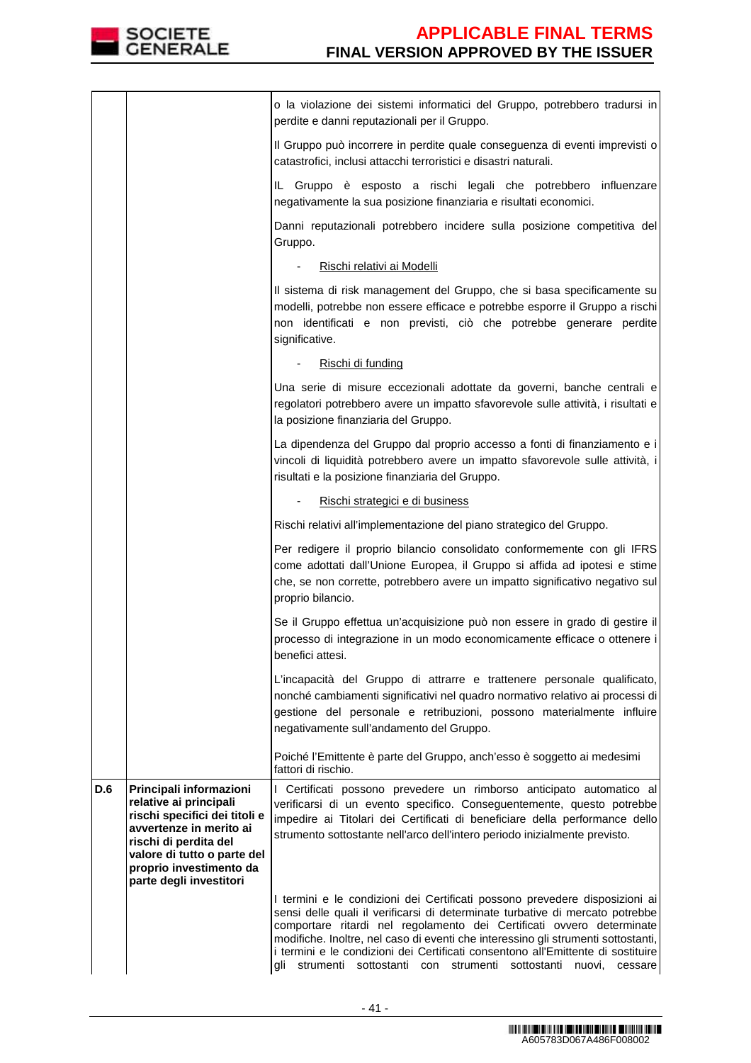

|            |                                                                                                                                                                                                                             | o la violazione dei sistemi informatici del Gruppo, potrebbero tradursi in<br>perdite e danni reputazionali per il Gruppo.                                                                                                                                                                                                                                                                                                                                                                       |
|------------|-----------------------------------------------------------------------------------------------------------------------------------------------------------------------------------------------------------------------------|--------------------------------------------------------------------------------------------------------------------------------------------------------------------------------------------------------------------------------------------------------------------------------------------------------------------------------------------------------------------------------------------------------------------------------------------------------------------------------------------------|
|            |                                                                                                                                                                                                                             | Il Gruppo può incorrere in perdite quale conseguenza di eventi imprevisti o<br>catastrofici, inclusi attacchi terroristici e disastri naturali.                                                                                                                                                                                                                                                                                                                                                  |
|            |                                                                                                                                                                                                                             | IL Gruppo è esposto a rischi legali che potrebbero influenzare<br>negativamente la sua posizione finanziaria e risultati economici.                                                                                                                                                                                                                                                                                                                                                              |
|            |                                                                                                                                                                                                                             | Danni reputazionali potrebbero incidere sulla posizione competitiva del<br>Gruppo.                                                                                                                                                                                                                                                                                                                                                                                                               |
|            |                                                                                                                                                                                                                             | Rischi relativi ai Modelli                                                                                                                                                                                                                                                                                                                                                                                                                                                                       |
|            |                                                                                                                                                                                                                             | Il sistema di risk management del Gruppo, che si basa specificamente su<br>modelli, potrebbe non essere efficace e potrebbe esporre il Gruppo a rischi<br>non identificati e non previsti, ciò che potrebbe generare perdite<br>significative.                                                                                                                                                                                                                                                   |
|            |                                                                                                                                                                                                                             | Rischi di funding                                                                                                                                                                                                                                                                                                                                                                                                                                                                                |
|            |                                                                                                                                                                                                                             | Una serie di misure eccezionali adottate da governi, banche centrali e<br>regolatori potrebbero avere un impatto sfavorevole sulle attività, i risultati e<br>la posizione finanziaria del Gruppo.                                                                                                                                                                                                                                                                                               |
|            |                                                                                                                                                                                                                             | La dipendenza del Gruppo dal proprio accesso a fonti di finanziamento e i<br>vincoli di liquidità potrebbero avere un impatto sfavorevole sulle attività, i<br>risultati e la posizione finanziaria del Gruppo.                                                                                                                                                                                                                                                                                  |
|            |                                                                                                                                                                                                                             | Rischi strategici e di business                                                                                                                                                                                                                                                                                                                                                                                                                                                                  |
|            |                                                                                                                                                                                                                             | Rischi relativi all'implementazione del piano strategico del Gruppo.                                                                                                                                                                                                                                                                                                                                                                                                                             |
|            |                                                                                                                                                                                                                             | Per redigere il proprio bilancio consolidato conformemente con gli IFRS<br>come adottati dall'Unione Europea, il Gruppo si affida ad ipotesi e stime<br>che, se non corrette, potrebbero avere un impatto significativo negativo sul<br>proprio bilancio.                                                                                                                                                                                                                                        |
|            |                                                                                                                                                                                                                             | Se il Gruppo effettua un'acquisizione può non essere in grado di gestire il<br>processo di integrazione in un modo economicamente efficace o ottenere i<br>benefici attesi.                                                                                                                                                                                                                                                                                                                      |
|            |                                                                                                                                                                                                                             | L'incapacità del Gruppo di attrarre e trattenere personale qualificato,<br>nonché cambiamenti significativi nel quadro normativo relativo ai processi di<br>gestione del personale e retribuzioni, possono materialmente influire<br>negativamente sull'andamento del Gruppo.                                                                                                                                                                                                                    |
|            |                                                                                                                                                                                                                             | Poiché l'Emittente è parte del Gruppo, anch'esso è soggetto ai medesimi<br>fattori di rischio.                                                                                                                                                                                                                                                                                                                                                                                                   |
| <b>D.6</b> | Principali informazioni<br>relative ai principali<br>rischi specifici dei titoli e<br>avvertenze in merito ai<br>rischi di perdita del<br>valore di tutto o parte del<br>proprio investimento da<br>parte degli investitori | I Certificati possono prevedere un rimborso anticipato automatico al<br>verificarsi di un evento specifico. Conseguentemente, questo potrebbe<br>impedire ai Titolari dei Certificati di beneficiare della performance dello<br>strumento sottostante nell'arco dell'intero periodo inizialmente previsto.                                                                                                                                                                                       |
|            |                                                                                                                                                                                                                             | I termini e le condizioni dei Certificati possono prevedere disposizioni ai<br>sensi delle quali il verificarsi di determinate turbative di mercato potrebbe<br>comportare ritardi nel regolamento dei Certificati ovvero determinate<br>modifiche. Inoltre, nel caso di eventi che interessino gli strumenti sottostanti,<br>i termini e le condizioni dei Certificati consentono all'Emittente di sostituire<br>strumenti sottostanti con strumenti<br>gli<br>sottostanti<br>nuovi.<br>cessare |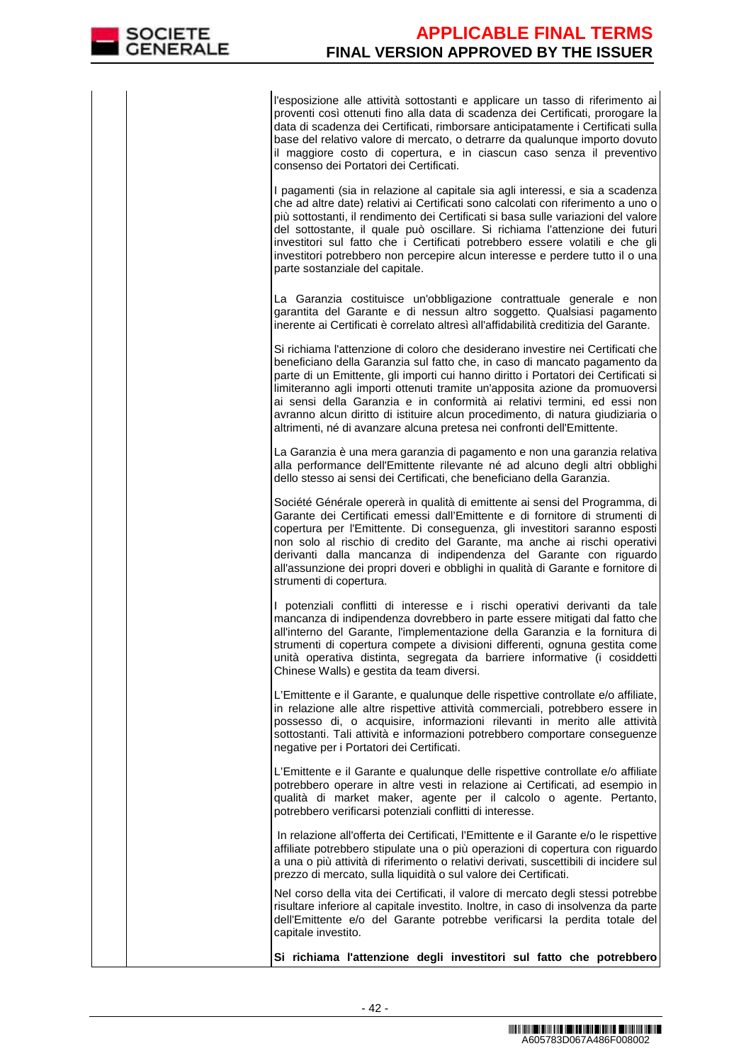l'esposizione alle attività sottostanti e applicare un tasso di riferimento ai proventi così ottenuti fino alla data di scadenza dei Certificati, prorogare la data di scadenza dei Certificati, rimborsare anticipatamente i Certificati sulla base del relativo valore di mercato, o detrarre da qualunque importo dovuto il maggiore costo di copertura, e in ciascun caso senza il preventivo consenso dei Portatori dei Certificati.

I pagamenti (sia in relazione al capitale sia agli interessi, e sia a scadenza che ad altre date) relativi ai Certificati sono calcolati con riferimento a uno o più sottostanti, il rendimento dei Certificati si basa sulle variazioni del valore del sottostante, il quale può oscillare. Si richiama l'attenzione dei futuri investitori sul fatto che i Certificati potrebbero essere volatili e che gli investitori potrebbero non percepire alcun interesse e perdere tutto il o una parte sostanziale del capitale.

 La Garanzia costituisce un'obbligazione contrattuale generale e non garantita del Garante e di nessun altro soggetto. Qualsiasi pagamento inerente ai Certificati è correlato altresì all'affidabilità creditizia del Garante.

Si richiama l'attenzione di coloro che desiderano investire nei Certificati che beneficiano della Garanzia sul fatto che, in caso di mancato pagamento da parte di un Emittente, gli importi cui hanno diritto i Portatori dei Certificati si limiteranno agli importi ottenuti tramite un'apposita azione da promuoversi ai sensi della Garanzia e in conformità ai relativi termini, ed essi non avranno alcun diritto di istituire alcun procedimento, di natura giudiziaria o altrimenti, né di avanzare alcuna pretesa nei confronti dell'Emittente.

La Garanzia è una mera garanzia di pagamento e non una garanzia relativa alla performance dell'Emittente rilevante né ad alcuno degli altri obblighi dello stesso ai sensi dei Certificati, che beneficiano della Garanzia.

Société Générale opererà in qualità di emittente ai sensi del Programma, di Garante dei Certificati emessi dall'Emittente e di fornitore di strumenti di copertura per l'Emittente. Di conseguenza, gli investitori saranno esposti non solo al rischio di credito del Garante, ma anche ai rischi operativi derivanti dalla mancanza di indipendenza del Garante con riguardo all'assunzione dei propri doveri e obblighi in qualità di Garante e fornitore di strumenti di copertura.

I potenziali conflitti di interesse e i rischi operativi derivanti da tale mancanza di indipendenza dovrebbero in parte essere mitigati dal fatto che all'interno del Garante, l'implementazione della Garanzia e la fornitura di strumenti di copertura compete a divisioni differenti, ognuna gestita come unità operativa distinta, segregata da barriere informative (i cosiddetti Chinese Walls) e gestita da team diversi.

L'Emittente e il Garante, e qualunque delle rispettive controllate e/o affiliate, in relazione alle altre rispettive attività commerciali, potrebbero essere in possesso di, o acquisire, informazioni rilevanti in merito alle attività sottostanti. Tali attività e informazioni potrebbero comportare conseguenze negative per i Portatori dei Certificati.

L'Emittente e il Garante e qualunque delle rispettive controllate e/o affiliate potrebbero operare in altre vesti in relazione ai Certificati, ad esempio in qualità di market maker, agente per il calcolo o agente. Pertanto, potrebbero verificarsi potenziali conflitti di interesse.

 In relazione all'offerta dei Certificati, l'Emittente e il Garante e/o le rispettive affiliate potrebbero stipulate una o più operazioni di copertura con riguardo a una o più attività di riferimento o relativi derivati, suscettibili di incidere sul prezzo di mercato, sulla liquidità o sul valore dei Certificati.

 Nel corso della vita dei Certificati, il valore di mercato degli stessi potrebbe risultare inferiore al capitale investito. Inoltre, in caso di insolvenza da parte dell'Emittente e/o del Garante potrebbe verificarsi la perdita totale del capitale investito.

**Si richiama l'attenzione degli investitori sul fatto che potrebbero**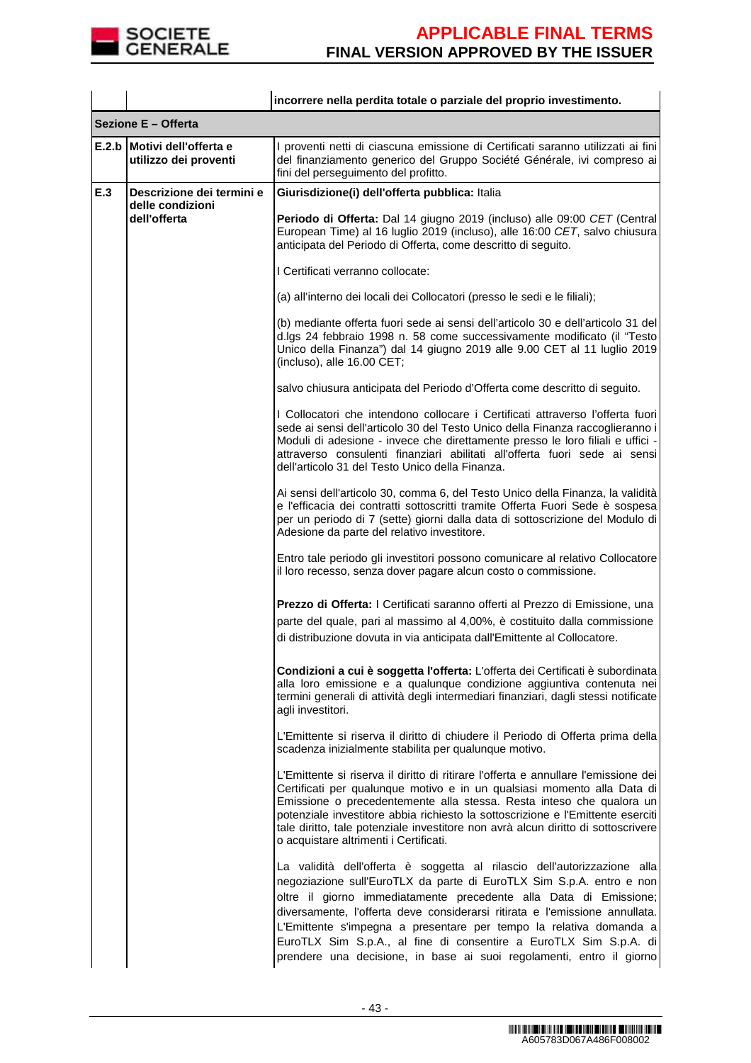

|       |                                                | incorrere nella perdita totale o parziale del proprio investimento.                                                                                                                                                                                                                                                                                                                                                                                                                                                     |
|-------|------------------------------------------------|-------------------------------------------------------------------------------------------------------------------------------------------------------------------------------------------------------------------------------------------------------------------------------------------------------------------------------------------------------------------------------------------------------------------------------------------------------------------------------------------------------------------------|
|       | Sezione E - Offerta                            |                                                                                                                                                                                                                                                                                                                                                                                                                                                                                                                         |
| E.2.b | Motivi dell'offerta e<br>utilizzo dei proventi | I proventi netti di ciascuna emissione di Certificati saranno utilizzati ai fini<br>del finanziamento generico del Gruppo Société Générale, ivi compreso ai<br>fini del perseguimento del profitto.                                                                                                                                                                                                                                                                                                                     |
| E.3   | Descrizione dei termini e                      | Giurisdizione(i) dell'offerta pubblica: Italia                                                                                                                                                                                                                                                                                                                                                                                                                                                                          |
|       | delle condizioni<br>dell'offerta               | Periodo di Offerta: Dal 14 giugno 2019 (incluso) alle 09:00 CET (Central<br>European Time) al 16 luglio 2019 (incluso), alle 16:00 CET, salvo chiusura<br>anticipata del Periodo di Offerta, come descritto di seguito.                                                                                                                                                                                                                                                                                                 |
|       |                                                | I Certificati verranno collocate:                                                                                                                                                                                                                                                                                                                                                                                                                                                                                       |
|       |                                                | (a) all'interno dei locali dei Collocatori (presso le sedi e le filiali);                                                                                                                                                                                                                                                                                                                                                                                                                                               |
|       |                                                | (b) mediante offerta fuori sede ai sensi dell'articolo 30 e dell'articolo 31 del<br>d.lgs 24 febbraio 1998 n. 58 come successivamente modificato (il "Testo<br>Unico della Finanza") dal 14 giugno 2019 alle 9.00 CET al 11 luglio 2019<br>(incluso), alle 16.00 CET;                                                                                                                                                                                                                                                   |
|       |                                                | salvo chiusura anticipata del Periodo d'Offerta come descritto di seguito.                                                                                                                                                                                                                                                                                                                                                                                                                                              |
|       |                                                | I Collocatori che intendono collocare i Certificati attraverso l'offerta fuori<br>sede ai sensi dell'articolo 30 del Testo Unico della Finanza raccoglieranno i<br>Moduli di adesione - invece che direttamente presso le loro filiali e uffici -<br>attraverso consulenti finanziari abilitati all'offerta fuori sede ai sensi<br>dell'articolo 31 del Testo Unico della Finanza.                                                                                                                                      |
|       |                                                | Ai sensi dell'articolo 30, comma 6, del Testo Unico della Finanza, la validità<br>e l'efficacia dei contratti sottoscritti tramite Offerta Fuori Sede è sospesa<br>per un periodo di 7 (sette) giorni dalla data di sottoscrizione del Modulo di<br>Adesione da parte del relativo investitore.                                                                                                                                                                                                                         |
|       |                                                | Entro tale periodo gli investitori possono comunicare al relativo Collocatore<br>il loro recesso, senza dover pagare alcun costo o commissione.                                                                                                                                                                                                                                                                                                                                                                         |
|       |                                                | Prezzo di Offerta: I Certificati saranno offerti al Prezzo di Emissione, una<br>parte del quale, pari al massimo al 4,00%, è costituito dalla commissione<br>di distribuzione dovuta in via anticipata dall'Emittente al Collocatore.                                                                                                                                                                                                                                                                                   |
|       |                                                | Condizioni a cui è soggetta l'offerta: L'offerta dei Certificati è subordinata<br>alla loro emissione e a qualunque condizione aggiuntiva contenuta nei<br>termini generali di attività degli intermediari finanziari, dagli stessi notificate<br>agli investitori.                                                                                                                                                                                                                                                     |
|       |                                                | L'Emittente si riserva il diritto di chiudere il Periodo di Offerta prima della<br>scadenza inizialmente stabilita per qualunque motivo.                                                                                                                                                                                                                                                                                                                                                                                |
|       |                                                | L'Emittente si riserva il diritto di ritirare l'offerta e annullare l'emissione dei<br>Certificati per qualunque motivo e in un qualsiasi momento alla Data di<br>Emissione o precedentemente alla stessa. Resta inteso che qualora un<br>potenziale investitore abbia richiesto la sottoscrizione e l'Emittente eserciti<br>tale diritto, tale potenziale investitore non avrà alcun diritto di sottoscrivere<br>o acquistare altrimenti i Certificati.                                                                |
|       |                                                | La validità dell'offerta è soggetta al rilascio dell'autorizzazione alla<br>negoziazione sull'EuroTLX da parte di EuroTLX Sim S.p.A. entro e non<br>oltre il giorno immediatamente precedente alla Data di Emissione;<br>diversamente, l'offerta deve considerarsi ritirata e l'emissione annullata.<br>L'Emittente s'impegna a presentare per tempo la relativa domanda a<br>EuroTLX Sim S.p.A., al fine di consentire a EuroTLX Sim S.p.A. di<br>prendere una decisione, in base ai suoi regolamenti, entro il giorno |